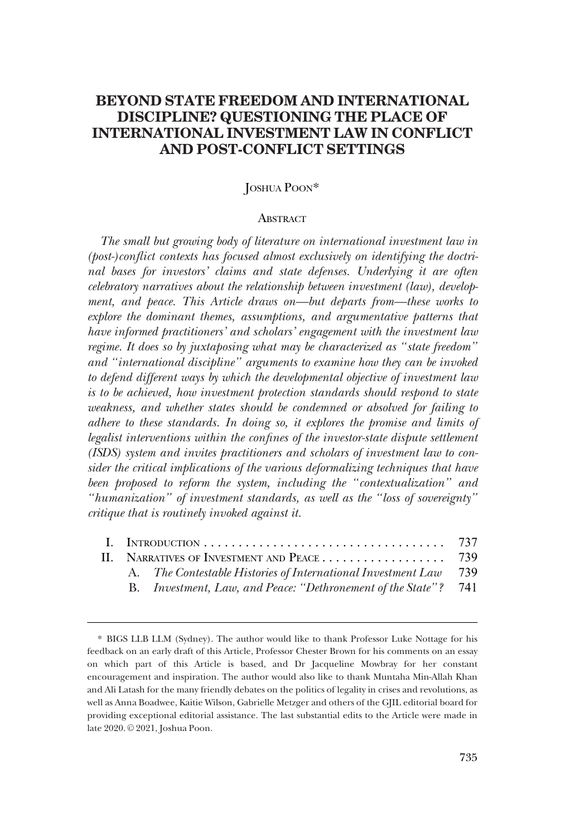# **BEYOND STATE FREEDOM AND INTERNATIONAL DISCIPLINE? QUESTIONING THE PLACE OF INTERNATIONAL INVESTMENT LAW IN CONFLICT AND POST-CONFLICT SETTINGS**

## JOSHUA POON\*

#### **ABSTRACT**

*The small but growing body of literature on international investment law in (post-)conflict contexts has focused almost exclusively on identifying the doctri*nal bases for investors' claims and state defenses. Underlying it are often *celebratory narratives about the relationship between investment (law), development, and peace. This Article draws on—but departs from—these works to explore the dominant themes, assumptions, and argumentative patterns that have informed practitioners' and scholars' engagement with the investment law regime. It does so by juxtaposing what may be characterized as "state freedom" and "international discipline" arguments to examine how they can be invoked to defend different ways by which the developmental objective of investment law is to be achieved, how investment protection standards should respond to state weakness, and whether states should be condemned or absolved for failing to adhere to these standards. In doing so, it explores the promise and limits of legalist interventions within the confines of the investor-state dispute settlement (ISDS) system and invites practitioners and scholars of investment law to consider the critical implications of the various deformalizing techniques that have been proposed to reform the system, including the "contextualization" and "humanization" of investment standards, as well as the "loss of sovereignty" critique that is routinely invoked against it.* 

|  | A. The Contestable Histories of International Investment Law 739 |  |
|--|------------------------------------------------------------------|--|
|  | B. Investment, Law, and Peace: "Dethronement of the State"? 741  |  |

<sup>\*</sup> BIGS LLB LLM (Sydney). The author would like to thank Professor Luke Nottage for his feedback on an early draft of this Article, Professor Chester Brown for his comments on an essay on which part of this Article is based, and Dr Jacqueline Mowbray for her constant encouragement and inspiration. The author would also like to thank Muntaha Min-Allah Khan and Ali Latash for the many friendly debates on the politics of legality in crises and revolutions, as well as Anna Boadwee, Kaitie Wilson, Gabrielle Metzger and others of the GJIL editorial board for providing exceptional editorial assistance. The last substantial edits to the Article were made in late 2020. © 2021, Joshua Poon.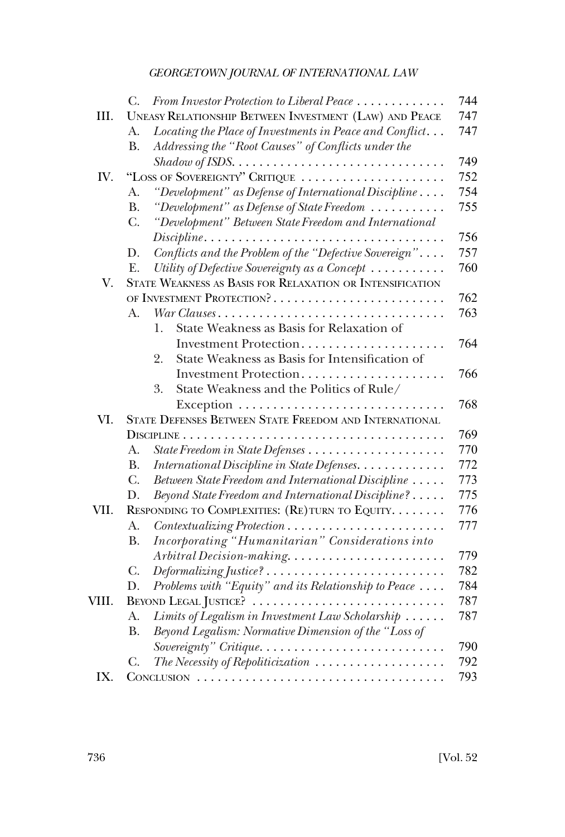|       | From Investor Protection to Liberal Peace<br>C.                              | 744 |  |
|-------|------------------------------------------------------------------------------|-----|--|
| III.  | UNEASY RELATIONSHIP BETWEEN INVESTMENT (LAW) AND PEACE                       | 747 |  |
|       | Locating the Place of Investments in Peace and Conflict<br>А.                | 747 |  |
|       | Addressing the "Root Causes" of Conflicts under the<br><b>B.</b>             |     |  |
|       |                                                                              | 749 |  |
| IV.   | "LOSS OF SOVEREIGNTY" CRITIQUE                                               |     |  |
|       | "Development" as Defense of International Discipline<br>А.                   | 754 |  |
|       | "Development" as Defense of State Freedom<br><b>B.</b>                       | 755 |  |
|       | "Development" Between State Freedom and International<br>C.                  |     |  |
|       | Discipline                                                                   | 756 |  |
|       | Conflicts and the Problem of the "Defective Sovereign"<br>D.                 | 757 |  |
|       | Utility of Defective Sovereignty as a Concept<br>E.                          | 760 |  |
| V.    | STATE WEAKNESS AS BASIS FOR RELAXATION OR INTENSIFICATION                    |     |  |
|       | OF INVESTMENT PROTECTION?                                                    | 762 |  |
|       | War Clauses<br>А.                                                            | 763 |  |
|       | State Weakness as Basis for Relaxation of<br>1.                              |     |  |
|       | Investment Protection                                                        | 764 |  |
|       | State Weakness as Basis for Intensification of<br>2.                         |     |  |
|       | Investment Protection                                                        | 766 |  |
|       | State Weakness and the Politics of Rule/<br>3.                               |     |  |
|       |                                                                              | 768 |  |
| VI.   | STATE DEFENSES BETWEEN STATE FREEDOM AND INTERNATIONAL                       |     |  |
|       |                                                                              | 769 |  |
|       | А.                                                                           | 770 |  |
|       | International Discipline in State Defenses.<br><b>B.</b>                     | 772 |  |
|       | C.<br>Between State Freedom and International Discipline                     | 773 |  |
|       | Beyond State Freedom and International Discipline?<br>D.                     | 775 |  |
| VII.  | RESPONDING TO COMPLEXITIES: (RE) TURN TO EQUITY.                             | 776 |  |
|       | A.                                                                           | 777 |  |
|       | Incorporating "Humanitarian" Considerations into<br><b>B.</b>                |     |  |
|       | Arbitral Decision-making                                                     | 779 |  |
|       | Deformalizing Justice?<br>C.                                                 | 782 |  |
|       | Problems with "Equity" and its Relationship to Peace<br>D.                   | 784 |  |
| VIII. | BEYOND LEGAL JUSTICE?                                                        |     |  |
|       | Limits of Legalism in Investment Law Scholarship<br>A.                       | 787 |  |
|       | Beyond Legalism: Normative Dimension of the "Loss of<br>В.                   |     |  |
|       | Sovereignty" Critique                                                        | 790 |  |
|       | The Necessity of Repoliticization $\ldots \ldots \ldots \ldots \ldots$<br>C. | 792 |  |
| IX.   |                                                                              | 793 |  |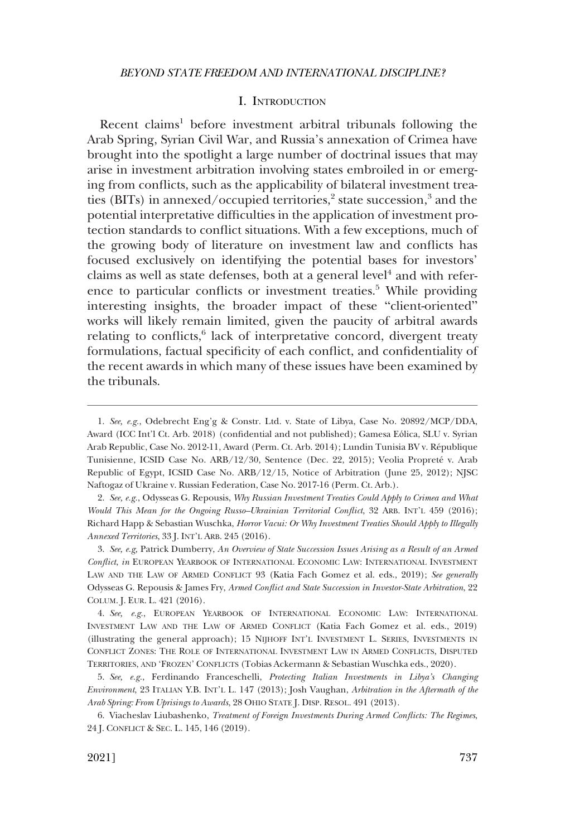#### I. INTRODUCTION

<span id="page-2-0"></span>Recent claims<sup>1</sup> before investment arbitral tribunals following the Arab Spring, Syrian Civil War, and Russia's annexation of Crimea have brought into the spotlight a large number of doctrinal issues that may arise in investment arbitration involving states embroiled in or emerging from conflicts, such as the applicability of bilateral investment treaties (BITs) in annexed/occupied territories, $2$  state succession, $3$  and the potential interpretative difficulties in the application of investment protection standards to conflict situations. With a few exceptions, much of the growing body of literature on investment law and conflicts has focused exclusively on identifying the potential bases for investors' claims as well as state defenses, both at a general level<sup>4</sup> and with reference to particular conflicts or investment treaties.<sup>5</sup> While providing interesting insights, the broader impact of these "client-oriented" works will likely remain limited, given the paucity of arbitral awards relating to conflicts, $6$  lack of interpretative concord, divergent treaty formulations, factual specificity of each conflict, and confidentiality of the recent awards in which many of these issues have been examined by the tribunals.

2. *See, e.g.*, Odysseas G. Repousis, *Why Russian Investment Treaties Could Apply to Crimea and What Would This Mean for the Ongoing Russo–Ukrainian Territorial Conflict*, 32 ARB. INT'L 459 (2016); Richard Happ & Sebastian Wuschka, *Horror Vacui: Or Why Investment Treaties Should Apply to Illegally Annexed Territories*, 33 J. INT'L ARB. 245 (2016).

3. *See, e.g,* Patrick Dumberry, *An Overview of State Succession Issues Arising as a Result of an Armed Conflict*, *in* EUROPEAN YEARBOOK OF INTERNATIONAL ECONOMIC LAW: INTERNATIONAL INVESTMENT LAW AND THE LAW OF ARMED CONFLICT 93 (Katia Fach Gomez et al. eds., 2019); *See generally*  Odysseas G. Repousis & James Fry, *Armed Conflict and State Succession in Investor-State Arbitration*, 22 COLUM. J. EUR. L. 421 (2016).

4. *See, e.g.*, EUROPEAN YEARBOOK OF INTERNATIONAL ECONOMIC LAW: INTERNATIONAL INVESTMENT LAW AND THE LAW OF ARMED CONFLICT (Katia Fach Gomez et al. eds., 2019) (illustrating the general approach); 15 NIJHOFF INT'L INVESTMENT L. SERIES, INVESTMENTS IN CONFLICT ZONES: THE ROLE OF INTERNATIONAL INVESTMENT LAW IN ARMED CONFLICTS, DISPUTED TERRITORIES, AND 'FROZEN' CONFLICTS (Tobias Ackermann & Sebastian Wuschka eds., 2020).

5. *See, e.g.*, Ferdinando Franceschelli, *Protecting Italian Investments in Libya's Changing Environment*, 23 ITALIAN Y.B. INT'L L. 147 (2013); Josh Vaughan, *Arbitration in the Aftermath of the Arab Spring: From Uprisings to Awards*, 28 OHIO STATE J. DISP. RESOL. 491 (2013).

6. Viacheslav Liubashenko, *Treatment of Foreign Investments During Armed Conflicts: The Regimes*, 24 J. CONFLICT & SEC. L. 145, 146 (2019).

<sup>1.</sup> *See, e.g.*, Odebrecht Eng'g & Constr. Ltd. v. State of Libya, Case No. 20892/MCP/DDA, Award (ICC Int'l Ct. Arb. 2018) (confidential and not published); Gamesa Eólica, SLU v. Syrian Arab Republic, Case No. 2012-11, Award (Perm. Ct. Arb. 2014); Lundin Tunisia BV v. République Tunisienne, ICSID Case No. ARB/12/30, Sentence (Dec. 22, 2015); Veolia Propreté v. Arab Republic of Egypt, ICSID Case No. ARB/12/15, Notice of Arbitration (June 25, 2012); NJSC Naftogaz of Ukraine v. Russian Federation, Case No. 2017-16 (Perm. Ct. Arb.).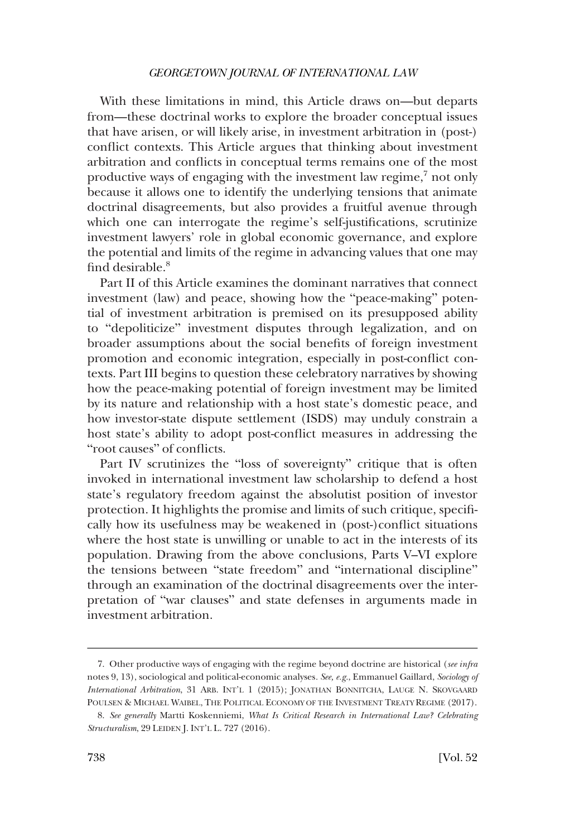With these limitations in mind, this Article draws on—but departs from—these doctrinal works to explore the broader conceptual issues that have arisen, or will likely arise, in investment arbitration in (post-) conflict contexts. This Article argues that thinking about investment arbitration and conflicts in conceptual terms remains one of the most productive ways of engaging with the investment law regime,7 not only because it allows one to identify the underlying tensions that animate doctrinal disagreements, but also provides a fruitful avenue through which one can interrogate the regime's self-justifications, scrutinize investment lawyers' role in global economic governance, and explore the potential and limits of the regime in advancing values that one may find desirable.<sup>8</sup>

Part II of this Article examines the dominant narratives that connect investment (law) and peace, showing how the "peace-making" potential of investment arbitration is premised on its presupposed ability to "depoliticize" investment disputes through legalization, and on broader assumptions about the social benefits of foreign investment promotion and economic integration, especially in post-conflict contexts. Part III begins to question these celebratory narratives by showing how the peace-making potential of foreign investment may be limited by its nature and relationship with a host state's domestic peace, and how investor-state dispute settlement (ISDS) may unduly constrain a host state's ability to adopt post-conflict measures in addressing the "root causes" of conflicts.

Part IV scrutinizes the "loss of sovereignty" critique that is often invoked in international investment law scholarship to defend a host state's regulatory freedom against the absolutist position of investor protection. It highlights the promise and limits of such critique, specifically how its usefulness may be weakened in (post-)conflict situations where the host state is unwilling or unable to act in the interests of its population. Drawing from the above conclusions, Parts V–VI explore the tensions between "state freedom" and "international discipline" through an examination of the doctrinal disagreements over the interpretation of "war clauses" and state defenses in arguments made in investment arbitration.

<sup>7.</sup> Other productive ways of engaging with the regime beyond doctrine are historical (*see infra*  notes 9, 13), sociological and political-economic analyses*. See, e.g.*, Emmanuel Gaillard, *Sociology of International Arbitration*, 31 ARB. INT'L 1 (2015); JONATHAN BONNITCHA, LAUGE N. SKOVGAARD POULSEN & MICHAEL WAIBEL, THE POLITICAL ECONOMY OF THE INVESTMENT TREATY REGIME (2017).

<sup>8.</sup> *See generally* Martti Koskenniemi, *What Is Critical Research in International Law? Celebrating Structuralism*, 29 LEIDEN J. INT'L L. 727 (2016).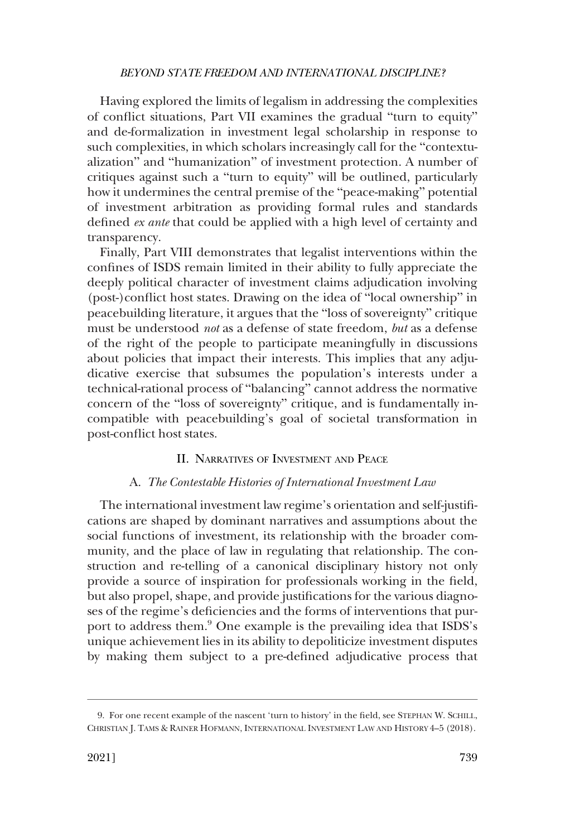<span id="page-4-0"></span>Having explored the limits of legalism in addressing the complexities of conflict situations, Part VII examines the gradual "turn to equity" and de-formalization in investment legal scholarship in response to such complexities, in which scholars increasingly call for the "contextualization" and "humanization" of investment protection. A number of critiques against such a "turn to equity" will be outlined, particularly how it undermines the central premise of the "peace-making" potential of investment arbitration as providing formal rules and standards defined *ex ante* that could be applied with a high level of certainty and transparency.

Finally, Part VIII demonstrates that legalist interventions within the confines of ISDS remain limited in their ability to fully appreciate the deeply political character of investment claims adjudication involving (post-)conflict host states. Drawing on the idea of "local ownership" in peacebuilding literature, it argues that the "loss of sovereignty" critique must be understood *not* as a defense of state freedom, *but* as a defense of the right of the people to participate meaningfully in discussions about policies that impact their interests. This implies that any adjudicative exercise that subsumes the population's interests under a technical-rational process of "balancing" cannot address the normative concern of the "loss of sovereignty" critique, and is fundamentally incompatible with peacebuilding's goal of societal transformation in post-conflict host states.

#### II. NARRATIVES OF INVESTMENT AND PEACE

#### A. *The Contestable Histories of International Investment Law*

The international investment law regime's orientation and self-justifications are shaped by dominant narratives and assumptions about the social functions of investment, its relationship with the broader community, and the place of law in regulating that relationship. The construction and re-telling of a canonical disciplinary history not only provide a source of inspiration for professionals working in the field, but also propel, shape, and provide justifications for the various diagnoses of the regime's deficiencies and the forms of interventions that purport to address them.<sup>9</sup> One example is the prevailing idea that ISDS's unique achievement lies in its ability to depoliticize investment disputes by making them subject to a pre-defined adjudicative process that

<sup>9.</sup> For one recent example of the nascent 'turn to history' in the field, see STEPHAN W. SCHILL, CHRISTIAN J. TAMS & RAINER HOFMANN, INTERNATIONAL INVESTMENT LAW AND HISTORY 4–5 (2018).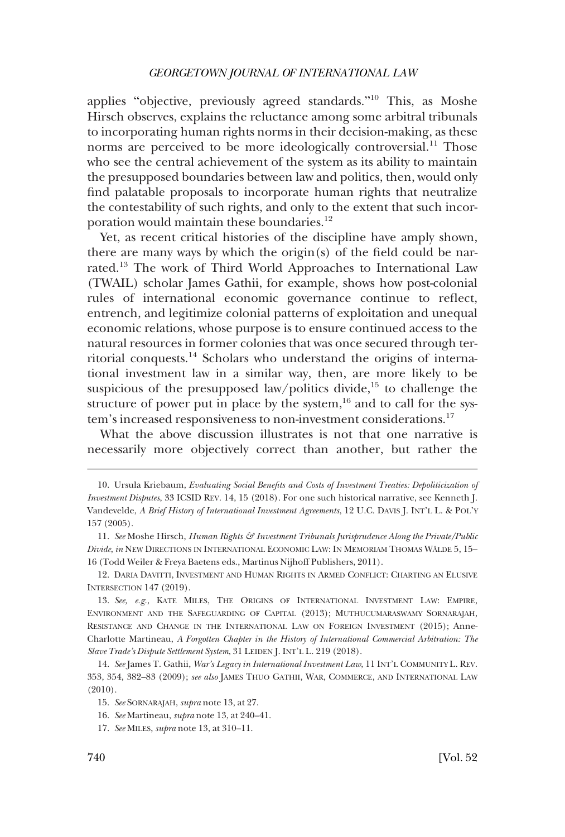applies "objective, previously agreed standards."10 This, as Moshe Hirsch observes, explains the reluctance among some arbitral tribunals to incorporating human rights norms in their decision-making, as these norms are perceived to be more ideologically controversial.<sup>11</sup> Those who see the central achievement of the system as its ability to maintain the presupposed boundaries between law and politics, then, would only find palatable proposals to incorporate human rights that neutralize the contestability of such rights, and only to the extent that such incorporation would maintain these boundaries.<sup>12</sup>

Yet, as recent critical histories of the discipline have amply shown, there are many ways by which the origin(s) of the field could be narrated.13 The work of Third World Approaches to International Law (TWAIL) scholar James Gathii, for example, shows how post-colonial rules of international economic governance continue to reflect, entrench, and legitimize colonial patterns of exploitation and unequal economic relations, whose purpose is to ensure continued access to the natural resources in former colonies that was once secured through territorial conquests.<sup>14</sup> Scholars who understand the origins of international investment law in a similar way, then, are more likely to be suspicious of the presupposed law/politics divide,<sup>15</sup> to challenge the structure of power put in place by the system, $^{16}$  and to call for the system's increased responsiveness to non-investment considerations.<sup>17</sup>

What the above discussion illustrates is not that one narrative is necessarily more objectively correct than another, but rather the

<sup>10.</sup> Ursula Kriebaum, *Evaluating Social Benefits and Costs of Investment Treaties: Depoliticization of Investment Disputes*, 33 ICSID REV. 14, 15 (2018). For one such historical narrative, see Kenneth J. Vandevelde, *A Brief History of International Investment Agreements*, 12 U.C. DAVIS J. INT'L L. & POL'Y 157 (2005).

<sup>11.</sup> *See* Moshe Hirsch, *Human Rights & Investment Tribunals Jurisprudence Along the Private/Public Divide, in* NEW DIRECTIONS IN INTERNATIONAL ECONOMIC LAW: IN MEMORIAM THOMAS WÄLDE 5, 15– 16 (Todd Weiler & Freya Baetens eds., Martinus Nijhoff Publishers, 2011).

<sup>12.</sup> DARIA DAVITTI, INVESTMENT AND HUMAN RIGHTS IN ARMED CONFLICT: CHARTING AN ELUSIVE INTERSECTION 147 (2019).

<sup>13.</sup> *See, e.g.*, KATE MILES, THE ORIGINS OF INTERNATIONAL INVESTMENT LAW: EMPIRE, ENVIRONMENT AND THE SAFEGUARDING OF CAPITAL (2013); MUTHUCUMARASWAMY SORNARAJAH, RESISTANCE AND CHANGE IN THE INTERNATIONAL LAW ON FOREIGN INVESTMENT (2015); Anne-Charlotte Martineau, *A Forgotten Chapter in the History of International Commercial Arbitration: The Slave Trade's Dispute Settlement System*, 31 LEIDEN J. INT'L L. 219 (2018).

<sup>14.</sup> *See* James T. Gathii, *War's Legacy in International Investment Law*, 11 INT'L COMMUNITY L. REV. 353, 354, 382–83 (2009); *see also* JAMES THUO GATHII, WAR, COMMERCE, AND INTERNATIONAL LAW (2010).

<sup>15.</sup> *See* SORNARAJAH, *supra* note 13, at 27.

<sup>16.</sup> *See* Martineau, *supra* note 13, at 240–41.

<sup>17.</sup> *See* MILES, *supra* note 13, at 310–11.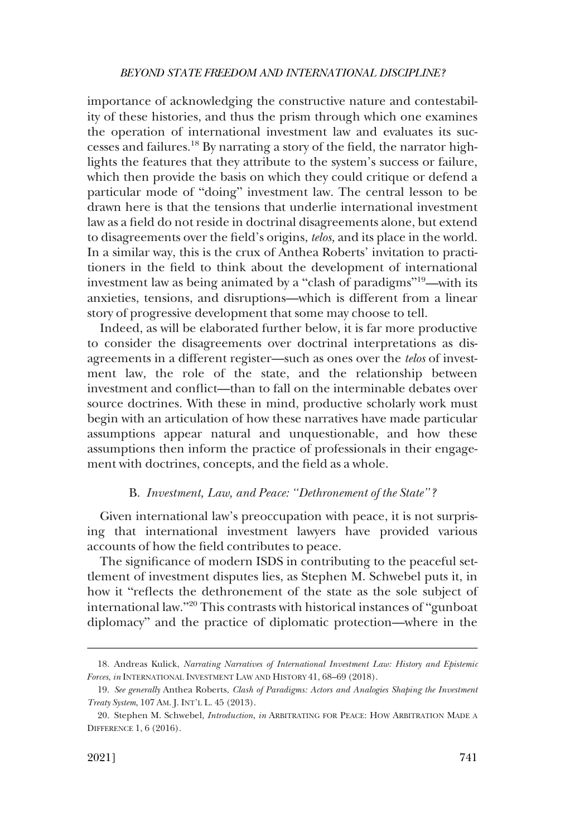<span id="page-6-0"></span>importance of acknowledging the constructive nature and contestability of these histories, and thus the prism through which one examines the operation of international investment law and evaluates its successes and failures.18 By narrating a story of the field, the narrator highlights the features that they attribute to the system's success or failure, which then provide the basis on which they could critique or defend a particular mode of "doing" investment law. The central lesson to be drawn here is that the tensions that underlie international investment law as a field do not reside in doctrinal disagreements alone, but extend to disagreements over the field's origins, *telos,* and its place in the world. In a similar way, this is the crux of Anthea Roberts' invitation to practitioners in the field to think about the development of international investment law as being animated by a "clash of paradigms"19—with its anxieties, tensions, and disruptions—which is different from a linear story of progressive development that some may choose to tell.

Indeed, as will be elaborated further below, it is far more productive to consider the disagreements over doctrinal interpretations as disagreements in a different register—such as ones over the *telos* of investment law, the role of the state, and the relationship between investment and conflict—than to fall on the interminable debates over source doctrines. With these in mind, productive scholarly work must begin with an articulation of how these narratives have made particular assumptions appear natural and unquestionable, and how these assumptions then inform the practice of professionals in their engagement with doctrines, concepts, and the field as a whole.

#### B. *Investment, Law, and Peace: "Dethronement of the State"?*

Given international law's preoccupation with peace, it is not surprising that international investment lawyers have provided various accounts of how the field contributes to peace.

The significance of modern ISDS in contributing to the peaceful settlement of investment disputes lies, as Stephen M. Schwebel puts it, in how it "reflects the dethronement of the state as the sole subject of international law."20 This contrasts with historical instances of "gunboat diplomacy" and the practice of diplomatic protection—where in the

<sup>18.</sup> Andreas Kulick, *Narrating Narratives of International Investment Law: History and Epistemic Forces*, *in* INTERNATIONAL INVESTMENT LAW AND HISTORY 41, 68–69 (2018).

<sup>19.</sup> *See generally* Anthea Roberts, *Clash of Paradigms: Actors and Analogies Shaping the Investment Treaty System*, 107 AM. J. INT'L L. 45 (2013).

<sup>20.</sup> Stephen M. Schwebel, *Introduction*, *in* ARBITRATING FOR PEACE: HOW ARBITRATION MADE A DIFFERENCE 1, 6 (2016).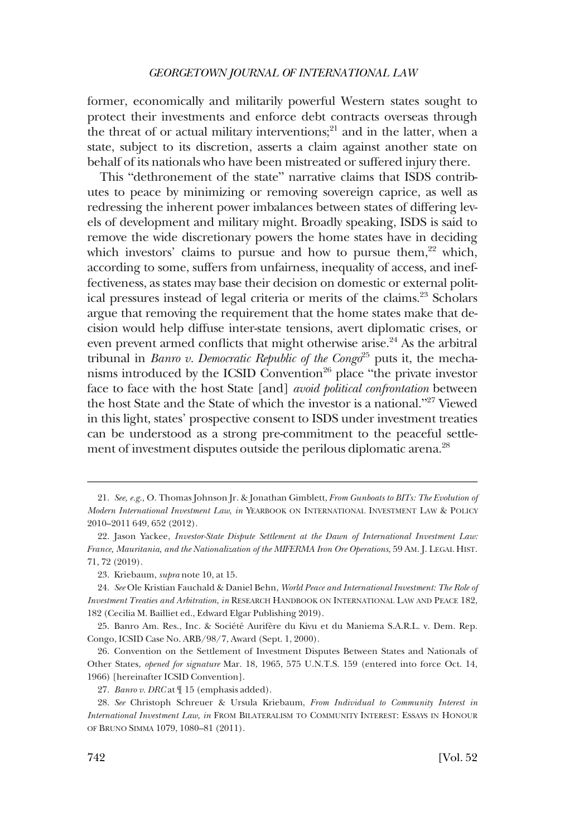former, economically and militarily powerful Western states sought to protect their investments and enforce debt contracts overseas through the threat of or actual military interventions; $^{21}$  and in the latter, when a state, subject to its discretion, asserts a claim against another state on behalf of its nationals who have been mistreated or suffered injury there.

This "dethronement of the state" narrative claims that ISDS contributes to peace by minimizing or removing sovereign caprice, as well as redressing the inherent power imbalances between states of differing levels of development and military might. Broadly speaking, ISDS is said to remove the wide discretionary powers the home states have in deciding which investors' claims to pursue and how to pursue them, $2^2$  which, according to some, suffers from unfairness, inequality of access, and ineffectiveness, as states may base their decision on domestic or external political pressures instead of legal criteria or merits of the claims.<sup>23</sup> Scholars argue that removing the requirement that the home states make that decision would help diffuse inter-state tensions, avert diplomatic crises, or even prevent armed conflicts that might otherwise arise.<sup>24</sup> As the arbitral tribunal in *Banro v. Democratic Republic of the Congo*<sup>25</sup> puts it, the mechanisms introduced by the ICSID Convention<sup>26</sup> place "the private investor face to face with the host State [and] *avoid political confrontation* between the host State and the State of which the investor is a national."27 Viewed in this light, states' prospective consent to ISDS under investment treaties can be understood as a strong pre-commitment to the peaceful settlement of investment disputes outside the perilous diplomatic arena.<sup>28</sup>

<sup>21.</sup> *See, e.g.*, O. Thomas Johnson Jr. & Jonathan Gimblett, *From Gunboats to BITs: The Evolution of Modern International Investment Law*, *in* YEARBOOK ON INTERNATIONAL INVESTMENT LAW & POLICY 2010–2011 649, 652 (2012).

<sup>22.</sup> Jason Yackee, *Investor-State Dispute Settlement at the Dawn of International Investment Law: France, Mauritania, and the Nationalization of the MIFERMA Iron Ore Operations*, 59 AM. J. LEGAL HIST. 71, 72 (2019).

<sup>23.</sup> Kriebaum, *supra* note 10, at 15.

<sup>24.</sup> *See* Ole Kristian Fauchald & Daniel Behn, *World Peace and International Investment: The Role of Investment Treaties and Arbitration*, *in* RESEARCH HANDBOOK ON INTERNATIONAL LAW AND PEACE 182, 182 (Cecilia M. Bailliet ed., Edward Elgar Publishing 2019).

<sup>25.</sup> Banro Am. Res., Inc. & Société Aurifère du Kivu et du Maniema S.A.R.L. v. Dem. Rep. Congo, ICSID Case No. ARB/98/7, Award (Sept. 1, 2000).

<sup>26.</sup> Convention on the Settlement of Investment Disputes Between States and Nationals of Other States, *opened for signature* Mar. 18, 1965, 575 U.N.T.S. 159 (entered into force Oct. 14, 1966) [hereinafter ICSID Convention].

<sup>27.</sup> *Banro v. DRC* at ¶ 15 (emphasis added).

<sup>28.</sup> *See* Christoph Schreuer & Ursula Kriebaum, *From Individual to Community Interest in International Investment Law*, *in* FROM BILATERALISM TO COMMUNITY INTEREST: ESSAYS IN HONOUR OF BRUNO SIMMA 1079, 1080–81 (2011).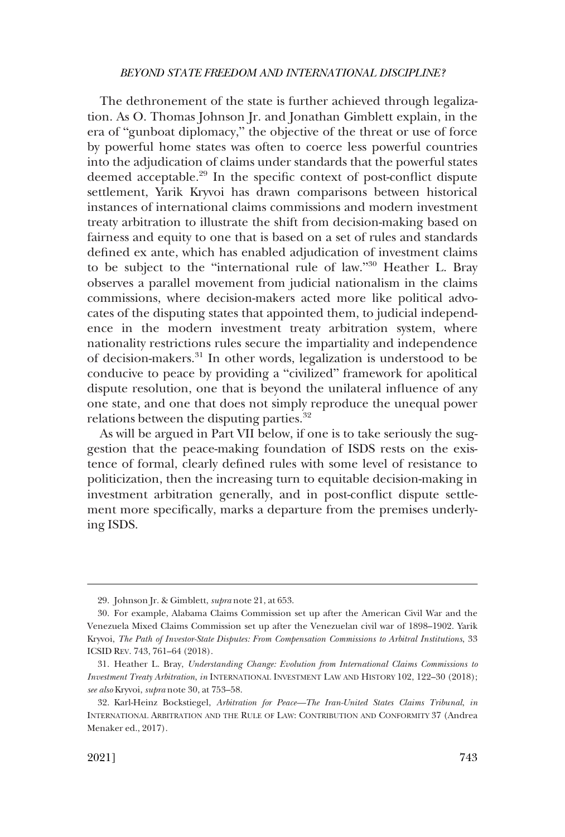The dethronement of the state is further achieved through legalization. As O. Thomas Johnson Jr. and Jonathan Gimblett explain, in the era of "gunboat diplomacy," the objective of the threat or use of force by powerful home states was often to coerce less powerful countries into the adjudication of claims under standards that the powerful states deemed acceptable.<sup>29</sup> In the specific context of post-conflict dispute settlement, Yarik Kryvoi has drawn comparisons between historical instances of international claims commissions and modern investment treaty arbitration to illustrate the shift from decision-making based on fairness and equity to one that is based on a set of rules and standards defined ex ante, which has enabled adjudication of investment claims to be subject to the "international rule of law."30 Heather L. Bray observes a parallel movement from judicial nationalism in the claims commissions, where decision-makers acted more like political advocates of the disputing states that appointed them, to judicial independence in the modern investment treaty arbitration system, where nationality restrictions rules secure the impartiality and independence of decision-makers.31 In other words, legalization is understood to be conducive to peace by providing a "civilized" framework for apolitical dispute resolution, one that is beyond the unilateral influence of any one state, and one that does not simply reproduce the unequal power relations between the disputing parties.<sup>32</sup>

As will be argued in Part VII below, if one is to take seriously the suggestion that the peace-making foundation of ISDS rests on the existence of formal, clearly defined rules with some level of resistance to politicization, then the increasing turn to equitable decision-making in investment arbitration generally, and in post-conflict dispute settlement more specifically, marks a departure from the premises underlying ISDS.

<sup>29.</sup> Johnson Jr. & Gimblett, *supra* note 21, at 653.

<sup>30.</sup> For example, Alabama Claims Commission set up after the American Civil War and the Venezuela Mixed Claims Commission set up after the Venezuelan civil war of 1898–1902. Yarik Kryvoi, *The Path of Investor-State Disputes: From Compensation Commissions to Arbitral Institutions*, 33 ICSID REV. 743, 761–64 (2018).

<sup>31.</sup> Heather L. Bray, *Understanding Change: Evolution from International Claims Commissions to Investment Treaty Arbitration*, *in* INTERNATIONAL INVESTMENT LAW AND HISTORY 102, 122–30 (2018); *see also* Kryvoi, *supra* note 30, at 753–58.

<sup>32.</sup> Karl-Heinz Bockstiegel, *Arbitration for Peace—The Iran-United States Claims Tribunal*, *in*  INTERNATIONAL ARBITRATION AND THE RULE OF LAW: CONTRIBUTION AND CONFORMITY 37 (Andrea Menaker ed., 2017).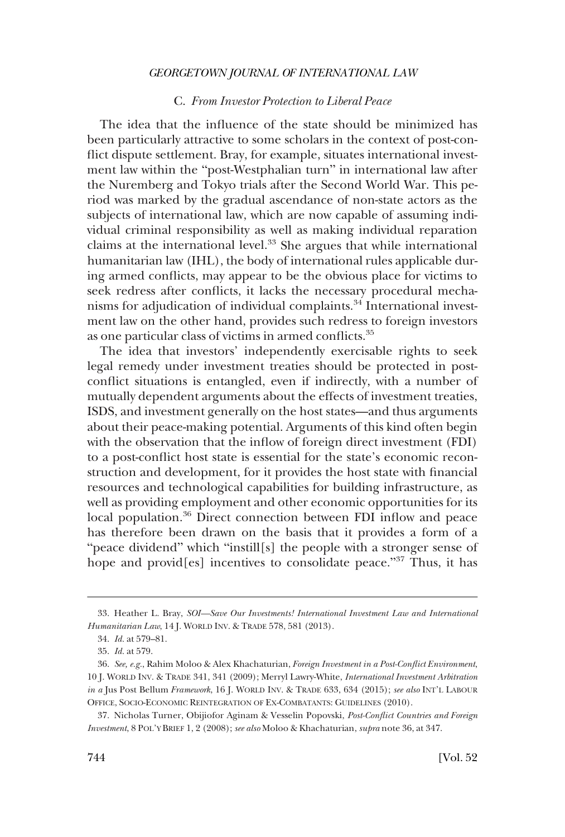## C. *From Investor Protection to Liberal Peace*

<span id="page-9-0"></span>The idea that the influence of the state should be minimized has been particularly attractive to some scholars in the context of post-conflict dispute settlement. Bray, for example, situates international investment law within the "post-Westphalian turn" in international law after the Nuremberg and Tokyo trials after the Second World War. This period was marked by the gradual ascendance of non-state actors as the subjects of international law, which are now capable of assuming individual criminal responsibility as well as making individual reparation claims at the international level.<sup>33</sup> She argues that while international humanitarian law (IHL), the body of international rules applicable during armed conflicts, may appear to be the obvious place for victims to seek redress after conflicts, it lacks the necessary procedural mechanisms for adjudication of individual complaints.34 International investment law on the other hand, provides such redress to foreign investors as one particular class of victims in armed conflicts.35

The idea that investors' independently exercisable rights to seek legal remedy under investment treaties should be protected in postconflict situations is entangled, even if indirectly, with a number of mutually dependent arguments about the effects of investment treaties, ISDS, and investment generally on the host states—and thus arguments about their peace-making potential. Arguments of this kind often begin with the observation that the inflow of foreign direct investment (FDI) to a post-conflict host state is essential for the state's economic reconstruction and development, for it provides the host state with financial resources and technological capabilities for building infrastructure, as well as providing employment and other economic opportunities for its local population.<sup>36</sup> Direct connection between FDI inflow and peace has therefore been drawn on the basis that it provides a form of a "peace dividend" which "instill[s] the people with a stronger sense of hope and provid[es] incentives to consolidate peace."37 Thus, it has

<sup>33.</sup> Heather L. Bray, *SOI—Save Our Investments! International Investment Law and International Humanitarian Law*, 14 J. WORLD INV. & TRADE 578, 581 (2013).

<sup>34.</sup> *Id.* at 579–81.

<sup>35.</sup> *Id.* at 579.

<sup>36.</sup> *See, e.g.*, Rahim Moloo & Alex Khachaturian, *Foreign Investment in a Post-Conflict Environment*, 10 J. WORLD INV. & TRADE 341, 341 (2009); Merryl Lawry-White, *International Investment Arbitration in a* Jus Post Bellum *Framework*, 16 J. WORLD INV. & TRADE 633, 634 (2015); *see also* INT'L LABOUR OFFICE, SOCIO-ECONOMIC REINTEGRATION OF EX-COMBATANTS: GUIDELINES (2010).

<sup>37.</sup> Nicholas Turner, Obijiofor Aginam & Vesselin Popovski, *Post-Conflict Countries and Foreign Investment*, 8 POL'Y BRIEF 1, 2 (2008); *see also* Moloo & Khachaturian, *supra* note 36, at 347.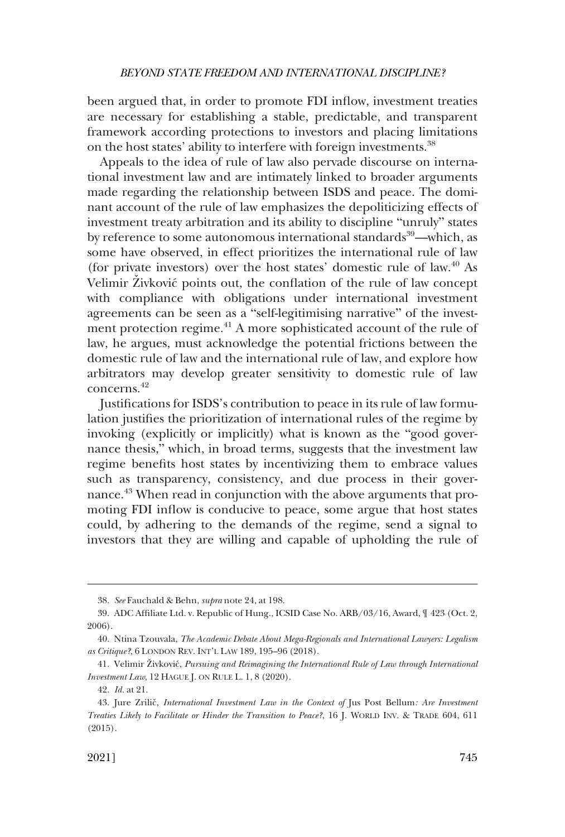been argued that, in order to promote FDI inflow, investment treaties are necessary for establishing a stable, predictable, and transparent framework according protections to investors and placing limitations on the host states' ability to interfere with foreign investments.<sup>38</sup>

Appeals to the idea of rule of law also pervade discourse on international investment law and are intimately linked to broader arguments made regarding the relationship between ISDS and peace. The dominant account of the rule of law emphasizes the depoliticizing effects of investment treaty arbitration and its ability to discipline "unruly" states by reference to some autonomous international standards<sup>39</sup>—which, as some have observed, in effect prioritizes the international rule of law (for private investors) over the host states' domestic rule of law.40 As Velimir Živković points out, the conflation of the rule of law concept with compliance with obligations under international investment agreements can be seen as a "self-legitimising narrative" of the investment protection regime.<sup>41</sup> A more sophisticated account of the rule of law, he argues, must acknowledge the potential frictions between the domestic rule of law and the international rule of law, and explore how arbitrators may develop greater sensitivity to domestic rule of law concerns<sup>42</sup>

Justifications for ISDS's contribution to peace in its rule of law formulation justifies the prioritization of international rules of the regime by invoking (explicitly or implicitly) what is known as the "good governance thesis," which, in broad terms, suggests that the investment law regime benefits host states by incentivizing them to embrace values such as transparency, consistency, and due process in their governance.43 When read in conjunction with the above arguments that promoting FDI inflow is conducive to peace, some argue that host states could, by adhering to the demands of the regime, send a signal to investors that they are willing and capable of upholding the rule of

<sup>38.</sup> *See* Fauchald & Behn, *supra* note 24, at 198.

<sup>39.</sup> ADC Affiliate Ltd. v. Republic of Hung., ICSID Case No. ARB/03/16, Award, ¶ 423 (Oct. 2, 2006).

<sup>40.</sup> Ntina Tzouvala, *The Academic Debate About Mega-Regionals and International Lawyers: Legalism as Critique?*, 6 LONDON REV. INT'L LAW 189, 195–96 (2018).

<sup>41.</sup> Velimir Živković, *Pursuing and Reimagining the International Rule of Law through International Investment Law*, 12 HAGUE J. ON RULE L. 1, 8 (2020).

<sup>42.</sup> *Id.* at 21.

<sup>43.</sup> Jure Zrilič, *International Investment Law in the Context of* Jus Post Bellum: Are Investment *Treaties Likely to Facilitate or Hinder the Transition to Peace?*, 16 J. WORLD INV. & TRADE 604, 611 (2015).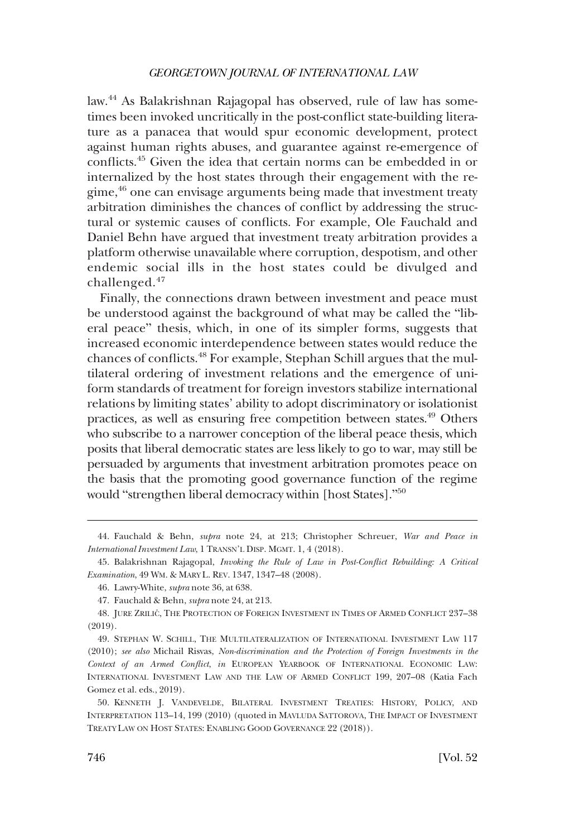law.44 As Balakrishnan Rajagopal has observed, rule of law has sometimes been invoked uncritically in the post-conflict state-building literature as a panacea that would spur economic development, protect against human rights abuses, and guarantee against re-emergence of conflicts.45 Given the idea that certain norms can be embedded in or internalized by the host states through their engagement with the regime,46 one can envisage arguments being made that investment treaty arbitration diminishes the chances of conflict by addressing the structural or systemic causes of conflicts. For example, Ole Fauchald and Daniel Behn have argued that investment treaty arbitration provides a platform otherwise unavailable where corruption, despotism, and other endemic social ills in the host states could be divulged and challenged.<sup>47</sup>

Finally, the connections drawn between investment and peace must be understood against the background of what may be called the "liberal peace" thesis, which, in one of its simpler forms, suggests that increased economic interdependence between states would reduce the chances of conflicts.48 For example, Stephan Schill argues that the multilateral ordering of investment relations and the emergence of uniform standards of treatment for foreign investors stabilize international relations by limiting states' ability to adopt discriminatory or isolationist practices, as well as ensuring free competition between states.49 Others who subscribe to a narrower conception of the liberal peace thesis, which posits that liberal democratic states are less likely to go to war, may still be persuaded by arguments that investment arbitration promotes peace on the basis that the promoting good governance function of the regime would "strengthen liberal democracy within [host States]."<sup>50</sup>

<sup>44.</sup> Fauchald & Behn, *supra* note 24, at 213; Christopher Schreuer, *War and Peace in International Investment Law*, 1 TRANSN'L DISP. MGMT. 1, 4 (2018).

<sup>45.</sup> Balakrishnan Rajagopal, *Invoking the Rule of Law in Post-Conflict Rebuilding: A Critical Examination*, 49 WM. & MARY L. REV. 1347, 1347–48 (2008).

<sup>46.</sup> Lawry-White, *supra* note 36, at 638.

<sup>47.</sup> Fauchald & Behn, *supra* note 24, at 213.

<sup>48.</sup> JURE ZRILIČ, THE PROTECTION OF FOREIGN INVESTMENT IN TIMES OF ARMED CONFLICT 237-38 (2019).

<sup>49.</sup> STEPHAN W. SCHILL, THE MULTILATERALIZATION OF INTERNATIONAL INVESTMENT LAW 117 (2010); *see also* Michail Risvas, *Non-discrimination and the Protection of Foreign Investments in the Context of an Armed Conflict*, *in* EUROPEAN YEARBOOK OF INTERNATIONAL ECONOMIC LAW: INTERNATIONAL INVESTMENT LAW AND THE LAW OF ARMED CONFLICT 199, 207–08 (Katia Fach Gomez et al. eds., 2019).

<sup>50.</sup> KENNETH J. VANDEVELDE, BILATERAL INVESTMENT TREATIES: HISTORY, POLICY, AND INTERPRETATION 113–14, 199 (2010) (quoted in MAVLUDA SATTOROVA, THE IMPACT OF INVESTMENT TREATY LAW ON HOST STATES: ENABLING GOOD GOVERNANCE 22 (2018)).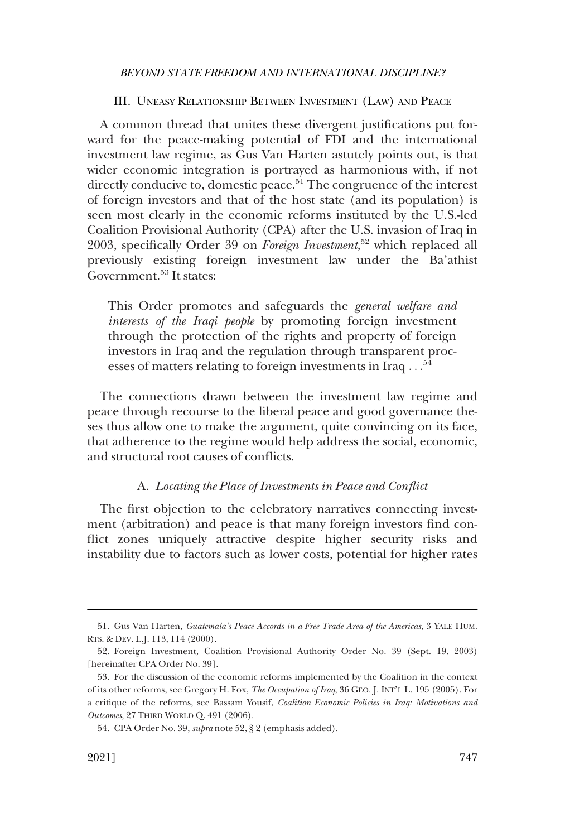#### III. UNEASY RELATIONSHIP BETWEEN INVESTMENT (LAW) AND PEACE

<span id="page-12-0"></span>A common thread that unites these divergent justifications put forward for the peace-making potential of FDI and the international investment law regime, as Gus Van Harten astutely points out, is that wider economic integration is portrayed as harmonious with, if not directly conducive to, domestic peace.<sup>51</sup> The congruence of the interest of foreign investors and that of the host state (and its population) is seen most clearly in the economic reforms instituted by the U.S.-led Coalition Provisional Authority (CPA) after the U.S. invasion of Iraq in 2003, specifically Order 39 on *Foreign Investment*, 52 which replaced all previously existing foreign investment law under the Ba'athist Government.<sup>53</sup> It states:

This Order promotes and safeguards the *general welfare and interests of the Iraqi people* by promoting foreign investment through the protection of the rights and property of foreign investors in Iraq and the regulation through transparent processes of matters relating to foreign investments in Iraq . . .<sup>54</sup>

The connections drawn between the investment law regime and peace through recourse to the liberal peace and good governance theses thus allow one to make the argument, quite convincing on its face, that adherence to the regime would help address the social, economic, and structural root causes of conflicts.

#### A. *Locating the Place of Investments in Peace and Conflict*

The first objection to the celebratory narratives connecting investment (arbitration) and peace is that many foreign investors find conflict zones uniquely attractive despite higher security risks and instability due to factors such as lower costs, potential for higher rates

<sup>51.</sup> Gus Van Harten, *Guatemala's Peace Accords in a Free Trade Area of the Americas*, 3 YALE HUM. RTS. & DEV. L.J. 113, 114 (2000).

<sup>52.</sup> Foreign Investment, Coalition Provisional Authority Order No. 39 (Sept. 19, 2003) [hereinafter CPA Order No. 39].

<sup>53.</sup> For the discussion of the economic reforms implemented by the Coalition in the context of its other reforms, see Gregory H. Fox, *The Occupation of Iraq*, 36 GEO. J. INT'L L. 195 (2005). For a critique of the reforms, see Bassam Yousif, *Coalition Economic Policies in Iraq: Motivations and Outcomes*, 27 THIRD WORLD Q. 491 (2006).

<sup>54.</sup> CPA Order No. 39, *supra* note 52, § 2 (emphasis added).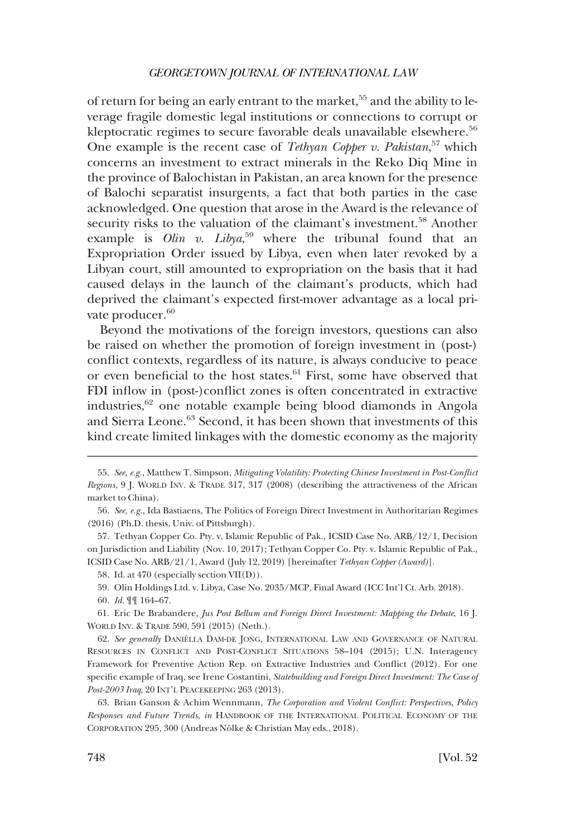of return for being an early entrant to the market,<sup>55</sup> and the ability to leverage fragile domestic legal institutions or connections to corrupt or kleptocratic regimes to secure favorable deals unavailable elsewhere.<sup>56</sup> One example is the recent case of *Tethyan Copper v. Pakistan*, 57 which concerns an investment to extract minerals in the Reko Diq Mine in the province of Balochistan in Pakistan, an area known for the presence of Balochi separatist insurgents, a fact that both parties in the case acknowledged. One question that arose in the Award is the relevance of security risks to the valuation of the claimant's investment.<sup>58</sup> Another example is *Olin v. Libya*, 59 where the tribunal found that an Expropriation Order issued by Libya, even when later revoked by a Libyan court, still amounted to expropriation on the basis that it had caused delays in the launch of the claimant's products, which had deprived the claimant's expected first-mover advantage as a local private producer.<sup>60</sup>

Beyond the motivations of the foreign investors, questions can also be raised on whether the promotion of foreign investment in (post-) conflict contexts, regardless of its nature, is always conducive to peace or even beneficial to the host states.<sup>61</sup> First, some have observed that FDI inflow in (post-)conflict zones is often concentrated in extractive industries, $62$  one notable example being blood diamonds in Angola and Sierra Leone.63 Second, it has been shown that investments of this kind create limited linkages with the domestic economy as the majority

61. Eric De Brabandere, *Jus Post Bellum and Foreign Direct Investment: Mapping the Debate*, 16 J. WORLD INV. & TRADE 590, 591 (2015) (Neth.).

62. See generally DANIELLA DAM-DE JONG, INTERNATIONAL LAW AND GOVERNANCE OF NATURAL RESOURCES IN CONFLICT AND POST-CONFLICT SITUATIONS 58–104 (2015); U.N. Interagency Framework for Preventive Action Rep. on Extractive Industries and Conflict (2012). For one specific example of Iraq, see Irene Costantini, *Statebuilding and Foreign Direct Investment: The Case of Post-2003 Iraq*, 20 INT'L PEACEKEEPING 263 (2013).

63. Brian Ganson & Achim Wennmann, *The Corporation and Violent Conflict: Perspectives, Policy Responses and Future Trends*, *in* HANDBOOK OF THE INTERNATIONAL POLITICAL ECONOMY OF THE CORPORATION 295, 300 (Andreas Nölke & Christian May eds., 2018).

<sup>55.</sup> *See, e.g.*, Matthew T. Simpson, *Mitigating Volatility: Protecting Chinese Investment in Post-Conflict Regions*, 9 J. WORLD INV. & TRADE 317, 317 (2008) (describing the attractiveness of the African market to China).

<sup>56.</sup> *See, e.g.*, Ida Bastiaens, The Politics of Foreign Direct Investment in Authoritarian Regimes (2016) (Ph.D. thesis, Univ. of Pittsburgh).

<sup>57.</sup> Tethyan Copper Co. Pty. v. Islamic Republic of Pak., ICSID Case No. ARB/12/1, Decision on Jurisdiction and Liability (Nov. 10, 2017); Tethyan Copper Co. Pty. v. Islamic Republic of Pak., ICSID Case No. ARB/21/1, Award (July 12, 2019) [hereinafter *Tethyan Copper (Award)*].

<sup>58.</sup> Id. at 470 (especially section VII(D)).

<sup>59.</sup> Olin Holdings Ltd. v. Libya, Case No. 2035/MCP, Final Award (ICC Int'l Ct. Arb. 2018).

<sup>60.</sup> *Id.* ¶¶ 164–67.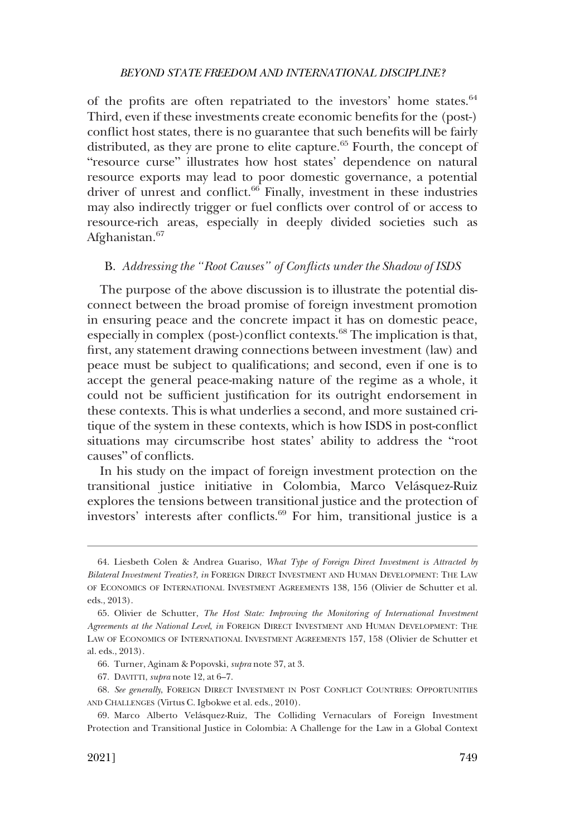<span id="page-14-0"></span>of the profits are often repatriated to the investors' home states.<sup>64</sup> Third, even if these investments create economic benefits for the (post-) conflict host states, there is no guarantee that such benefits will be fairly distributed, as they are prone to elite capture.<sup>65</sup> Fourth, the concept of "resource curse" illustrates how host states' dependence on natural resource exports may lead to poor domestic governance, a potential driver of unrest and conflict.<sup>66</sup> Finally, investment in these industries may also indirectly trigger or fuel conflicts over control of or access to resource-rich areas, especially in deeply divided societies such as Afghanistan.<sup>67</sup>

## B. *Addressing the "Root Causes" of Conflicts under the Shadow of ISDS*

The purpose of the above discussion is to illustrate the potential disconnect between the broad promise of foreign investment promotion in ensuring peace and the concrete impact it has on domestic peace, especially in complex (post-)conflict contexts.<sup>68</sup> The implication is that, first, any statement drawing connections between investment (law) and peace must be subject to qualifications; and second, even if one is to accept the general peace-making nature of the regime as a whole, it could not be sufficient justification for its outright endorsement in these contexts. This is what underlies a second, and more sustained critique of the system in these contexts, which is how ISDS in post-conflict situations may circumscribe host states' ability to address the "root causes" of conflicts.

In his study on the impact of foreign investment protection on the transitional justice initiative in Colombia, Marco Velásquez-Ruiz explores the tensions between transitional justice and the protection of investors' interests after conflicts. $69$  For him, transitional justice is a

<sup>64.</sup> Liesbeth Colen & Andrea Guariso, *What Type of Foreign Direct Investment is Attracted by Bilateral Investment Treaties?*, *in* FOREIGN DIRECT INVESTMENT AND HUMAN DEVELOPMENT: THE LAW OF ECONOMICS OF INTERNATIONAL INVESTMENT AGREEMENTS 138, 156 (Olivier de Schutter et al. eds., 2013).

<sup>65.</sup> Olivier de Schutter, *The Host State: Improving the Monitoring of International Investment Agreements at the National Level*, *in* FOREIGN DIRECT INVESTMENT AND HUMAN DEVELOPMENT: THE LAW OF ECONOMICS OF INTERNATIONAL INVESTMENT AGREEMENTS 157, 158 (Olivier de Schutter et al. eds., 2013).

<sup>66.</sup> Turner, Aginam & Popovski, *supra* note 37, at 3.

<sup>67.</sup> DAVITTI, *supra* note 12, at 6–7.

<sup>68.</sup> *See generally*, FOREIGN DIRECT INVESTMENT IN POST CONFLICT COUNTRIES: OPPORTUNITIES AND CHALLENGES (Virtus C. Igbokwe et al. eds., 2010).

<sup>69.</sup> Marco Alberto Velásquez-Ruiz, The Colliding Vernaculars of Foreign Investment Protection and Transitional Justice in Colombia: A Challenge for the Law in a Global Context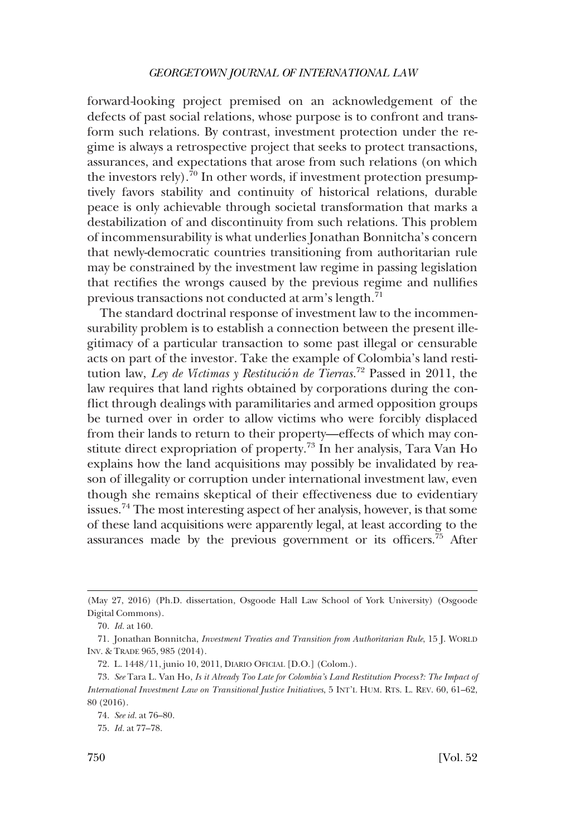forward*-*looking project premised on an acknowledgement of the defects of past social relations, whose purpose is to confront and transform such relations. By contrast, investment protection under the regime is always a retrospective project that seeks to protect transactions, assurances, and expectations that arose from such relations (on which the investors rely).<sup>70</sup> In other words, if investment protection presumptively favors stability and continuity of historical relations, durable peace is only achievable through societal transformation that marks a destabilization of and discontinuity from such relations. This problem of incommensurability is what underlies Jonathan Bonnitcha's concern that newly-democratic countries transitioning from authoritarian rule may be constrained by the investment law regime in passing legislation that rectifies the wrongs caused by the previous regime and nullifies previous transactions not conducted at arm's length.<sup>71</sup>

The standard doctrinal response of investment law to the incommensurability problem is to establish a connection between the present illegitimacy of a particular transaction to some past illegal or censurable acts on part of the investor. Take the example of Colombia's land restitution law, *Ley de Víctimas y Restitución de Tierras.*72 Passed in 2011, the law requires that land rights obtained by corporations during the conflict through dealings with paramilitaries and armed opposition groups be turned over in order to allow victims who were forcibly displaced from their lands to return to their property—effects of which may constitute direct expropriation of property.73 In her analysis, Tara Van Ho explains how the land acquisitions may possibly be invalidated by reason of illegality or corruption under international investment law, even though she remains skeptical of their effectiveness due to evidentiary issues.74 The most interesting aspect of her analysis, however, is that some of these land acquisitions were apparently legal, at least according to the assurances made by the previous government or its officers. $75$  After

<sup>(</sup>May 27, 2016) (Ph.D. dissertation, Osgoode Hall Law School of York University) (Osgoode Digital Commons).

<sup>70.</sup> *Id.* at 160.

<sup>71.</sup> Jonathan Bonnitcha, *Investment Treaties and Transition from Authoritarian Rule*, 15 J. WORLD INV. & TRADE 965, 985 (2014).

<sup>72.</sup> L. 1448/11, junio 10, 2011, DIARIO OFICIAL [D.O.] (Colom.).

<sup>73.</sup> *See* Tara L. Van Ho, *Is it Already Too Late for Colombia's Land Restitution Process?: The Impact of International Investment Law on Transitional Justice Initiatives*, 5 INT'L HUM. RTS. L. REV. 60, 61–62, 80 (2016).

<sup>74.</sup> *See id.* at 76–80.

<sup>75.</sup> *Id.* at 77–78.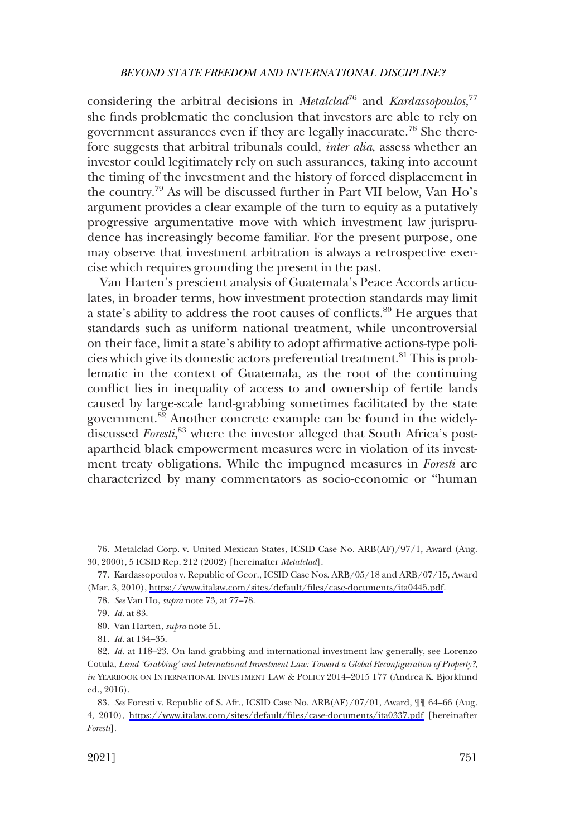considering the arbitral decisions in *Metalclad*<sup>76</sup> and *Kardassopoulos*,<sup>77</sup> she finds problematic the conclusion that investors are able to rely on government assurances even if they are legally inaccurate.78 She therefore suggests that arbitral tribunals could, *inter alia*, assess whether an investor could legitimately rely on such assurances, taking into account the timing of the investment and the history of forced displacement in the country.79 As will be discussed further in Part VII below, Van Ho's argument provides a clear example of the turn to equity as a putatively progressive argumentative move with which investment law jurisprudence has increasingly become familiar. For the present purpose, one may observe that investment arbitration is always a retrospective exercise which requires grounding the present in the past.

Van Harten's prescient analysis of Guatemala's Peace Accords articulates, in broader terms, how investment protection standards may limit a state's ability to address the root causes of conflicts.80 He argues that standards such as uniform national treatment, while uncontroversial on their face, limit a state's ability to adopt affirmative actions-type policies which give its domestic actors preferential treatment.81 This is problematic in the context of Guatemala, as the root of the continuing conflict lies in inequality of access to and ownership of fertile lands caused by large-scale land-grabbing sometimes facilitated by the state government.<sup>82</sup> Another concrete example can be found in the widelydiscussed *Foresti*, 83 where the investor alleged that South Africa's postapartheid black empowerment measures were in violation of its investment treaty obligations. While the impugned measures in *Foresti* are characterized by many commentators as socio-economic or "human

<sup>76.</sup> Metalclad Corp. v. United Mexican States, ICSID Case No. ARB(AF)/97/1, Award (Aug. 30, 2000), 5 ICSID Rep. 212 (2002) [hereinafter *Metalclad*].

<sup>77.</sup> Kardassopoulos v. Republic of Geor., ICSID Case Nos. ARB/05/18 and ARB/07/15, Award (Mar. 3, 2010), [https://www.italaw.com/sites/default/files/case-documents/ita0445.pdf.](https://www.italaw.com/sites/default/files/case-documents/ita0445.pdf)

<sup>78.</sup> *See* Van Ho, *supra* note 73, at 77–78.

<sup>79.</sup> *Id.* at 83.

<sup>80.</sup> Van Harten, *supra* note 51.

<sup>81.</sup> *Id.* at 134–35.

<sup>82.</sup> *Id.* at 118-23. On land grabbing and international investment law generally, see Lorenzo Cotula, *Land 'Grabbing' and International Investment Law: Toward a Global Reconfiguration of Property?*, *in* YEARBOOK ON INTERNATIONAL INVESTMENT LAW & POLICY 2014–2015 177 (Andrea K. Bjorklund ed., 2016).

<sup>83.</sup> See Foresti v. Republic of S. Afr., ICSID Case No. ARB(AF)/07/01, Award,  $\int$  64–66 (Aug. 4, 2010), <https://www.italaw.com/sites/default/files/case-documents/ita0337.pdf>[hereinafter *Foresti*].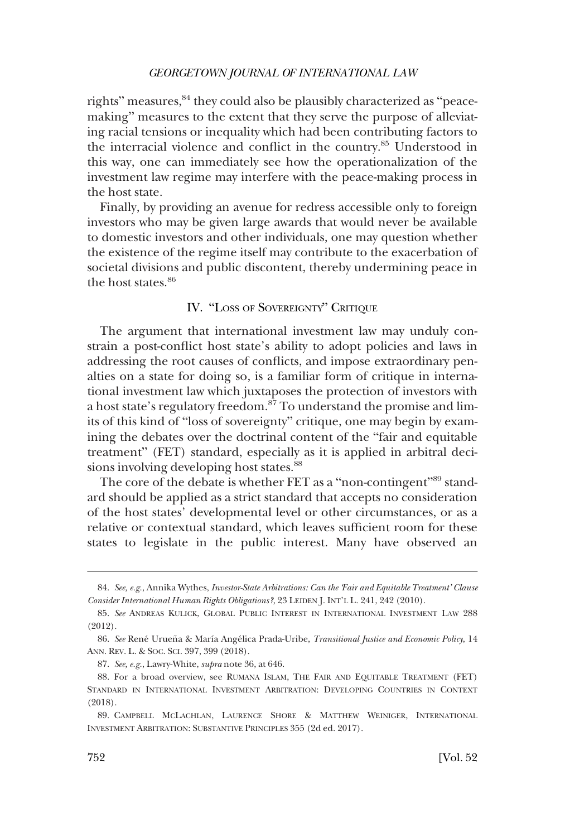<span id="page-17-0"></span>rights" measures,<sup>84</sup> they could also be plausibly characterized as "peacemaking" measures to the extent that they serve the purpose of alleviating racial tensions or inequality which had been contributing factors to the interracial violence and conflict in the country.<sup>85</sup> Understood in this way, one can immediately see how the operationalization of the investment law regime may interfere with the peace-making process in the host state.

Finally, by providing an avenue for redress accessible only to foreign investors who may be given large awards that would never be available to domestic investors and other individuals, one may question whether the existence of the regime itself may contribute to the exacerbation of societal divisions and public discontent, thereby undermining peace in the host states.<sup>86</sup>

## IV. "LOSS OF SOVEREIGNTY" CRITIQUE

The argument that international investment law may unduly constrain a post-conflict host state's ability to adopt policies and laws in addressing the root causes of conflicts, and impose extraordinary penalties on a state for doing so, is a familiar form of critique in international investment law which juxtaposes the protection of investors with a host state's regulatory freedom.<sup>87</sup> To understand the promise and limits of this kind of "loss of sovereignty" critique, one may begin by examining the debates over the doctrinal content of the "fair and equitable treatment" (FET) standard, especially as it is applied in arbitral decisions involving developing host states.<sup>88</sup>

The core of the debate is whether FET as a "non-contingent"<sup>89</sup> standard should be applied as a strict standard that accepts no consideration of the host states' developmental level or other circumstances, or as a relative or contextual standard, which leaves sufficient room for these states to legislate in the public interest. Many have observed an

<sup>84.</sup> *See, e.g.*, Annika Wythes, *Investor-State Arbitrations: Can the 'Fair and Equitable Treatment' Clause Consider International Human Rights Obligations?*, 23 LEIDEN J. INT'L L. 241, 242 (2010).

<sup>85.</sup> *See* ANDREAS KULICK, GLOBAL PUBLIC INTEREST IN INTERNATIONAL INVESTMENT LAW 288 (2012).

<sup>86.</sup> See René Urueña & María Angélica Prada-Uribe, *Transitional Justice and Economic Policy*, 14 ANN. REV. L. & SOC. SCI. 397, 399 (2018).

<sup>87.</sup> *See, e.g.*, Lawry-White, *supra* note 36, at 646.

<sup>88.</sup> For a broad overview, see RUMANA ISLAM, THE FAIR AND EQUITABLE TREATMENT (FET) STANDARD IN INTERNATIONAL INVESTMENT ARBITRATION: DEVELOPING COUNTRIES IN CONTEXT (2018).

<sup>89.</sup> CAMPBELL MCLACHLAN, LAURENCE SHORE & MATTHEW WEINIGER, INTERNATIONAL INVESTMENT ARBITRATION: SUBSTANTIVE PRINCIPLES 355 (2d ed. 2017).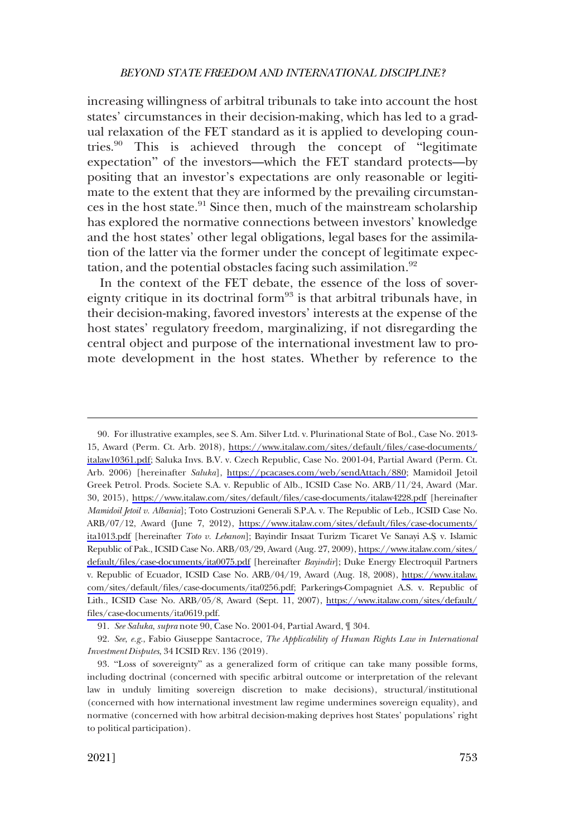increasing willingness of arbitral tribunals to take into account the host states' circumstances in their decision-making, which has led to a gradual relaxation of the FET standard as it is applied to developing countries.<sup>90</sup> This is achieved through the concept of "legitimate expectation" of the investors—which the FET standard protects—by positing that an investor's expectations are only reasonable or legitimate to the extent that they are informed by the prevailing circumstances in the host state. $91$  Since then, much of the mainstream scholarship has explored the normative connections between investors' knowledge and the host states' other legal obligations, legal bases for the assimilation of the latter via the former under the concept of legitimate expectation, and the potential obstacles facing such assimilation.<sup>92</sup>

In the context of the FET debate, the essence of the loss of sovereignty critique in its doctrinal form $93$  is that arbitral tribunals have, in their decision-making, favored investors' interests at the expense of the host states' regulatory freedom, marginalizing, if not disregarding the central object and purpose of the international investment law to promote development in the host states. Whether by reference to the

For illustrative examples, see S. Am. Silver Ltd. v. Plurinational State of Bol., Case No. 2013- 90. 15, Award (Perm. Ct. Arb. 2018), [https://www.italaw.com/sites/default/files/case-documents/](https://www.italaw.com/sites/default/files/case-documents/italaw10361.pdf) [italaw10361.pdf](https://www.italaw.com/sites/default/files/case-documents/italaw10361.pdf); Saluka Invs. B.V. v. Czech Republic, Case No. 2001-04, Partial Award (Perm. Ct. Arb. 2006) [hereinafter *Saluka*], [https://pcacases.com/web/sendAttach/880;](https://pcacases.com/web/sendAttach/880) Mamidoil Jetoil Greek Petrol. Prods. Societe S.A. v. Republic of Alb., ICSID Case No. ARB/11/24, Award (Mar. 30, 2015), <https://www.italaw.com/sites/default/files/case-documents/italaw4228.pdf> [hereinafter *Mamidoil Jetoil v. Albania*]; Toto Costruzioni Generali S.P.A. v. The Republic of Leb., ICSID Case No. ARB/07/12, Award (June 7, 2012), [https://www.italaw.com/sites/default/files/case-documents/](https://www.italaw.com/sites/default/files/case-documents/ita1013.pdf)  [ita1013.pdf](https://www.italaw.com/sites/default/files/case-documents/ita1013.pdf) [hereinafter *Toto v. Lebanon*]; Bayindir Insaat Turizm Ticaret Ve Sanayi A.S¸. v. Islamic Republic of Pak., ICSID Case No. ARB/03/29, Award (Aug. 27, 2009), [https://www.italaw.com/sites/](https://www.italaw.com/sites/default/files/case-documents/ita0075.pdf)  [default/files/case-documents/ita0075.pdf](https://www.italaw.com/sites/default/files/case-documents/ita0075.pdf) [hereinafter *Bayindir*]; Duke Energy Electroquil Partners v. Republic of Ecuador, ICSID Case No. ARB/04/19, Award (Aug. 18, 2008), [https://www.italaw.](https://www.italaw.com/sites/default/files/case-documents/ita0256.pdf)  [com/sites/default/files/case-documents/ita0256.pdf;](https://www.italaw.com/sites/default/files/case-documents/ita0256.pdf) Parkerings-Compagniet A.S. v. Republic of Lith., ICSID Case No. ARB/05/8, Award (Sept. 11, 2007), [https://www.italaw.com/sites/default/](https://www.italaw.com/sites/default/files/case-documents/ita0619.pdf)  [files/case-documents/ita0619.pdf.](https://www.italaw.com/sites/default/files/case-documents/ita0619.pdf)

<sup>91.</sup> *See Saluka*, *supra* note 90, Case No. 2001-04, Partial Award, ¶ 304.

<sup>92.</sup> *See*, *e.g.*, Fabio Giuseppe Santacroce, *The Applicability of Human Rights Law in International Investment Disputes*, 34 ICSID REV. 136 (2019).

<sup>93.</sup> "Loss of sovereignty" as a generalized form of critique can take many possible forms, including doctrinal (concerned with specific arbitral outcome or interpretation of the relevant law in unduly limiting sovereign discretion to make decisions), structural/institutional (concerned with how international investment law regime undermines sovereign equality), and normative (concerned with how arbitral decision-making deprives host States' populations' right to political participation).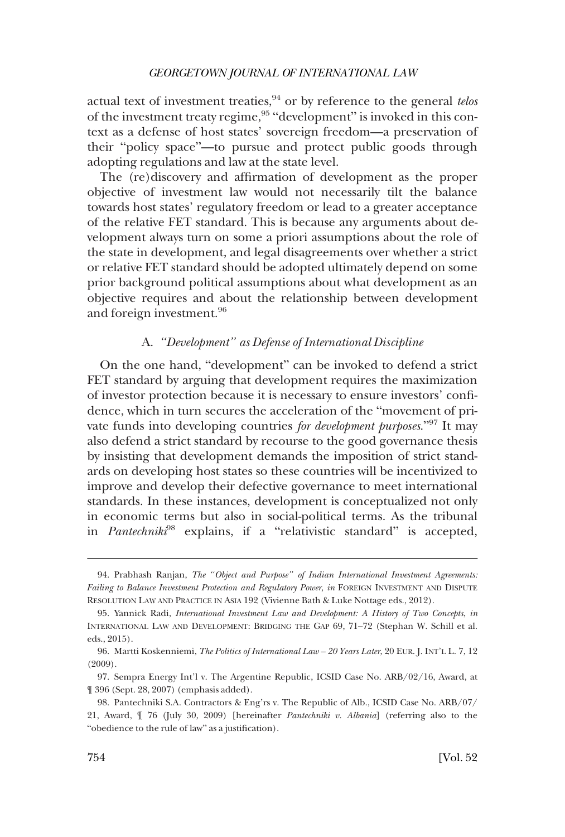<span id="page-19-0"></span>actual text of investment treaties,<sup>94</sup> or by reference to the general *telos* of the investment treaty regime,<sup>95</sup> "development" is invoked in this context as a defense of host states' sovereign freedom—a preservation of their "policy space"—to pursue and protect public goods through adopting regulations and law at the state level.

The (re)discovery and affirmation of development as the proper objective of investment law would not necessarily tilt the balance towards host states' regulatory freedom or lead to a greater acceptance of the relative FET standard. This is because any arguments about development always turn on some a priori assumptions about the role of the state in development, and legal disagreements over whether a strict or relative FET standard should be adopted ultimately depend on some prior background political assumptions about what development as an objective requires and about the relationship between development and foreign investment.<sup>96</sup>

## A. *"Development" as Defense of International Discipline*

On the one hand, "development" can be invoked to defend a strict FET standard by arguing that development requires the maximization of investor protection because it is necessary to ensure investors' confidence, which in turn secures the acceleration of the "movement of private funds into developing countries *for development purposes*."97 It may also defend a strict standard by recourse to the good governance thesis by insisting that development demands the imposition of strict standards on developing host states so these countries will be incentivized to improve and develop their defective governance to meet international standards. In these instances, development is conceptualized not only in economic terms but also in social-political terms. As the tribunal in *Pantechniki*98 explains, if a "relativistic standard" is accepted,

<sup>94.</sup> Prabhash Ranjan, *The "Object and Purpose" of Indian International Investment Agreements: Failing to Balance Investment Protection and Regulatory Power*, *in* FOREIGN INVESTMENT AND DISPUTE RESOLUTION LAW AND PRACTICE IN ASIA 192 (Vivienne Bath & Luke Nottage eds., 2012).

<sup>95.</sup> Yannick Radi, *International Investment Law and Development: A History of Two Concepts*, *in*  INTERNATIONAL LAW AND DEVELOPMENT: BRIDGING THE GAP 69, 71–72 (Stephan W. Schill et al. eds., 2015).

<sup>96.</sup> Martti Koskenniemi, *The Politics of International Law – 20 Years Later*, 20 EUR. J. INT'L L. 7, 12 (2009).

<sup>97.</sup> Sempra Energy Int'l v. The Argentine Republic, ICSID Case No. ARB/02/16, Award, at ¶ 396 (Sept. 28, 2007) (emphasis added).

<sup>98.</sup> Pantechniki S.A. Contractors & Eng'rs v. The Republic of Alb., ICSID Case No. ARB/07/ 21, Award, ¶ 76 (July 30, 2009) [hereinafter *Pantechniki v. Albania*] (referring also to the "obedience to the rule of law" as a justification).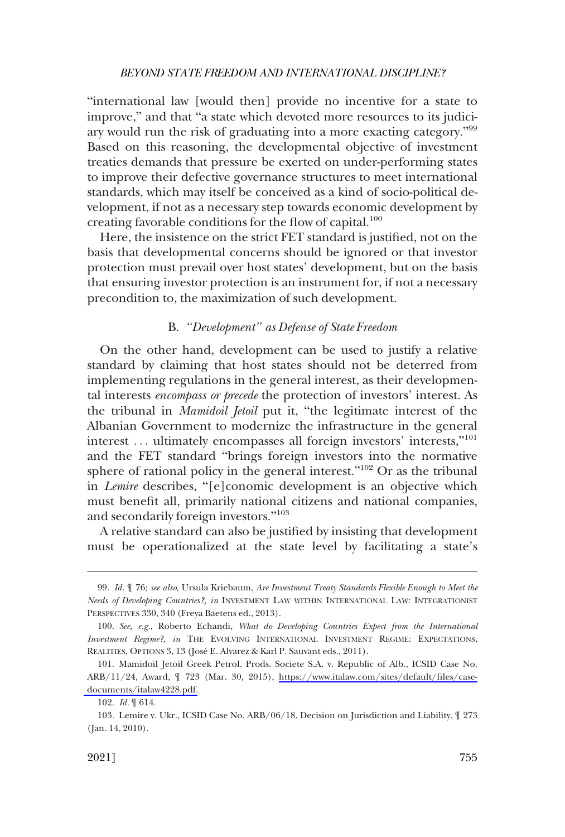<span id="page-20-0"></span>"international law [would then] provide no incentive for a state to improve," and that "a state which devoted more resources to its judiciary would run the risk of graduating into a more exacting category."<sup>99</sup> Based on this reasoning, the developmental objective of investment treaties demands that pressure be exerted on under-performing states to improve their defective governance structures to meet international standards, which may itself be conceived as a kind of socio-political development, if not as a necessary step towards economic development by creating favorable conditions for the flow of capital.<sup>100</sup>

Here, the insistence on the strict FET standard is justified, not on the basis that developmental concerns should be ignored or that investor protection must prevail over host states' development, but on the basis that ensuring investor protection is an instrument for, if not a necessary precondition to, the maximization of such development.

## B. "Development" as Defense of State Freedom

On the other hand, development can be used to justify a relative standard by claiming that host states should not be deterred from implementing regulations in the general interest, as their developmental interests *encompass or precede* the protection of investors' interest. As the tribunal in *Mamidoil Jetoil* put it, "the legitimate interest of the Albanian Government to modernize the infrastructure in the general interest ... ultimately encompasses all foreign investors' interests,"<sup>101</sup> and the FET standard "brings foreign investors into the normative sphere of rational policy in the general interest."102 Or as the tribunal in *Lemire* describes, "[e]conomic development is an objective which must benefit all, primarily national citizens and national companies, and secondarily foreign investors."<sup>103</sup>

A relative standard can also be justified by insisting that development must be operationalized at the state level by facilitating a state's

<sup>99.</sup> *Id.* ¶ 76; *see also*, Ursula Kriebaum, *Are Investment Treaty Standards Flexible Enough to Meet the Needs of Developing Countries?, in* INVESTMENT LAW WITHIN INTERNATIONAL LAW: INTEGRATIONIST PERSPECTIVES 330, 340 (Freya Baetens ed., 2013).

<sup>100.</sup> *See, e.g.*, Roberto Echandi, *What do Developing Countries Expect from the International Investment Regime?, in* THE EVOLVING INTERNATIONAL INVESTMENT REGIME: EXPECTATIONS, REALITIES, OPTIONS 3, 13 (José E. Alvarez & Karl P. Sauvant eds., 2011).

<sup>101.</sup> Mamidoil Jetoil Greek Petrol. Prods. Societe S.A. v. Republic of Alb., ICSID Case No. ARB/11/24, Award, ¶ 723 (Mar. 30, 2015), [https://www.italaw.com/sites/default/files/case](https://www.italaw.com/sites/default/files/case-documents/italaw4228.pdf)[documents/italaw4228.pdf.](https://www.italaw.com/sites/default/files/case-documents/italaw4228.pdf)

<sup>102.</sup> *Id.* ¶ 614.

<sup>103.</sup> Lemire v. Ukr., ICSID Case No. ARB/06/18, Decision on Jurisdiction and Liability, ¶ 273 (Jan. 14, 2010).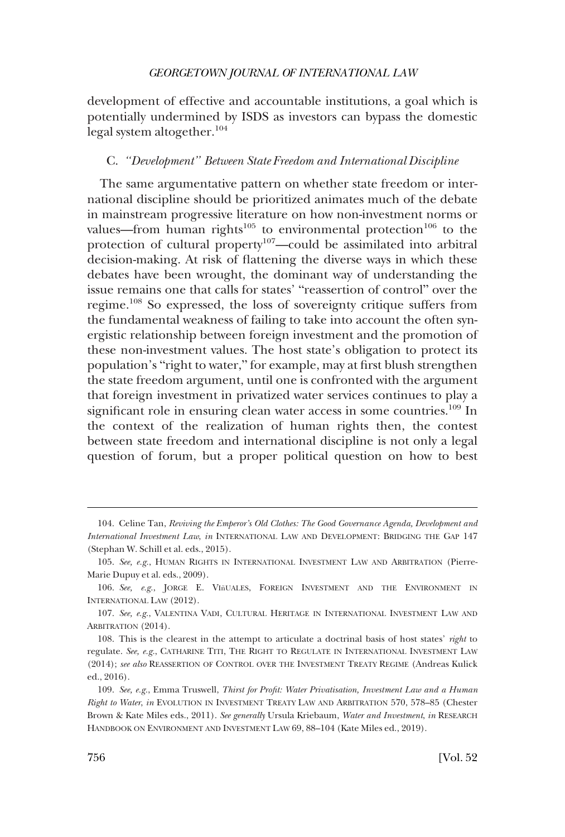<span id="page-21-0"></span>development of effective and accountable institutions, a goal which is potentially undermined by ISDS as investors can bypass the domestic legal system altogether.<sup>104</sup>

### C. *"Development" Between State Freedom and International Discipline*

The same argumentative pattern on whether state freedom or international discipline should be prioritized animates much of the debate in mainstream progressive literature on how non-investment norms or values—from human rights<sup>105</sup> to environmental protection<sup>106</sup> to the protection of cultural property<sup>107</sup>—could be assimilated into arbitral decision-making. At risk of flattening the diverse ways in which these debates have been wrought, the dominant way of understanding the issue remains one that calls for states' "reassertion of control" over the regime.108 So expressed, the loss of sovereignty critique suffers from the fundamental weakness of failing to take into account the often synergistic relationship between foreign investment and the promotion of these non-investment values. The host state's obligation to protect its population's "right to water," for example, may at first blush strengthen the state freedom argument, until one is confronted with the argument that foreign investment in privatized water services continues to play a significant role in ensuring clean water access in some countries.<sup>109</sup> In the context of the realization of human rights then, the contest between state freedom and international discipline is not only a legal question of forum, but a proper political question on how to best

<sup>104.</sup> Celine Tan, *Reviving the Emperor's Old Clothes: The Good Governance Agenda, Development and International Investment Law*, *in* INTERNATIONAL LAW AND DEVELOPMENT: BRIDGING THE GAP 147 (Stephan W. Schill et al. eds., 2015).

<sup>105.</sup> *See, e.g.*, HUMAN RIGHTS IN INTERNATIONAL INVESTMENT LAW AND ARBITRATION (Pierre-Marie Dupuy et al. eds., 2009).

<sup>106.</sup> See, e.g., JORGE E. VIñUALES, FOREIGN INVESTMENT AND THE ENVIRONMENT IN INTERNATIONAL LAW (2012).

<sup>107.</sup> *See, e.g.*, VALENTINA VADI, CULTURAL HERITAGE IN INTERNATIONAL INVESTMENT LAW AND ARBITRATION (2014).

<sup>108.</sup> This is the clearest in the attempt to articulate a doctrinal basis of host states' *right* to regulate. *See, e.g.*, CATHARINE TITI, THE RIGHT TO REGULATE IN INTERNATIONAL INVESTMENT LAW (2014); *see also* REASSERTION OF CONTROL OVER THE INVESTMENT TREATY REGIME (Andreas Kulick ed., 2016).

<sup>109.</sup> *See, e.g.*, Emma Truswell, *Thirst for Profit: Water Privatisation, Investment Law and a Human Right to Water*, *in* EVOLUTION IN INVESTMENT TREATY LAW AND ARBITRATION 570, 578–85 (Chester Brown & Kate Miles eds., 2011). *See generally* Ursula Kriebaum, *Water and Investment*, *in* RESEARCH HANDBOOK ON ENVIRONMENT AND INVESTMENT LAW 69, 88–104 (Kate Miles ed., 2019).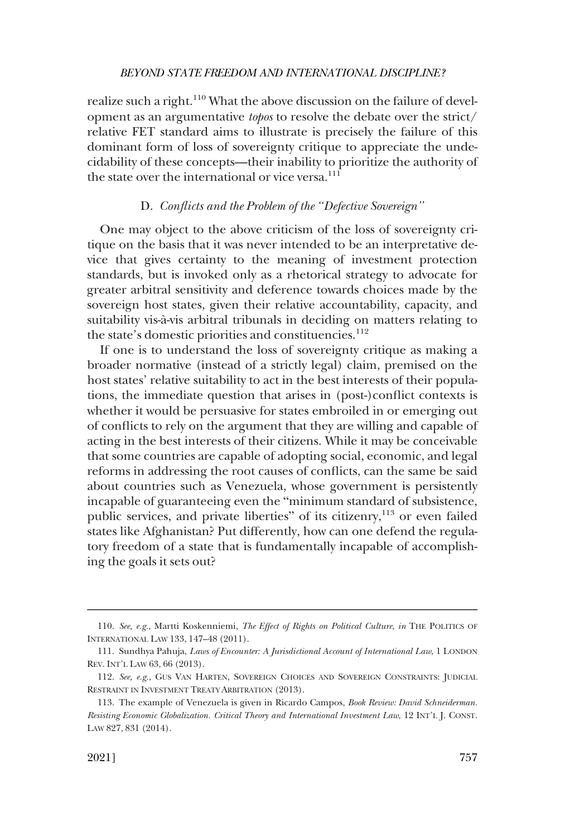<span id="page-22-0"></span>realize such a right.<sup>110</sup> What the above discussion on the failure of development as an argumentative *topos* to resolve the debate over the strict/ relative FET standard aims to illustrate is precisely the failure of this dominant form of loss of sovereignty critique to appreciate the undecidability of these concepts—their inability to prioritize the authority of the state over the international or vice versa.<sup>111</sup>

## D. *Conflicts and the Problem of the "Defective Sovereign"*

One may object to the above criticism of the loss of sovereignty critique on the basis that it was never intended to be an interpretative device that gives certainty to the meaning of investment protection standards, but is invoked only as a rhetorical strategy to advocate for greater arbitral sensitivity and deference towards choices made by the sovereign host states, given their relative accountability, capacity, and suitability vis-à-vis arbitral tribunals in deciding on matters relating to the state's domestic priorities and constituencies.<sup>112</sup>

If one is to understand the loss of sovereignty critique as making a broader normative (instead of a strictly legal) claim, premised on the host states' relative suitability to act in the best interests of their populations, the immediate question that arises in (post-)conflict contexts is whether it would be persuasive for states embroiled in or emerging out of conflicts to rely on the argument that they are willing and capable of acting in the best interests of their citizens. While it may be conceivable that some countries are capable of adopting social, economic, and legal reforms in addressing the root causes of conflicts, can the same be said about countries such as Venezuela, whose government is persistently incapable of guaranteeing even the "minimum standard of subsistence, public services, and private liberties" of its citizenry,<sup>113</sup> or even failed states like Afghanistan? Put differently, how can one defend the regulatory freedom of a state that is fundamentally incapable of accomplishing the goals it sets out?

<sup>110.</sup> *See, e.g.*, Martti Koskenniemi, *The Effect of Rights on Political Culture*, *in* THE POLITICS OF INTERNATIONAL LAW 133, 147–48 (2011).

<sup>111.</sup> Sundhya Pahuja, *Laws of Encounter: A Jurisdictional Account of International Law*, 1 LONDON REV. INT'L LAW 63, 66 (2013).

<sup>112.</sup> *See, e.g.*, GUS VAN HARTEN, SOVEREIGN CHOICES AND SOVEREIGN CONSTRAINTS: JUDICIAL RESTRAINT IN INVESTMENT TREATY ARBITRATION (2013).

<sup>113.</sup> The example of Venezuela is given in Ricardo Campos, *Book Review: David Schneiderman. Resisting Economic Globalization. Critical Theory and International Investment Law*, 12 INT'L J. CONST. LAW 827, 831 (2014).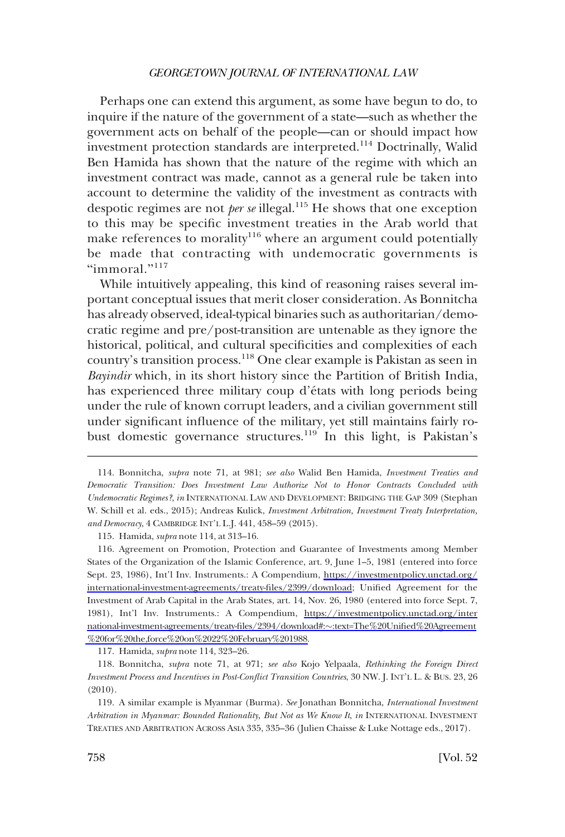Perhaps one can extend this argument, as some have begun to do, to inquire if the nature of the government of a state—such as whether the government acts on behalf of the people—can or should impact how investment protection standards are interpreted.<sup>114</sup> Doctrinally, Walid Ben Hamida has shown that the nature of the regime with which an investment contract was made, cannot as a general rule be taken into account to determine the validity of the investment as contracts with despotic regimes are not *per se* illegal.115 He shows that one exception to this may be specific investment treaties in the Arab world that make references to morality<sup>116</sup> where an argument could potentially be made that contracting with undemocratic governments is "immoral."<sup>117</sup>

While intuitively appealing, this kind of reasoning raises several important conceptual issues that merit closer consideration. As Bonnitcha has already observed, ideal-typical binaries such as authoritarian/democratic regime and pre/post-transition are untenable as they ignore the historical, political, and cultural specificities and complexities of each country's transition process.118 One clear example is Pakistan as seen in *Bayindir* which, in its short history since the Partition of British India, has experienced three military coup d'états with long periods being under the rule of known corrupt leaders, and a civilian government still under significant influence of the military, yet still maintains fairly robust domestic governance structures.<sup>119</sup> In this light, is Pakistan's

115. Hamida, *supra* note 114, at 313–16.

117. Hamida, *supra* note 114, 323–26.

118. Bonnitcha, *supra* note 71, at 971; *see also* Kojo Yelpaala, *Rethinking the Foreign Direct Investment Process and Incentives in Post-Conflict Transition Countries*, 30 NW. J. INT'L L. & BUS. 23, 26 (2010).

119. A similar example is Myanmar (Burma). *See* Jonathan Bonnitcha, *International Investment Arbitration in Myanmar: Bounded Rationality, But Not as We Know It*, *in* INTERNATIONAL INVESTMENT TREATIES AND ARBITRATION ACROSS ASIA 335, 335–36 (Julien Chaisse & Luke Nottage eds., 2017).

<sup>114.</sup> Bonnitcha, *supra* note 71, at 981; *see also* Walid Ben Hamida, *Investment Treaties and Democratic Transition: Does Investment Law Authorize Not to Honor Contracts Concluded with Undemocratic Regimes?*, *in* INTERNATIONAL LAW AND DEVELOPMENT: BRIDGING THE GAP 309 (Stephan W. Schill et al. eds., 2015); Andreas Kulick, *Investment Arbitration, Investment Treaty Interpretation, and Democracy*, 4 CAMBRIDGE INT'L L.J. 441, 458–59 (2015).

Agreement on Promotion, Protection and Guarantee of Investments among Member 116. States of the Organization of the Islamic Conference, art. 9, June 1–5, 1981 (entered into force Sept. 23, 1986), Int'l Inv. Instruments.: A Compendium, [https://investmentpolicy.unctad.org/](https://investmentpolicy.unctad.org/international-investment-agreements/treaty-files/2399/download)  [international-investment-agreements/treaty-files/2399/download](https://investmentpolicy.unctad.org/international-investment-agreements/treaty-files/2399/download); Unified Agreement for the Investment of Arab Capital in the Arab States, art. 14, Nov. 26, 1980 (entered into force Sept. 7, 1981), Int'l Inv. Instruments.: A Compendium, [https://investmentpolicy.unctad.org/inter](https://investmentpolicy.unctad.org/international-investment-agreements/treaty-files/2394/download#:%EF%BF%BD:text=The%20Unified%20Agreement%20for%20the,force%20on%2022%20February%201988) [national-investment-agreements/treaty-files/2394/download#:](https://investmentpolicy.unctad.org/international-investment-agreements/treaty-files/2394/download#:%EF%BF%BD:text=The%20Unified%20Agreement%20for%20the,force%20on%2022%20February%201988)�:text=The%20Unified%20Agreement [%20for%20the,force%20on%2022%20February%201988.](https://investmentpolicy.unctad.org/international-investment-agreements/treaty-files/2394/download#:%EF%BF%BD:text=The%20Unified%20Agreement%20for%20the,force%20on%2022%20February%201988)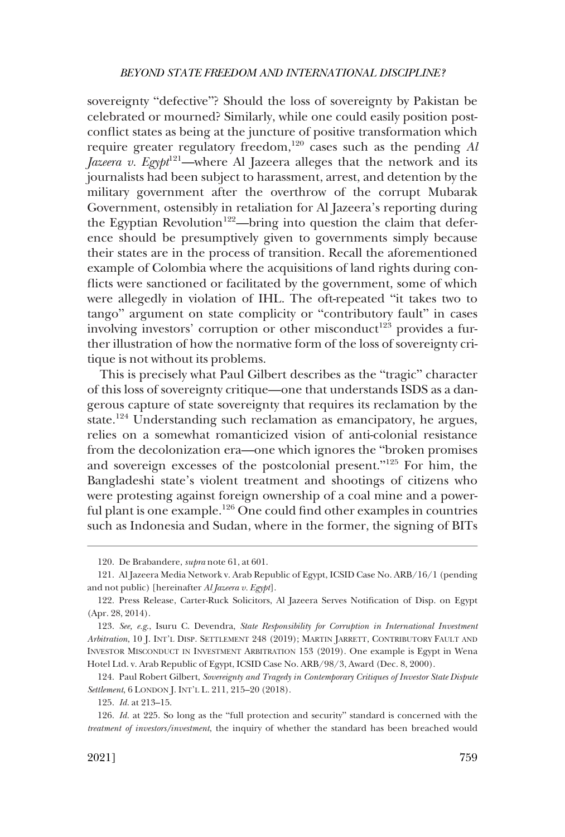sovereignty "defective"? Should the loss of sovereignty by Pakistan be celebrated or mourned? Similarly, while one could easily position postconflict states as being at the juncture of positive transformation which require greater regulatory freedom,<sup>120</sup> cases such as the pending *Al Jazeera v. Egypt*<sup>121</sup>—where Al Jazeera alleges that the network and its journalists had been subject to harassment, arrest, and detention by the military government after the overthrow of the corrupt Mubarak Government, ostensibly in retaliation for Al Jazeera's reporting during the Egyptian Revolution<sup>122</sup>—bring into question the claim that deference should be presumptively given to governments simply because their states are in the process of transition. Recall the aforementioned example of Colombia where the acquisitions of land rights during conflicts were sanctioned or facilitated by the government, some of which were allegedly in violation of IHL. The oft-repeated "it takes two to tango" argument on state complicity or "contributory fault" in cases involving investors' corruption or other misconduct<sup>123</sup> provides a further illustration of how the normative form of the loss of sovereignty critique is not without its problems.

This is precisely what Paul Gilbert describes as the "tragic" character of this loss of sovereignty critique—one that understands ISDS as a dangerous capture of state sovereignty that requires its reclamation by the state.<sup>124</sup> Understanding such reclamation as emancipatory, he argues, relies on a somewhat romanticized vision of anti-colonial resistance from the decolonization era—one which ignores the "broken promises and sovereign excesses of the postcolonial present."125 For him, the Bangladeshi state's violent treatment and shootings of citizens who were protesting against foreign ownership of a coal mine and a powerful plant is one example.126 One could find other examples in countries such as Indonesia and Sudan, where in the former, the signing of BITs

<sup>120.</sup> De Brabandere, *supra* note 61, at 601.

<sup>121.</sup> Al Jazeera Media Network v. Arab Republic of Egypt, ICSID Case No. ARB/16/1 (pending and not public) [hereinafter *Al Jazeera v. Egypt*].

<sup>122.</sup> Press Release, Carter-Ruck Solicitors, Al Jazeera Serves Notification of Disp. on Egypt (Apr. 28, 2014).

<sup>123.</sup> *See, e.g*., Isuru C. Devendra, *State Responsibility for Corruption in International Investment Arbitration*, 10 J. INT'L DISP. SETTLEMENT 248 (2019); MARTIN JARRETT, CONTRIBUTORY FAULT AND INVESTOR MISCONDUCT IN INVESTMENT ARBITRATION 153 (2019). One example is Egypt in Wena Hotel Ltd. v. Arab Republic of Egypt, ICSID Case No. ARB/98/3, Award (Dec. 8, 2000).

<sup>124.</sup> Paul Robert Gilbert, *Sovereignty and Tragedy in Contemporary Critiques of Investor State Dispute Settlement*, 6 LONDON J. INT'L L. 211, 215–20 (2018).

<sup>125.</sup> *Id.* at 213–15.

<sup>126.</sup> *Id.* at 225. So long as the "full protection and security" standard is concerned with the *treatment of investors/investment*, the inquiry of whether the standard has been breached would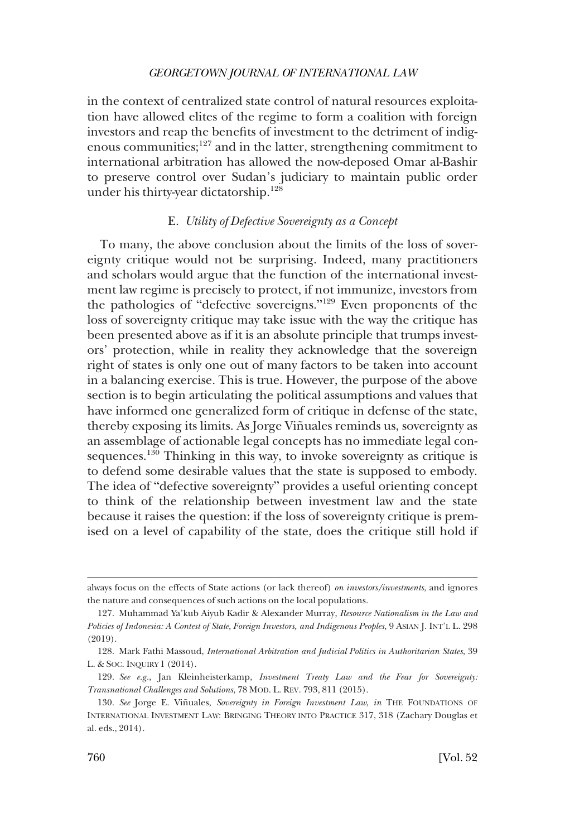<span id="page-25-0"></span>in the context of centralized state control of natural resources exploitation have allowed elites of the regime to form a coalition with foreign investors and reap the benefits of investment to the detriment of indigenous communities; $127$  and in the latter, strengthening commitment to international arbitration has allowed the now-deposed Omar al-Bashir to preserve control over Sudan's judiciary to maintain public order under his thirty-year dictatorship.<sup>128</sup>

## E. *Utility of Defective Sovereignty as a Concept*

To many, the above conclusion about the limits of the loss of sovereignty critique would not be surprising. Indeed, many practitioners and scholars would argue that the function of the international investment law regime is precisely to protect, if not immunize, investors from the pathologies of "defective sovereigns."129 Even proponents of the loss of sovereignty critique may take issue with the way the critique has been presented above as if it is an absolute principle that trumps investors' protection, while in reality they acknowledge that the sovereign right of states is only one out of many factors to be taken into account in a balancing exercise. This is true. However, the purpose of the above section is to begin articulating the political assumptions and values that have informed one generalized form of critique in defense of the state, thereby exposing its limits. As Jorge Viñuales reminds us, sovereignty as an assemblage of actionable legal concepts has no immediate legal consequences.<sup>130</sup> Thinking in this way, to invoke sovereignty as critique is to defend some desirable values that the state is supposed to embody. The idea of "defective sovereignty" provides a useful orienting concept to think of the relationship between investment law and the state because it raises the question: if the loss of sovereignty critique is premised on a level of capability of the state, does the critique still hold if

always focus on the effects of State actions (or lack thereof) *on investors/investments*, and ignores the nature and consequences of such actions on the local populations.

<sup>127.</sup> Muhammad Ya'kub Aiyub Kadir & Alexander Murray, *Resource Nationalism in the Law and Policies of Indonesia: A Contest of State, Foreign Investors, and Indigenous Peoples*, 9 ASIAN J. INT'L L. 298 (2019).

<sup>128.</sup> Mark Fathi Massoud, *International Arbitration and Judicial Politics in Authoritarian States*, 39 L. & SOC. INQUIRY 1 (2014).

<sup>129.</sup> *See e.g.*, Jan Kleinheisterkamp, *Investment Treaty Law and the Fear for Sovereignty: Transnational Challenges and Solutions*, 78 MOD. L. REV. 793, 811 (2015).

<sup>130.</sup> See Jorge E. Viñuales, Sovereignty in Foreign Investment Law, in THE FOUNDATIONS OF INTERNATIONAL INVESTMENT LAW: BRINGING THEORY INTO PRACTICE 317, 318 (Zachary Douglas et al. eds., 2014).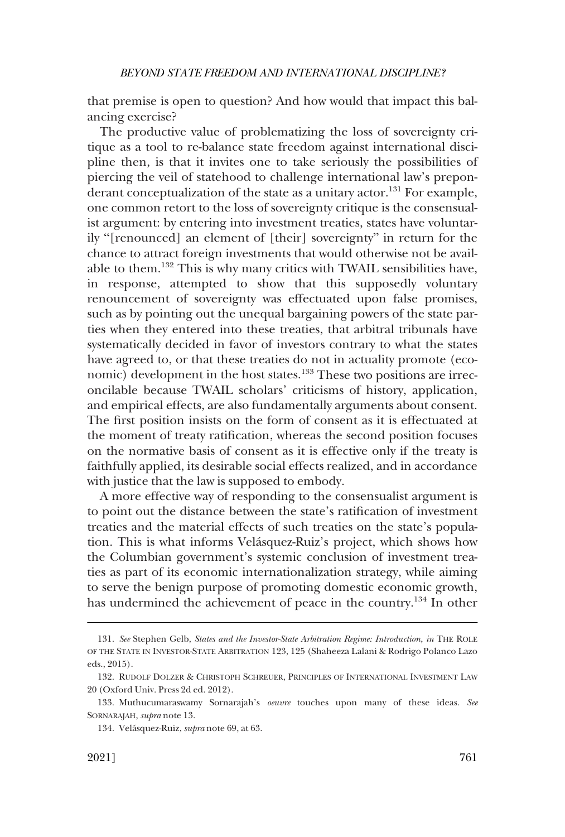that premise is open to question? And how would that impact this balancing exercise?

The productive value of problematizing the loss of sovereignty critique as a tool to re-balance state freedom against international discipline then, is that it invites one to take seriously the possibilities of piercing the veil of statehood to challenge international law's preponderant conceptualization of the state as a unitary actor.<sup>131</sup> For example, one common retort to the loss of sovereignty critique is the consensualist argument: by entering into investment treaties, states have voluntarily "[renounced] an element of [their] sovereignty" in return for the chance to attract foreign investments that would otherwise not be available to them.132 This is why many critics with TWAIL sensibilities have, in response, attempted to show that this supposedly voluntary renouncement of sovereignty was effectuated upon false promises, such as by pointing out the unequal bargaining powers of the state parties when they entered into these treaties, that arbitral tribunals have systematically decided in favor of investors contrary to what the states have agreed to, or that these treaties do not in actuality promote (economic) development in the host states.<sup>133</sup> These two positions are irreconcilable because TWAIL scholars' criticisms of history, application, and empirical effects, are also fundamentally arguments about consent. The first position insists on the form of consent as it is effectuated at the moment of treaty ratification, whereas the second position focuses on the normative basis of consent as it is effective only if the treaty is faithfully applied, its desirable social effects realized, and in accordance with justice that the law is supposed to embody.

A more effective way of responding to the consensualist argument is to point out the distance between the state's ratification of investment treaties and the material effects of such treaties on the state's population. This is what informs Velásquez-Ruiz's project, which shows how the Columbian government's systemic conclusion of investment treaties as part of its economic internationalization strategy, while aiming to serve the benign purpose of promoting domestic economic growth, has undermined the achievement of peace in the country.134 In other

<sup>131.</sup> *See* Stephen Gelb, *States and the Investor-State Arbitration Regime: Introduction*, *in* THE ROLE OF THE STATE IN INVESTOR-STATE ARBITRATION 123, 125 (Shaheeza Lalani & Rodrigo Polanco Lazo eds., 2015).

<sup>132.</sup> RUDOLF DOLZER & CHRISTOPH SCHREUER, PRINCIPLES OF INTERNATIONAL INVESTMENT LAW 20 (Oxford Univ. Press 2d ed. 2012).

<sup>133.</sup> Muthucumaraswamy Sornarajah's *oeuvre* touches upon many of these ideas. *See*  SORNARAJAH, *supra* note 13.

<sup>134.</sup> Vela´squez-Ruiz, *supra* note 69, at 63.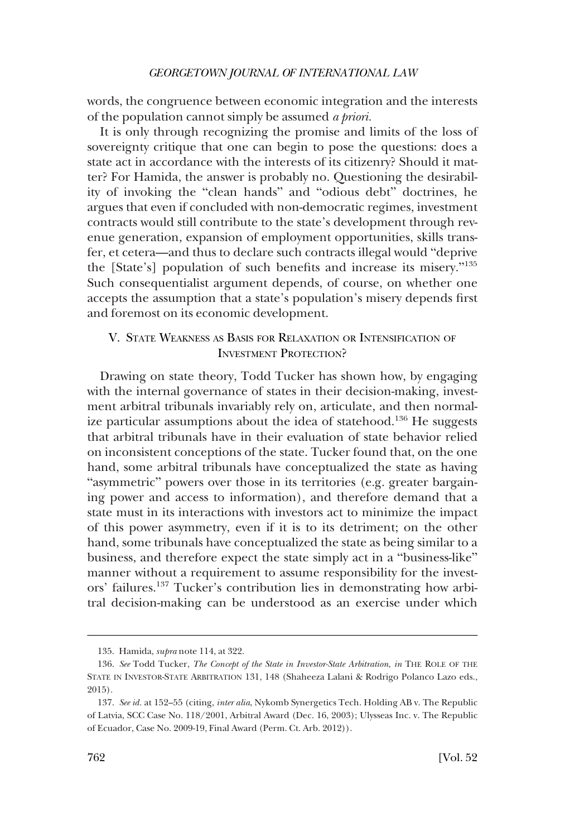<span id="page-27-0"></span>words, the congruence between economic integration and the interests of the population cannot simply be assumed *a priori.* 

It is only through recognizing the promise and limits of the loss of sovereignty critique that one can begin to pose the questions: does a state act in accordance with the interests of its citizenry? Should it matter? For Hamida, the answer is probably no. Questioning the desirability of invoking the "clean hands" and "odious debt" doctrines, he argues that even if concluded with non-democratic regimes, investment contracts would still contribute to the state's development through revenue generation, expansion of employment opportunities, skills transfer, et cetera—and thus to declare such contracts illegal would "deprive the [State's] population of such benefits and increase its misery."<sup>135</sup> Such consequentialist argument depends, of course, on whether one accepts the assumption that a state's population's misery depends first and foremost on its economic development.

## V. STATE WEAKNESS AS BASIS FOR RELAXATION OR INTENSIFICATION OF INVESTMENT PROTECTION?

Drawing on state theory, Todd Tucker has shown how, by engaging with the internal governance of states in their decision-making, investment arbitral tribunals invariably rely on, articulate, and then normalize particular assumptions about the idea of statehood.<sup>136</sup> He suggests that arbitral tribunals have in their evaluation of state behavior relied on inconsistent conceptions of the state. Tucker found that, on the one hand, some arbitral tribunals have conceptualized the state as having "asymmetric" powers over those in its territories (e.g. greater bargaining power and access to information), and therefore demand that a state must in its interactions with investors act to minimize the impact of this power asymmetry, even if it is to its detriment; on the other hand, some tribunals have conceptualized the state as being similar to a business, and therefore expect the state simply act in a "business-like" manner without a requirement to assume responsibility for the investors' failures.137 Tucker's contribution lies in demonstrating how arbitral decision-making can be understood as an exercise under which

<sup>135.</sup> Hamida, *supra* note 114, at 322.

<sup>136.</sup> *See* Todd Tucker, *The Concept of the State in Investor-State Arbitration*, *in* THE ROLE OF THE STATE IN INVESTOR-STATE ARBITRATION 131, 148 (Shaheeza Lalani & Rodrigo Polanco Lazo eds., 2015).

<sup>137.</sup> *See id.* at 152–55 (citing, *inter alia*, Nykomb Synergetics Tech. Holding AB v. The Republic of Latvia, SCC Case No. 118/2001, Arbitral Award (Dec. 16, 2003); Ulysseas Inc. v. The Republic of Ecuador, Case No. 2009-19, Final Award (Perm. Ct. Arb. 2012)).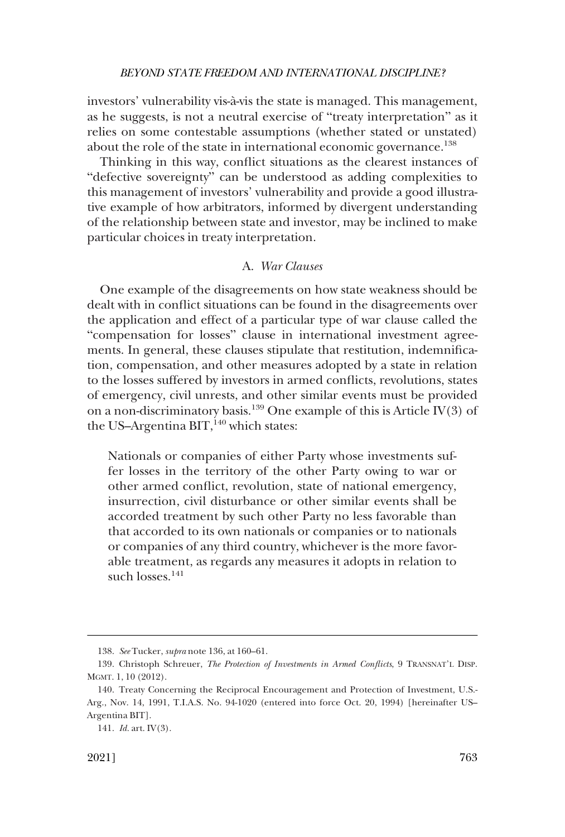<span id="page-28-0"></span>investors' vulnerability vis-à-vis the state is managed. This management, as he suggests, is not a neutral exercise of "treaty interpretation" as it relies on some contestable assumptions (whether stated or unstated) about the role of the state in international economic governance.<sup>138</sup>

Thinking in this way, conflict situations as the clearest instances of "defective sovereignty" can be understood as adding complexities to this management of investors' vulnerability and provide a good illustrative example of how arbitrators, informed by divergent understanding of the relationship between state and investor, may be inclined to make particular choices in treaty interpretation.

## A. *War Clauses*

One example of the disagreements on how state weakness should be dealt with in conflict situations can be found in the disagreements over the application and effect of a particular type of war clause called the "compensation for losses" clause in international investment agreements. In general, these clauses stipulate that restitution, indemnification, compensation, and other measures adopted by a state in relation to the losses suffered by investors in armed conflicts, revolutions, states of emergency, civil unrests, and other similar events must be provided on a non-discriminatory basis.139 One example of this is Article IV(3) of the US-Argentina BIT, $140$  which states:

Nationals or companies of either Party whose investments suffer losses in the territory of the other Party owing to war or other armed conflict, revolution, state of national emergency, insurrection, civil disturbance or other similar events shall be accorded treatment by such other Party no less favorable than that accorded to its own nationals or companies or to nationals or companies of any third country, whichever is the more favorable treatment, as regards any measures it adopts in relation to such losses. $141$ 

<sup>138.</sup> *See* Tucker, *supra* note 136, at 160–61.

<sup>139.</sup> Christoph Schreuer, *The Protection of Investments in Armed Conflicts*, 9 TRANSNAT'L DISP. MGMT. 1, 10 (2012).

<sup>140.</sup> Treaty Concerning the Reciprocal Encouragement and Protection of Investment, U.S.- Arg., Nov. 14, 1991, T.I.A.S. No. 94-1020 (entered into force Oct. 20, 1994) [hereinafter US– Argentina BIT].

<sup>141.</sup> *Id.* art. IV(3).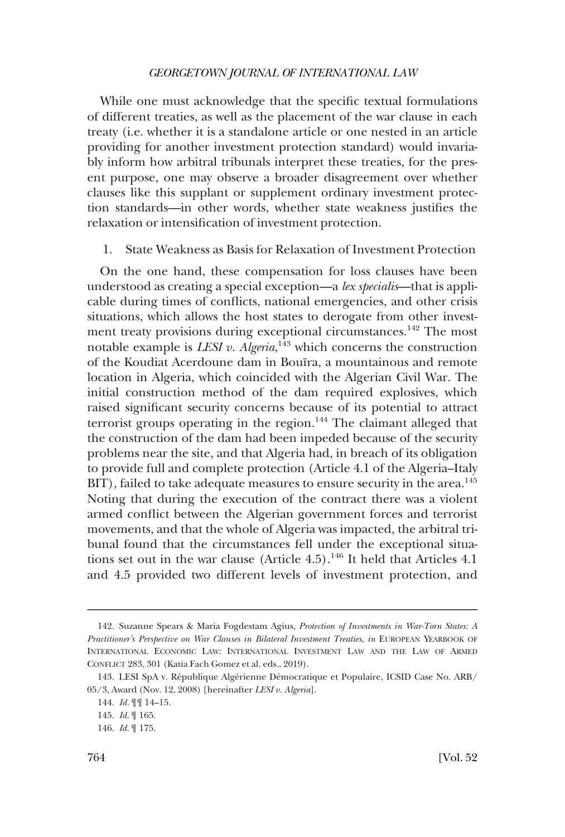<span id="page-29-0"></span>While one must acknowledge that the specific textual formulations of different treaties, as well as the placement of the war clause in each treaty (i.e. whether it is a standalone article or one nested in an article providing for another investment protection standard) would invariably inform how arbitral tribunals interpret these treaties, for the present purpose, one may observe a broader disagreement over whether clauses like this supplant or supplement ordinary investment protection standards—in other words, whether state weakness justifies the relaxation or intensification of investment protection.

1. State Weakness as Basis for Relaxation of Investment Protection

On the one hand, these compensation for loss clauses have been understood as creating a special exception—a *lex specialis*—that is applicable during times of conflicts, national emergencies, and other crisis situations, which allows the host states to derogate from other investment treaty provisions during exceptional circumstances.<sup>142</sup> The most notable example is *LESI v. Algeria*,<sup>143</sup> which concerns the construction of the Koudiat Acerdoune dam in Bouïra, a mountainous and remote location in Algeria, which coincided with the Algerian Civil War. The initial construction method of the dam required explosives, which raised significant security concerns because of its potential to attract terrorist groups operating in the region.<sup>144</sup> The claimant alleged that the construction of the dam had been impeded because of the security problems near the site, and that Algeria had, in breach of its obligation to provide full and complete protection (Article 4.1 of the Algeria–Italy BIT), failed to take adequate measures to ensure security in the area.<sup>145</sup> Noting that during the execution of the contract there was a violent armed conflict between the Algerian government forces and terrorist movements, and that the whole of Algeria was impacted, the arbitral tribunal found that the circumstances fell under the exceptional situations set out in the war clause (Article  $4.5$ ).<sup>146</sup> It held that Articles  $4.1$ and 4.5 provided two different levels of investment protection, and

<sup>142.</sup> Suzanne Spears & Maria Fogdestam Agius, *Protection of Investments in War-Torn States: A Practitioner's Perspective on War Clauses in Bilateral Investment Treaties*, *in* EUROPEAN YEARBOOK OF INTERNATIONAL ECONOMIC LAW: INTERNATIONAL INVESTMENT LAW AND THE LAW OF ARMED CONFLICT 283, 301 (Katia Fach Gomez et al. eds., 2019).

<sup>143.</sup> LESI SpA v. République Algérienne Démocratique et Populaire, ICSID Case No. ARB/ 05/3, Award (Nov. 12, 2008) [hereinafter *LESI v. Algeria*].

<sup>144.</sup> *Id.* ¶¶ 14–15.

<sup>145.</sup> *Id.* ¶ 165.

<sup>146.</sup> *Id.* ¶ 175.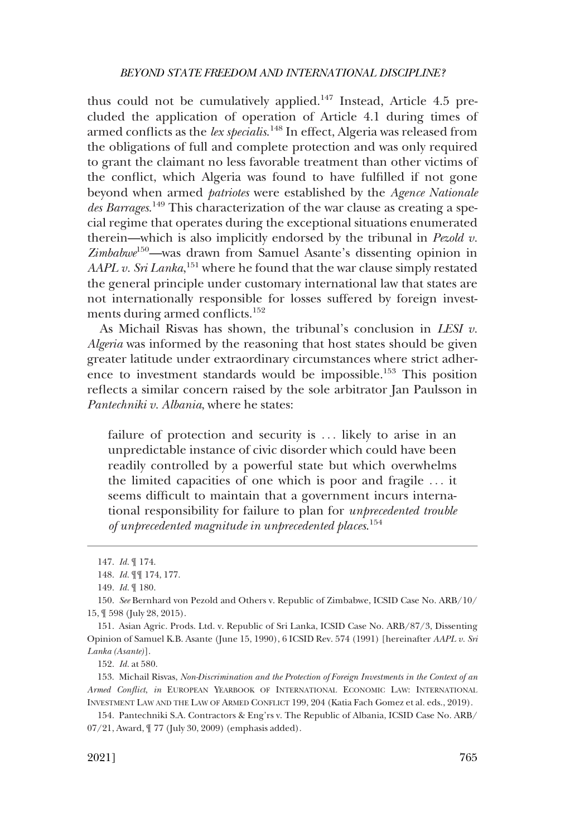thus could not be cumulatively applied.<sup>147</sup> Instead, Article 4.5 precluded the application of operation of Article 4.1 during times of armed conflicts as the *lex specialis*. 148 In effect, Algeria was released from the obligations of full and complete protection and was only required to grant the claimant no less favorable treatment than other victims of the conflict, which Algeria was found to have fulfilled if not gone beyond when armed *patriotes* were established by the *Agence Nationale des Barrages*. 149 This characterization of the war clause as creating a special regime that operates during the exceptional situations enumerated therein—which is also implicitly endorsed by the tribunal in *Pezold v. Zimbabwe*150—was drawn from Samuel Asante's dissenting opinion in AAPL v. Sri Lanka,<sup>151</sup> where he found that the war clause simply restated the general principle under customary international law that states are not internationally responsible for losses suffered by foreign investments during armed conflicts.152

As Michail Risvas has shown, the tribunal's conclusion in *LESI v. Algeria* was informed by the reasoning that host states should be given greater latitude under extraordinary circumstances where strict adherence to investment standards would be impossible.153 This position reflects a similar concern raised by the sole arbitrator Jan Paulsson in *Pantechniki v. Albania*, where he states:

failure of protection and security is ... likely to arise in an unpredictable instance of civic disorder which could have been readily controlled by a powerful state but which overwhelms the limited capacities of one which is poor and fragile . . . it seems difficult to maintain that a government incurs international responsibility for failure to plan for *unprecedented trouble of unprecedented magnitude in unprecedented places*. 154

<sup>147.</sup> *Id.* ¶ 174.

<sup>148.</sup> *Id.* ¶¶ 174, 177.

<sup>149.</sup> *Id.* ¶ 180.

<sup>150.</sup> *See* Bernhard von Pezold and Others v. Republic of Zimbabwe, ICSID Case No. ARB/10/ 15, ¶ 598 (July 28, 2015).

<sup>151.</sup> Asian Agric. Prods. Ltd. v. Republic of Sri Lanka, ICSID Case No. ARB/87/3, Dissenting Opinion of Samuel K.B. Asante (June 15, 1990), 6 ICSID Rev. 574 (1991) [hereinafter *AAPL v. Sri Lanka (Asante)*].

<sup>152.</sup> *Id.* at 580.

<sup>153.</sup> Michail Risvas, *Non-Discrimination and the Protection of Foreign Investments in the Context of an Armed Conflict*, *in* EUROPEAN YEARBOOK OF INTERNATIONAL ECONOMIC LAW: INTERNATIONAL INVESTMENT LAW AND THE LAW OF ARMED CONFLICT 199, 204 (Katia Fach Gomez et al. eds., 2019).

<sup>154.</sup> Pantechniki S.A. Contractors & Eng'rs v. The Republic of Albania, ICSID Case No. ARB/ 07/21, Award, ¶ 77 (July 30, 2009) (emphasis added).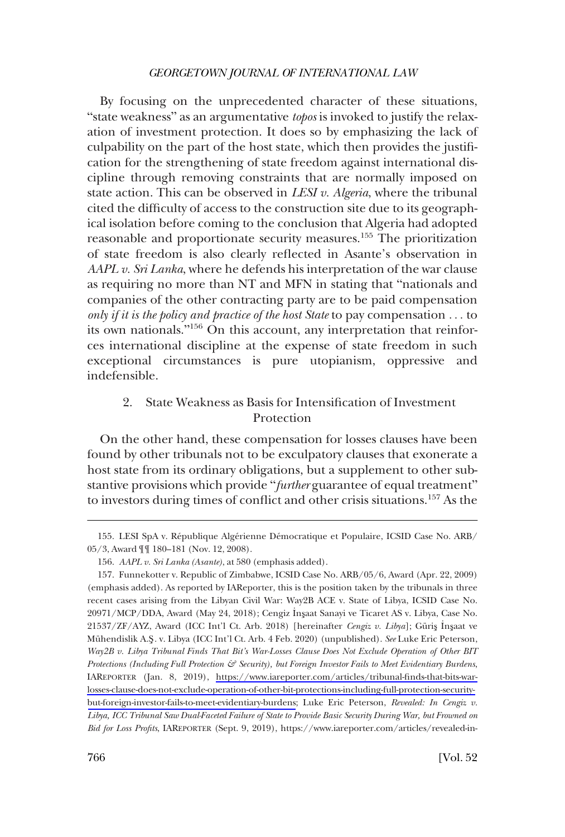<span id="page-31-0"></span>By focusing on the unprecedented character of these situations, "state weakness" as an argumentative *topos* is invoked to justify the relaxation of investment protection. It does so by emphasizing the lack of culpability on the part of the host state, which then provides the justification for the strengthening of state freedom against international discipline through removing constraints that are normally imposed on state action. This can be observed in *LESI v. Algeria*, where the tribunal cited the difficulty of access to the construction site due to its geographical isolation before coming to the conclusion that Algeria had adopted reasonable and proportionate security measures.<sup>155</sup> The prioritization of state freedom is also clearly reflected in Asante's observation in *AAPL v. Sri Lanka*, where he defends his interpretation of the war clause as requiring no more than NT and MFN in stating that "nationals and companies of the other contracting party are to be paid compensation *only if it is the policy and practice of the host State* to pay compensation . . . to its own nationals."156 On this account, any interpretation that reinforces international discipline at the expense of state freedom in such exceptional circumstances is pure utopianism, oppressive and indefensible.

## 2. State Weakness as Basis for Intensification of Investment Protection

On the other hand, these compensation for losses clauses have been found by other tribunals not to be exculpatory clauses that exonerate a host state from its ordinary obligations, but a supplement to other substantive provisions which provide "further guarantee of equal treatment" to investors during times of conflict and other crisis situations.157 As the

<sup>155.</sup> LESI SpA v. République Algérienne Démocratique et Populaire, ICSID Case No. ARB/ 05/3, Award ¶¶ 180–181 (Nov. 12, 2008).

<sup>156.</sup> *AAPL v. Sri Lanka (Asante)*, at 580 (emphasis added).

<sup>157.</sup> Funnekotter v. Republic of Zimbabwe, ICSID Case No. ARB/05/6, Award (Apr. 22, 2009) (emphasis added). As reported by IAReporter, this is the position taken by the tribunals in three recent cases arising from the Libyan Civil War: Way2B ACE v. State of Libya, ICSID Case No. 20971/MCP/DDA, Award (May 24, 2018); Cengiz Insaat Sanayi ve Ticaret AS v. Libya, Case No. 21537/ZF/AYZ, Award (ICC Int'l Ct. Arb. 2018) [hereinafter *Cengiz v. Libya*]; Güriş İnşaat ve Mu¨hendislik A.S**�** . v. Libya (ICC Int'l Ct. Arb. 4 Feb. 2020) (unpublished). *See* Luke Eric Peterson, *Way2B v. Libya Tribunal Finds That Bit's War-Losses Clause Does Not Exclude Operation of Other BIT Protections (Including Full Protection & Security), but Foreign Investor Fails to Meet Evidentiary Burdens*, IAREPORTER (Jan. 8, 2019), [https://www.iareporter.com/articles/tribunal-finds-that-bits-war](https://www.iareporter.com/articles/tribunal-finds-that-bits-war-losses-clause-does-not-exclude-operation-of-other-bit-protections-including-full-protection-security-but-foreign-investor-fails-to-meet-evidentiary-burdens)[losses-clause-does-not-exclude-operation-of-other-bit-protections-including-full-protection-security](https://www.iareporter.com/articles/tribunal-finds-that-bits-war-losses-clause-does-not-exclude-operation-of-other-bit-protections-including-full-protection-security-but-foreign-investor-fails-to-meet-evidentiary-burdens)[but-foreign-investor-fails-to-meet-evidentiary-burdens](https://www.iareporter.com/articles/tribunal-finds-that-bits-war-losses-clause-does-not-exclude-operation-of-other-bit-protections-including-full-protection-security-but-foreign-investor-fails-to-meet-evidentiary-burdens); Luke Eric Peterson, *Revealed: In Cengiz v. Libya, ICC Tribunal Saw Dual-Faceted Failure of State to Provide Basic Security During War, but Frowned on Bid for Loss Profits*, IAREPORTER (Sept. 9, 2019), https://www.iareporter.com/articles/revealed-in-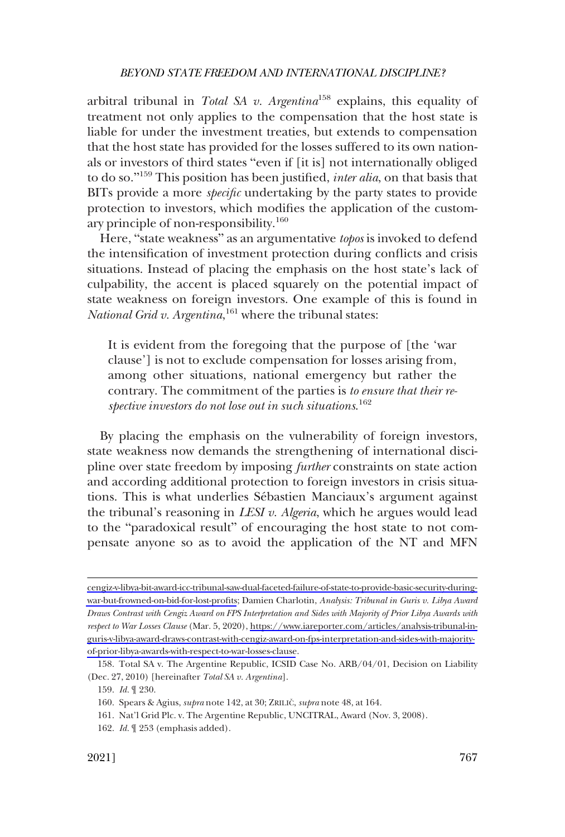arbitral tribunal in *Total SA v. Argentina*158 explains, this equality of treatment not only applies to the compensation that the host state is liable for under the investment treaties, but extends to compensation that the host state has provided for the losses suffered to its own nationals or investors of third states "even if [it is] not internationally obliged to do so."159 This position has been justified, *inter alia*, on that basis that BITs provide a more *specific* undertaking by the party states to provide protection to investors, which modifies the application of the customary principle of non-responsibility.<sup>160</sup>

Here, "state weakness" as an argumentative *topos* is invoked to defend the intensification of investment protection during conflicts and crisis situations. Instead of placing the emphasis on the host state's lack of culpability, the accent is placed squarely on the potential impact of state weakness on foreign investors. One example of this is found in National Grid v. Argentina,<sup>161</sup> where the tribunal states:

It is evident from the foregoing that the purpose of [the 'war clause'] is not to exclude compensation for losses arising from, among other situations, national emergency but rather the contrary. The commitment of the parties is *to ensure that their respective investors do not lose out in such situations*. 162

By placing the emphasis on the vulnerability of foreign investors, state weakness now demands the strengthening of international discipline over state freedom by imposing *further* constraints on state action and according additional protection to foreign investors in crisis situations. This is what underlies Sébastien Manciaux's argument against the tribunal's reasoning in *LESI v. Algeria*, which he argues would lead to the "paradoxical result" of encouraging the host state to not compensate anyone so as to avoid the application of the NT and MFN

[cengiz-v-libya-bit-award-icc-tribunal-saw-dual-faceted-failure-of-state-to-provide-basic-security-during](https://www.iareporter.com/articles/revealed-in-cengiz-v-libya-bit-award-icc-tribunal-saw-dual-faceted-failure-of-state-to-provide-basic-security-during-war-but-frowned-on-bid-for-lost-profits)[war-but-frowned-on-bid-for-lost-profits](https://www.iareporter.com/articles/revealed-in-cengiz-v-libya-bit-award-icc-tribunal-saw-dual-faceted-failure-of-state-to-provide-basic-security-during-war-but-frowned-on-bid-for-lost-profits); Damien Charlotin, *Analysis: Tribunal in Guris v. Libya Award Draws Contrast with Cengiz Award on FPS Interpretation and Sides with Majority of Prior Libya Awards with respect to War Losses Clause* (Mar. 5, 2020), [https://www.iareporter.com/articles/analysis-tribunal-in](https://www.iareporter.com/articles/analysis-tribunal-in-guris-v-libya-award-draws-contrast-with-cengiz-award-on-fps-interpretation-and-sides-with-majority-of-prior-libya-awards-with-respect-to-war-losses-clause)[guris-v-libya-award-draws-contrast-with-cengiz-award-on-fps-interpretation-and-sides-with-majority](https://www.iareporter.com/articles/analysis-tribunal-in-guris-v-libya-award-draws-contrast-with-cengiz-award-on-fps-interpretation-and-sides-with-majority-of-prior-libya-awards-with-respect-to-war-losses-clause)[of-prior-libya-awards-with-respect-to-war-losses-clause](https://www.iareporter.com/articles/analysis-tribunal-in-guris-v-libya-award-draws-contrast-with-cengiz-award-on-fps-interpretation-and-sides-with-majority-of-prior-libya-awards-with-respect-to-war-losses-clause).

<sup>158.</sup> Total SA v. The Argentine Republic, ICSID Case No. ARB/04/01, Decision on Liability (Dec. 27, 2010) [hereinafter *Total SA v. Argentina*].

<sup>159.</sup> *Id.* ¶ 230.

<sup>160.</sup> Spears & Agius, *supra* note 142, at 30; ZRILIČ, *supra* note 48, at 164.

<sup>161.</sup> Nat'l Grid Plc. v. The Argentine Republic, UNCITRAL, Award (Nov. 3, 2008).

<sup>162.</sup> *Id.* ¶ 253 (emphasis added).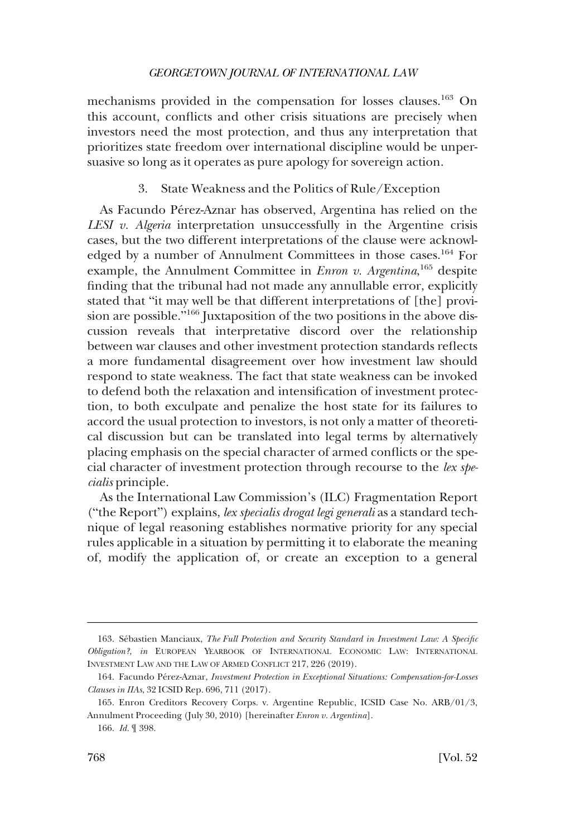<span id="page-33-0"></span>mechanisms provided in the compensation for losses clauses.163 On this account, conflicts and other crisis situations are precisely when investors need the most protection, and thus any interpretation that prioritizes state freedom over international discipline would be unpersuasive so long as it operates as pure apology for sovereign action.

### 3. State Weakness and the Politics of Rule/Exception

As Facundo Pérez-Aznar has observed, Argentina has relied on the *LESI v. Algeria* interpretation unsuccessfully in the Argentine crisis cases, but the two different interpretations of the clause were acknowledged by a number of Annulment Committees in those cases.164 For example, the Annulment Committee in *Enron v. Argentina*,<sup>165</sup> despite finding that the tribunal had not made any annullable error, explicitly stated that "it may well be that different interpretations of [the] provision are possible."<sup>166</sup> Juxtaposition of the two positions in the above discussion reveals that interpretative discord over the relationship between war clauses and other investment protection standards reflects a more fundamental disagreement over how investment law should respond to state weakness. The fact that state weakness can be invoked to defend both the relaxation and intensification of investment protection, to both exculpate and penalize the host state for its failures to accord the usual protection to investors, is not only a matter of theoretical discussion but can be translated into legal terms by alternatively placing emphasis on the special character of armed conflicts or the special character of investment protection through recourse to the *lex specialis* principle.

As the International Law Commission's (ILC) Fragmentation Report ("the Report") explains, *lex specialis drogat legi generali* as a standard technique of legal reasoning establishes normative priority for any special rules applicable in a situation by permitting it to elaborate the meaning of, modify the application of, or create an exception to a general

<sup>163.</sup> Se´bastien Manciaux, *The Full Protection and Security Standard in Investment Law: A Specific Obligation?*, *in* EUROPEAN YEARBOOK OF INTERNATIONAL ECONOMIC LAW: INTERNATIONAL INVESTMENT LAW AND THE LAW OF ARMED CONFLICT 217, 226 (2019).

<sup>164.</sup> Facundo Pe´rez-Aznar, *Investment Protection in Exceptional Situations: Compensation-for-Losses Clauses in IIAs*, 32 ICSID Rep. 696, 711 (2017).

<sup>165.</sup> Enron Creditors Recovery Corps. v. Argentine Republic, ICSID Case No. ARB/01/3, Annulment Proceeding (July 30, 2010) [hereinafter *Enron v. Argentina*].

<sup>166.</sup> *Id.* ¶ 398.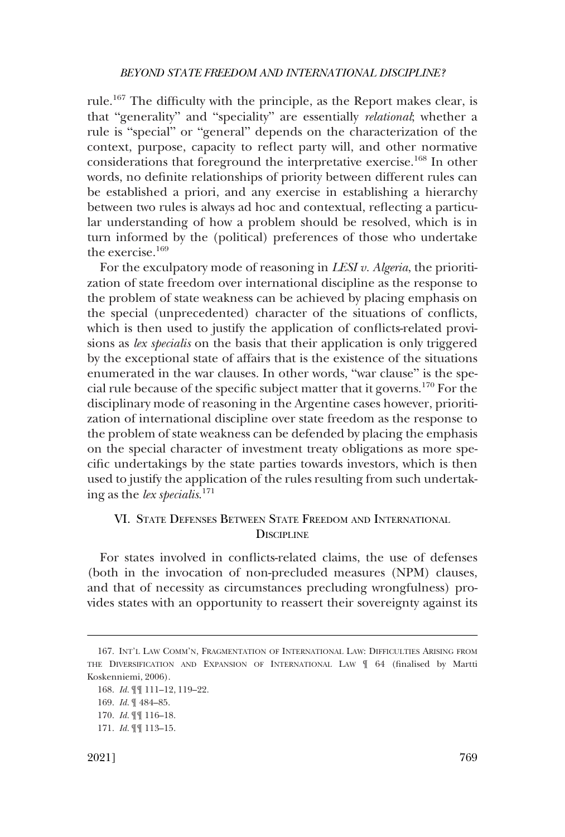<span id="page-34-0"></span>rule.167 The difficulty with the principle, as the Report makes clear, is that "generality" and "speciality" are essentially *relational*; whether a rule is "special" or "general" depends on the characterization of the context, purpose, capacity to reflect party will, and other normative considerations that foreground the interpretative exercise.<sup>168</sup> In other words, no definite relationships of priority between different rules can be established a priori, and any exercise in establishing a hierarchy between two rules is always ad hoc and contextual, reflecting a particular understanding of how a problem should be resolved, which is in turn informed by the (political) preferences of those who undertake the exercise.169

For the exculpatory mode of reasoning in *LESI v. Algeria*, the prioritization of state freedom over international discipline as the response to the problem of state weakness can be achieved by placing emphasis on the special (unprecedented) character of the situations of conflicts, which is then used to justify the application of conflicts-related provisions as *lex specialis* on the basis that their application is only triggered by the exceptional state of affairs that is the existence of the situations enumerated in the war clauses. In other words, "war clause" is the special rule because of the specific subject matter that it governs.170 For the disciplinary mode of reasoning in the Argentine cases however, prioritization of international discipline over state freedom as the response to the problem of state weakness can be defended by placing the emphasis on the special character of investment treaty obligations as more specific undertakings by the state parties towards investors, which is then used to justify the application of the rules resulting from such undertaking as the *lex specialis*. 171

# VI. STATE DEFENSES BETWEEN STATE FREEDOM AND INTERNATIONAL **DISCIPLINE**

For states involved in conflicts-related claims, the use of defenses (both in the invocation of non-precluded measures (NPM) clauses, and that of necessity as circumstances precluding wrongfulness) provides states with an opportunity to reassert their sovereignty against its

<sup>167.</sup> INT'L LAW COMM'N, FRAGMENTATION OF INTERNATIONAL LAW: DIFFICULTIES ARISING FROM THE DIVERSIFICATION AND EXPANSION OF INTERNATIONAL LAW ¶ 64 (finalised by Martti Koskenniemi, 2006).

<sup>168.</sup> *Id.* ¶¶ 111–12, 119–22.

<sup>169.</sup> *Id.* ¶ 484–85.

<sup>170.</sup> *Id.* ¶¶ 116–18.

<sup>171.</sup> *Id.* ¶¶ 113–15.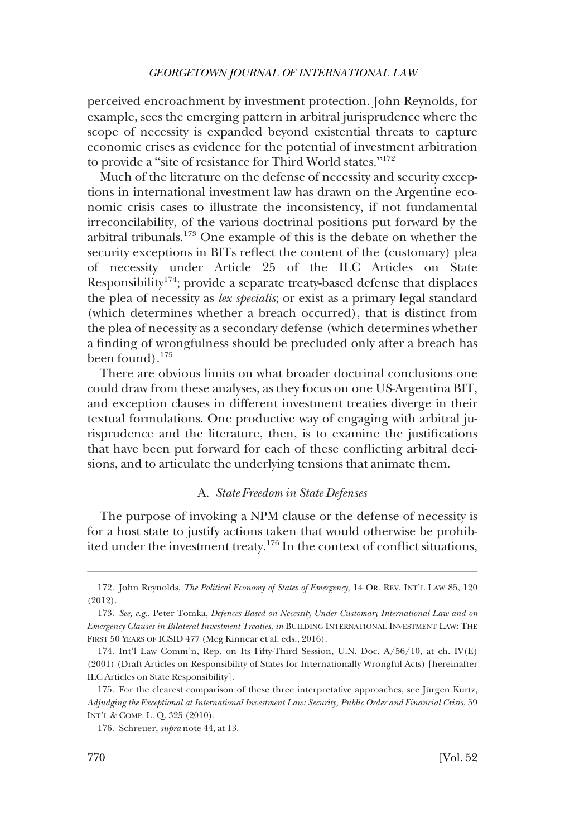<span id="page-35-0"></span>perceived encroachment by investment protection. John Reynolds, for example, sees the emerging pattern in arbitral jurisprudence where the scope of necessity is expanded beyond existential threats to capture economic crises as evidence for the potential of investment arbitration to provide a "site of resistance for Third World states."<sup>172</sup>

Much of the literature on the defense of necessity and security exceptions in international investment law has drawn on the Argentine economic crisis cases to illustrate the inconsistency, if not fundamental irreconcilability, of the various doctrinal positions put forward by the arbitral tribunals.173 One example of this is the debate on whether the security exceptions in BITs reflect the content of the (customary) plea of necessity under Article 25 of the ILC Articles on State Responsibility<sup>174</sup>; provide a separate treaty-based defense that displaces the plea of necessity as *lex specialis*; or exist as a primary legal standard (which determines whether a breach occurred), that is distinct from the plea of necessity as a secondary defense (which determines whether a finding of wrongfulness should be precluded only after a breach has been found).<sup>175</sup>

There are obvious limits on what broader doctrinal conclusions one could draw from these analyses, as they focus on one US-Argentina BIT, and exception clauses in different investment treaties diverge in their textual formulations. One productive way of engaging with arbitral jurisprudence and the literature, then, is to examine the justifications that have been put forward for each of these conflicting arbitral decisions, and to articulate the underlying tensions that animate them.

#### A. *State Freedom in State Defenses*

The purpose of invoking a NPM clause or the defense of necessity is for a host state to justify actions taken that would otherwise be prohibited under the investment treaty.176 In the context of conflict situations,

<sup>172.</sup> John Reynolds, *The Political Economy of States of Emergency*, 14 OR. REV. INT'L LAW 85, 120 (2012).

<sup>173.</sup> *See, e.g.*, Peter Tomka, *Defences Based on Necessity Under Customary International Law and on Emergency Clauses in Bilateral Investment Treaties*, *in* BUILDING INTERNATIONAL INVESTMENT LAW: THE FIRST 50 YEARS OF ICSID 477 (Meg Kinnear et al. eds., 2016).

<sup>174.</sup> Int'l Law Comm'n, Rep. on Its Fifty-Third Session, U.N. Doc. A/56/10, at ch. IV(E) (2001) (Draft Articles on Responsibility of States for Internationally Wrongful Acts) [hereinafter ILC Articles on State Responsibility].

<sup>175.</sup> For the clearest comparison of these three interpretative approaches, see Jürgen Kurtz, *Adjudging the Exceptional at International Investment Law: Security, Public Order and Financial Crisis*, 59 INT'L & COMP. L. Q. 325 (2010).

<sup>176.</sup> Schreuer, *supra* note 44, at 13.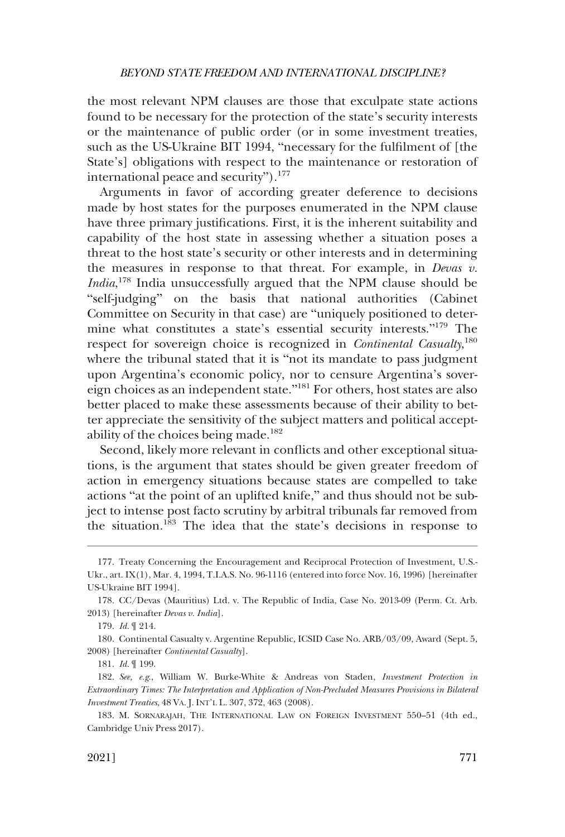the most relevant NPM clauses are those that exculpate state actions found to be necessary for the protection of the state's security interests or the maintenance of public order (or in some investment treaties, such as the US-Ukraine BIT 1994, "necessary for the fulfilment of [the State's] obligations with respect to the maintenance or restoration of international peace and security" $\cdot$ <sup>177</sup>

Arguments in favor of according greater deference to decisions made by host states for the purposes enumerated in the NPM clause have three primary justifications. First, it is the inherent suitability and capability of the host state in assessing whether a situation poses a threat to the host state's security or other interests and in determining the measures in response to that threat. For example, in *Devas v. India*, 178 India unsuccessfully argued that the NPM clause should be "self-judging" on the basis that national authorities (Cabinet Committee on Security in that case) are "uniquely positioned to determine what constitutes a state's essential security interests."179 The respect for sovereign choice is recognized in *Continental Casualty*, 180 where the tribunal stated that it is "not its mandate to pass judgment upon Argentina's economic policy, nor to censure Argentina's sovereign choices as an independent state."181 For others, host states are also better placed to make these assessments because of their ability to better appreciate the sensitivity of the subject matters and political acceptability of the choices being made. $182$ 

Second, likely more relevant in conflicts and other exceptional situations, is the argument that states should be given greater freedom of action in emergency situations because states are compelled to take actions "at the point of an uplifted knife," and thus should not be subject to intense post facto scrutiny by arbitral tribunals far removed from the situation.<sup>183</sup> The idea that the state's decisions in response to

<sup>177.</sup> Treaty Concerning the Encouragement and Reciprocal Protection of Investment, U.S.- Ukr., art. IX(1), Mar. 4, 1994, T.I.A.S. No. 96-1116 (entered into force Nov. 16, 1996) [hereinafter US-Ukraine BIT 1994].

<sup>178.</sup> CC/Devas (Mauritius) Ltd. v. The Republic of India, Case No. 2013-09 (Perm. Ct. Arb. 2013) [hereinafter *Devas v. India*].

<sup>179.</sup> *Id.* ¶ 214.

<sup>180.</sup> Continental Casualty v. Argentine Republic, ICSID Case No. ARB/03/09, Award (Sept. 5, 2008) [hereinafter *Continental Casualty*].

<sup>181.</sup> *Id.* ¶ 199.

<sup>182.</sup> *See, e.g*., William W. Burke-White & Andreas von Staden, *Investment Protection in Extraordinary Times: The Interpretation and Application of Non-Precluded Measures Provisions in Bilateral Investment Treaties*, 48 VA. J. INT'L L. 307, 372, 463 (2008).

<sup>183.</sup> M. SORNARAJAH, THE INTERNATIONAL LAW ON FOREIGN INVESTMENT 550–51 (4th ed., Cambridge Univ Press 2017).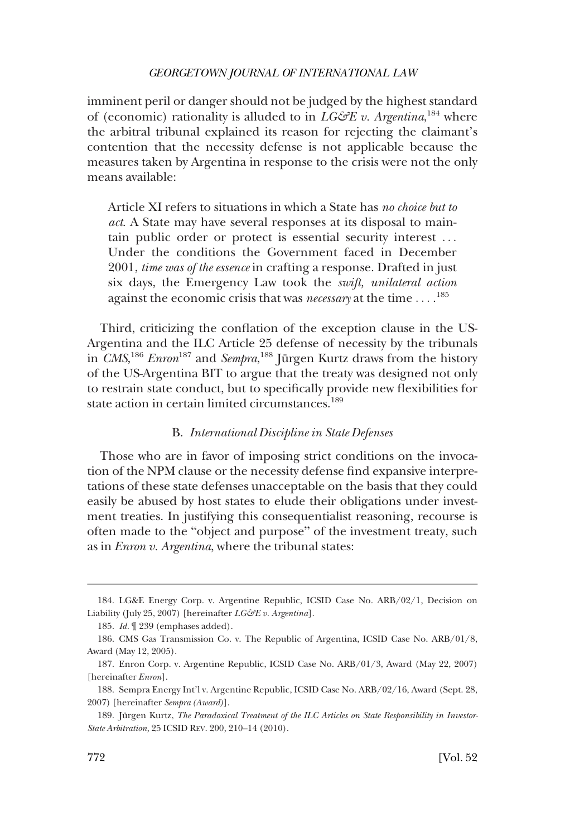<span id="page-37-0"></span>imminent peril or danger should not be judged by the highest standard of (economic) rationality is alluded to in  $LG\mathcal{C}\!\!\mathcal{E}$  v. Argentina, <sup>184</sup> where the arbitral tribunal explained its reason for rejecting the claimant's contention that the necessity defense is not applicable because the measures taken by Argentina in response to the crisis were not the only means available:

Article XI refers to situations in which a State has *no choice but to act*. A State may have several responses at its disposal to maintain public order or protect is essential security interest . . . Under the conditions the Government faced in December 2001, *time was of the essence* in crafting a response. Drafted in just six days, the Emergency Law took the *swift, unilateral action*  against the economic crisis that was *necessary* at the time . . . . 185

Third, criticizing the conflation of the exception clause in the US-Argentina and the ILC Article 25 defense of necessity by the tribunals in *CMS*,<sup>186</sup> *Enron*<sup>187</sup> and *Sempra*,<sup>188</sup> Jürgen Kurtz draws from the history of the US-Argentina BIT to argue that the treaty was designed not only to restrain state conduct, but to specifically provide new flexibilities for state action in certain limited circumstances.<sup>189</sup>

#### B. *International Discipline in State Defenses*

Those who are in favor of imposing strict conditions on the invocation of the NPM clause or the necessity defense find expansive interpretations of these state defenses unacceptable on the basis that they could easily be abused by host states to elude their obligations under investment treaties. In justifying this consequentialist reasoning, recourse is often made to the "object and purpose" of the investment treaty, such as in *Enron v. Argentina*, where the tribunal states:

<sup>184.</sup> LG&E Energy Corp. v. Argentine Republic, ICSID Case No. ARB/02/1, Decision on Liability (July 25, 2007) [hereinafter *LG&E v. Argentina*].

<sup>185.</sup> *Id.* ¶ 239 (emphases added).

<sup>186.</sup> CMS Gas Transmission Co. v. The Republic of Argentina, ICSID Case No. ARB/01/8, Award (May 12, 2005).

<sup>187.</sup> Enron Corp. v. Argentine Republic, ICSID Case No. ARB/01/3, Award (May 22, 2007) [hereinafter *Enron*].

<sup>188.</sup> Sempra Energy Int'l v. Argentine Republic, ICSID Case No. ARB/02/16, Award (Sept. 28, 2007) [hereinafter *Sempra (Award)*].

<sup>189.</sup> Jürgen Kurtz, *The Paradoxical Treatment of the ILC Articles on State Responsibility in Investor-State Arbitration*, 25 ICSID REV. 200, 210–14 (2010).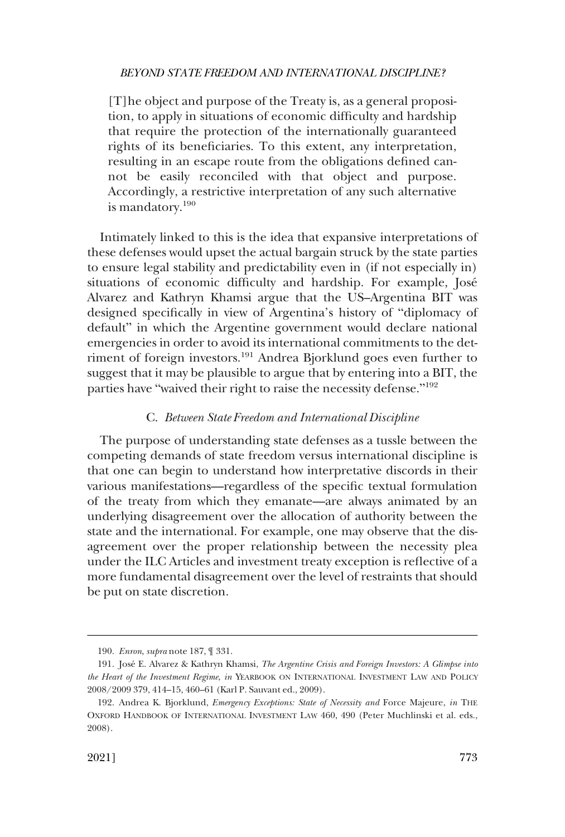<span id="page-38-0"></span>[T]he object and purpose of the Treaty is, as a general proposition, to apply in situations of economic difficulty and hardship that require the protection of the internationally guaranteed rights of its beneficiaries. To this extent, any interpretation, resulting in an escape route from the obligations defined cannot be easily reconciled with that object and purpose. Accordingly, a restrictive interpretation of any such alternative is mandatory.<sup>190</sup>

Intimately linked to this is the idea that expansive interpretations of these defenses would upset the actual bargain struck by the state parties to ensure legal stability and predictability even in (if not especially in) situations of economic difficulty and hardship. For example, José Alvarez and Kathryn Khamsi argue that the US–Argentina BIT was designed specifically in view of Argentina's history of "diplomacy of default" in which the Argentine government would declare national emergencies in order to avoid its international commitments to the detriment of foreign investors.<sup>191</sup> Andrea Bjorklund goes even further to suggest that it may be plausible to argue that by entering into a BIT, the parties have "waived their right to raise the necessity defense."<sup>192</sup>

### C. *Between State Freedom and International Discipline*

The purpose of understanding state defenses as a tussle between the competing demands of state freedom versus international discipline is that one can begin to understand how interpretative discords in their various manifestations—regardless of the specific textual formulation of the treaty from which they emanate—are always animated by an underlying disagreement over the allocation of authority between the state and the international. For example, one may observe that the disagreement over the proper relationship between the necessity plea under the ILC Articles and investment treaty exception is reflective of a more fundamental disagreement over the level of restraints that should be put on state discretion.

<sup>190.</sup> *Enron*, *supra* note 187, ¶ 331.

<sup>191.</sup> Jose´ E. Alvarez & Kathryn Khamsi, *The Argentine Crisis and Foreign Investors: A Glimpse into the Heart of the Investment Regime*, *in* YEARBOOK ON INTERNATIONAL INVESTMENT LAW AND POLICY 2008/2009 379, 414–15, 460–61 (Karl P. Sauvant ed., 2009).

<sup>192.</sup> Andrea K. Bjorklund, *Emergency Exceptions: State of Necessity and* Force Majeure, *in* THE OXFORD HANDBOOK OF INTERNATIONAL INVESTMENT LAW 460, 490 (Peter Muchlinski et al. eds., 2008).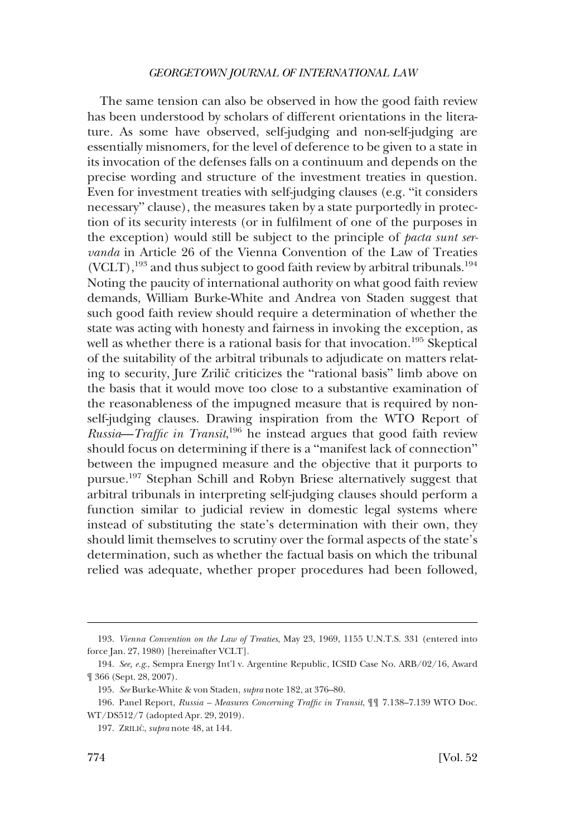The same tension can also be observed in how the good faith review has been understood by scholars of different orientations in the literature. As some have observed, self-judging and non-self-judging are essentially misnomers, for the level of deference to be given to a state in its invocation of the defenses falls on a continuum and depends on the precise wording and structure of the investment treaties in question. Even for investment treaties with self-judging clauses (e.g. "it considers necessary" clause), the measures taken by a state purportedly in protection of its security interests (or in fulfilment of one of the purposes in the exception) would still be subject to the principle of *pacta sunt servanda* in Article 26 of the Vienna Convention of the Law of Treaties (VCLT),<sup>193</sup> and thus subject to good faith review by arbitral tribunals.<sup>194</sup> Noting the paucity of international authority on what good faith review demands, William Burke-White and Andrea von Staden suggest that such good faith review should require a determination of whether the state was acting with honesty and fairness in invoking the exception, as well as whether there is a rational basis for that invocation.<sup>195</sup> Skeptical of the suitability of the arbitral tribunals to adjudicate on matters relating to security, Jure Zrilič criticizes the "rational basis" limb above on the basis that it would move too close to a substantive examination of the reasonableness of the impugned measure that is required by nonself-judging clauses. Drawing inspiration from the WTO Report of *Russia*—*Traffic in Transit*, 196 he instead argues that good faith review should focus on determining if there is a "manifest lack of connection" between the impugned measure and the objective that it purports to pursue.197 Stephan Schill and Robyn Briese alternatively suggest that arbitral tribunals in interpreting self-judging clauses should perform a function similar to judicial review in domestic legal systems where instead of substituting the state's determination with their own, they should limit themselves to scrutiny over the formal aspects of the state's determination, such as whether the factual basis on which the tribunal relied was adequate, whether proper procedures had been followed,

<sup>193.</sup> *Vienna Convention on the Law of Treaties*, May 23, 1969, 1155 U.N.T.S. 331 (entered into force Jan. 27, 1980) [hereinafter VCLT].

<sup>194.</sup> *See, e.g*., Sempra Energy Int'l v. Argentine Republic, ICSID Case No. ARB/02/16, Award ¶ 366 (Sept. 28, 2007).

<sup>195.</sup> *See* Burke-White & von Staden, *supra* note 182, at 376–80.

<sup>196.</sup> Panel Report, *Russia – Measures Concerning Traffic in Transit*, ¶¶ 7.138–7.139 WTO Doc. WT/DS512/7 (adopted Apr. 29, 2019).

<sup>197.</sup> ZRILIČ, *supra* note 48, at 144.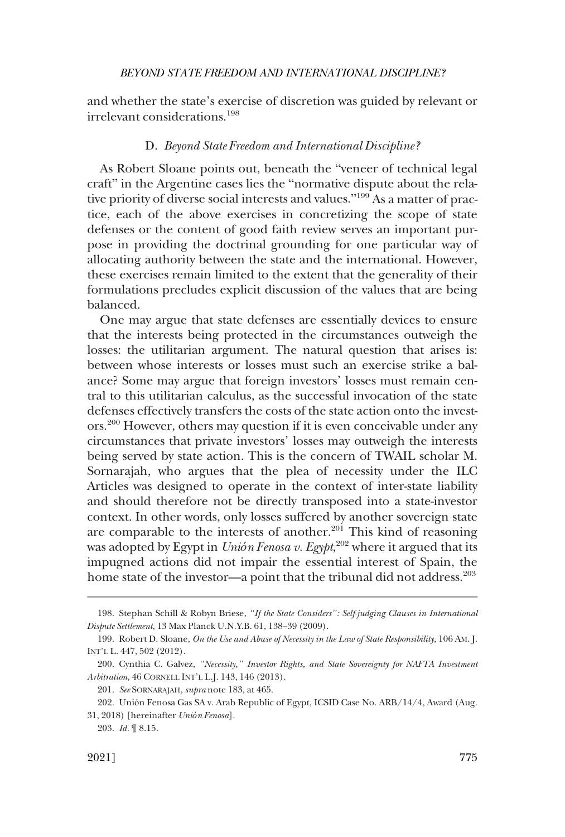<span id="page-40-0"></span>and whether the state's exercise of discretion was guided by relevant or irrelevant considerations.198

## D. *Beyond State Freedom and International Discipline?*

As Robert Sloane points out, beneath the "veneer of technical legal craft" in the Argentine cases lies the "normative dispute about the relative priority of diverse social interests and values."<sup>199</sup> As a matter of practice, each of the above exercises in concretizing the scope of state defenses or the content of good faith review serves an important purpose in providing the doctrinal grounding for one particular way of allocating authority between the state and the international. However, these exercises remain limited to the extent that the generality of their formulations precludes explicit discussion of the values that are being balanced.

One may argue that state defenses are essentially devices to ensure that the interests being protected in the circumstances outweigh the losses: the utilitarian argument. The natural question that arises is: between whose interests or losses must such an exercise strike a balance? Some may argue that foreign investors' losses must remain central to this utilitarian calculus, as the successful invocation of the state defenses effectively transfers the costs of the state action onto the investors.200 However, others may question if it is even conceivable under any circumstances that private investors' losses may outweigh the interests being served by state action. This is the concern of TWAIL scholar M. Sornarajah, who argues that the plea of necessity under the ILC Articles was designed to operate in the context of inter-state liability and should therefore not be directly transposed into a state-investor context. In other words, only losses suffered by another sovereign state are comparable to the interests of another. $201$  This kind of reasoning was adopted by Egypt in *Unión Fenosa v. Egypt*, 202 where it argued that its impugned actions did not impair the essential interest of Spain, the home state of the investor—a point that the tribunal did not address.<sup>203</sup>

<sup>198.</sup> Stephan Schill & Robyn Briese, *"If the State Considers": Self-judging Clauses in International Dispute Settlement*, 13 Max Planck U.N.Y.B. 61, 138–39 (2009).

<sup>199.</sup> Robert D. Sloane, *On the Use and Abuse of Necessity in the Law of State Responsibility*, 106 AM. J. INT'L L. 447, 502 (2012).

<sup>200.</sup> Cynthia C. Galvez, *"Necessity," Investor Rights, and State Sovereignty for NAFTA Investment Arbitration*, 46 CORNELL INT'L L.J. 143, 146 (2013).

<sup>201.</sup> *See* SORNARAJAH, *supra* note 183, at 465.

<sup>202.</sup> Unión Fenosa Gas SA v. Arab Republic of Egypt, ICSID Case No. ARB/14/4, Award (Aug. 31, 2018) [hereinafter *Unión Fenosa*].

<sup>203.</sup> *Id.* ¶ 8.15.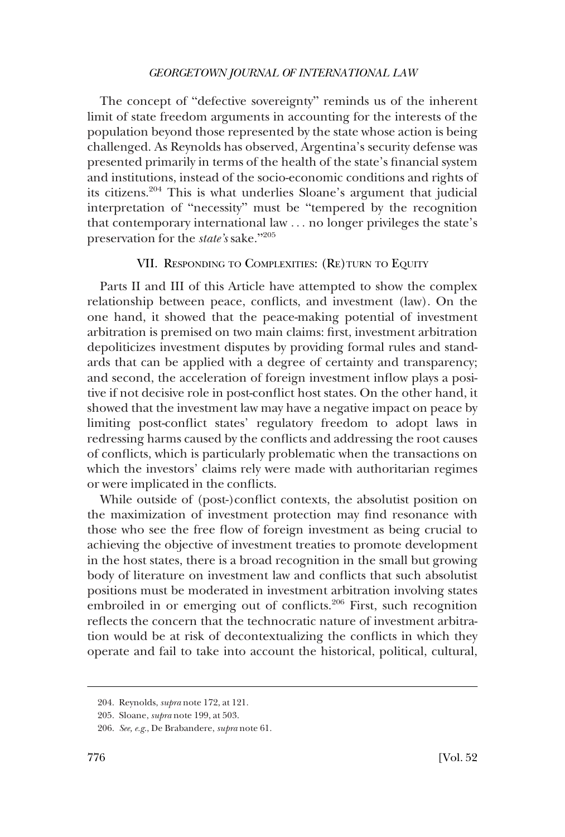<span id="page-41-0"></span>The concept of "defective sovereignty" reminds us of the inherent limit of state freedom arguments in accounting for the interests of the population beyond those represented by the state whose action is being challenged. As Reynolds has observed, Argentina's security defense was presented primarily in terms of the health of the state's financial system and institutions, instead of the socio-economic conditions and rights of its citizens.204 This is what underlies Sloane's argument that judicial interpretation of "necessity" must be "tempered by the recognition that contemporary international law . . . no longer privileges the state's preservation for the *state's* sake."<sup>205</sup>

## VII. RESPONDING TO COMPLEXITIES: (RE)TURN TO EQUITY

Parts II and III of this Article have attempted to show the complex relationship between peace, conflicts, and investment (law). On the one hand, it showed that the peace-making potential of investment arbitration is premised on two main claims: first, investment arbitration depoliticizes investment disputes by providing formal rules and standards that can be applied with a degree of certainty and transparency; and second, the acceleration of foreign investment inflow plays a positive if not decisive role in post-conflict host states. On the other hand, it showed that the investment law may have a negative impact on peace by limiting post-conflict states' regulatory freedom to adopt laws in redressing harms caused by the conflicts and addressing the root causes of conflicts, which is particularly problematic when the transactions on which the investors' claims rely were made with authoritarian regimes or were implicated in the conflicts.

While outside of (post-)conflict contexts, the absolutist position on the maximization of investment protection may find resonance with those who see the free flow of foreign investment as being crucial to achieving the objective of investment treaties to promote development in the host states, there is a broad recognition in the small but growing body of literature on investment law and conflicts that such absolutist positions must be moderated in investment arbitration involving states embroiled in or emerging out of conflicts.<sup>206</sup> First, such recognition reflects the concern that the technocratic nature of investment arbitration would be at risk of decontextualizing the conflicts in which they operate and fail to take into account the historical, political, cultural,

<sup>204.</sup> Reynolds, *supra* note 172, at 121.

<sup>205.</sup> Sloane, *supra* note 199, at 503.

<sup>206.</sup> *See, e.g*., De Brabandere, *supra* note 61.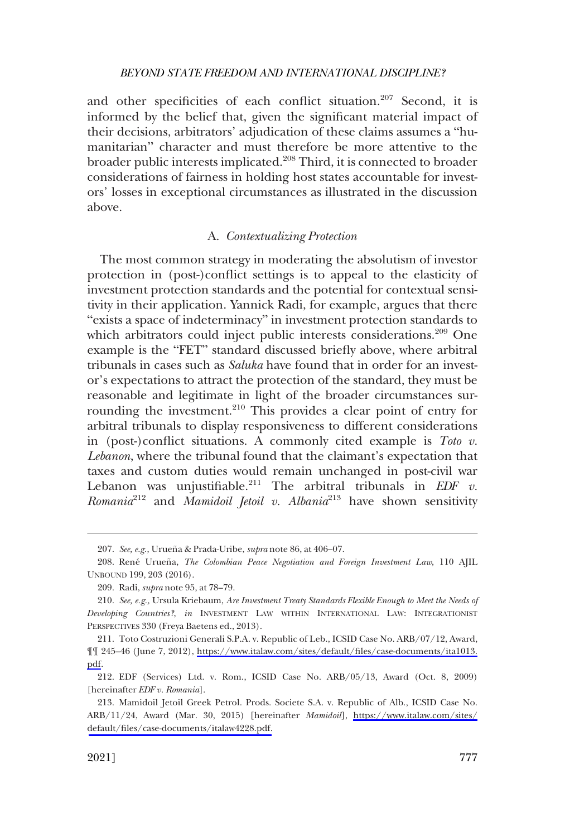<span id="page-42-0"></span>and other specificities of each conflict situation.<sup>207</sup> Second, it is informed by the belief that, given the significant material impact of their decisions, arbitrators' adjudication of these claims assumes a "humanitarian" character and must therefore be more attentive to the broader public interests implicated.208 Third, it is connected to broader considerations of fairness in holding host states accountable for investors' losses in exceptional circumstances as illustrated in the discussion above.

#### A. *Contextualizing Protection*

The most common strategy in moderating the absolutism of investor protection in (post-)conflict settings is to appeal to the elasticity of investment protection standards and the potential for contextual sensitivity in their application. Yannick Radi, for example, argues that there "exists a space of indeterminacy" in investment protection standards to which arbitrators could inject public interests considerations.<sup>209</sup> One example is the "FET" standard discussed briefly above, where arbitral tribunals in cases such as *Saluka* have found that in order for an investor's expectations to attract the protection of the standard, they must be reasonable and legitimate in light of the broader circumstances surrounding the investment.<sup>210</sup> This provides a clear point of entry for arbitral tribunals to display responsiveness to different considerations in (post-)conflict situations. A commonly cited example is *Toto v. Lebanon*, where the tribunal found that the claimant's expectation that taxes and custom duties would remain unchanged in post-civil war Lebanon was unjustifiable.<sup>211</sup> The arbitral tribunals in *EDF v*. *Romania*212 and *Mamidoil Jetoil v. Albania*<sup>213</sup> have shown sensitivity

<sup>207.</sup> See, e.g., Urueña & Prada-Uribe, *supra* note 86, at 406-07.

<sup>208.</sup> René Urueña, *The Colombian Peace Negotiation and Foreign Investment Law*, 110 AJIL UNBOUND 199, 203 (2016).

<sup>209.</sup> Radi, *supra* note 95, at 78–79.

<sup>210.</sup> *See, e.g.,* Ursula Kriebaum, *Are Investment Treaty Standards Flexible Enough to Meet the Needs of Developing Countries?*, *in* INVESTMENT LAW WITHIN INTERNATIONAL LAW: INTEGRATIONIST PERSPECTIVES 330 (Freya Baetens ed., 2013).

<sup>211.</sup> Toto Costruzioni Generali S.P.A. v. Republic of Leb., ICSID Case No. ARB/07/12, Award, ¶¶ 245–46 (June 7, 2012), [https://www.italaw.com/sites/default/files/case-documents/ita1013.](https://www.italaw.com/sites/default/files/case-documents/ita1013.pdf)  [pdf.](https://www.italaw.com/sites/default/files/case-documents/ita1013.pdf)

<sup>212.</sup> EDF (Services) Ltd. v. Rom., ICSID Case No. ARB/05/13, Award (Oct. 8, 2009) [hereinafter *EDF v. Romania*].

<sup>213.</sup> Mamidoil Jetoil Greek Petrol. Prods. Societe S.A. v. Republic of Alb., ICSID Case No. ARB/11/24, Award (Mar. 30, 2015) [hereinafter *Mamidoil*], [https://www.italaw.com/sites/](https://www.italaw.com/sites/default/files/case-documents/italaw4228.pdf) [default/files/case-documents/italaw4228.pdf.](https://www.italaw.com/sites/default/files/case-documents/italaw4228.pdf)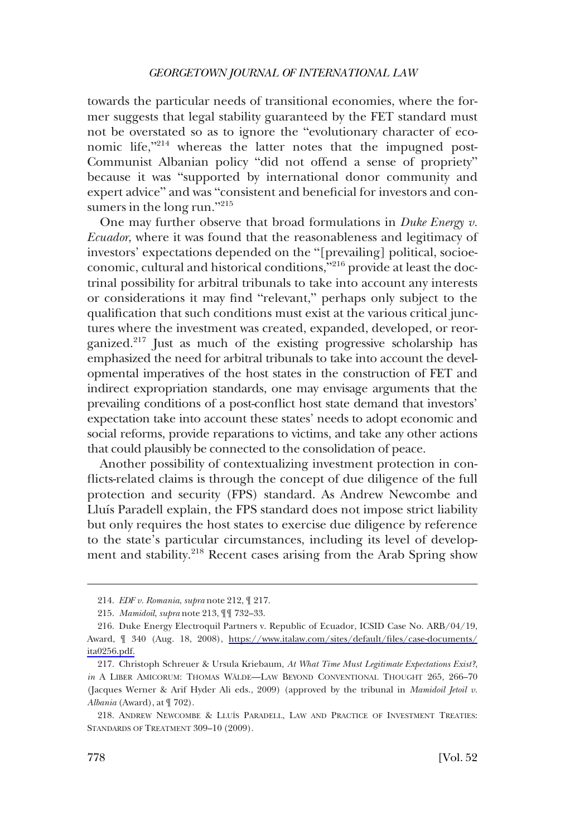towards the particular needs of transitional economies, where the former suggests that legal stability guaranteed by the FET standard must not be overstated so as to ignore the "evolutionary character of economic life,"<sup>214</sup> whereas the latter notes that the impugned post-Communist Albanian policy "did not offend a sense of propriety" because it was "supported by international donor community and expert advice" and was "consistent and beneficial for investors and consumers in the long run."<sup>215</sup>

One may further observe that broad formulations in *Duke Energy v. Ecuador*, where it was found that the reasonableness and legitimacy of investors' expectations depended on the "[prevailing] political, socioeconomic, cultural and historical conditions,"<sup>216</sup> provide at least the doctrinal possibility for arbitral tribunals to take into account any interests or considerations it may find "relevant," perhaps only subject to the qualification that such conditions must exist at the various critical junctures where the investment was created, expanded, developed, or reorganized.<sup>217</sup> Just as much of the existing progressive scholarship has emphasized the need for arbitral tribunals to take into account the developmental imperatives of the host states in the construction of FET and indirect expropriation standards, one may envisage arguments that the prevailing conditions of a post-conflict host state demand that investors' expectation take into account these states' needs to adopt economic and social reforms, provide reparations to victims, and take any other actions that could plausibly be connected to the consolidation of peace.

Another possibility of contextualizing investment protection in conflicts-related claims is through the concept of due diligence of the full protection and security (FPS) standard. As Andrew Newcombe and Lluı´s Paradell explain, the FPS standard does not impose strict liability but only requires the host states to exercise due diligence by reference to the state's particular circumstances, including its level of development and stability.<sup>218</sup> Recent cases arising from the Arab Spring show

<sup>214.</sup> *EDF v. Romania*, *supra* note 212, ¶ 217.

<sup>215.</sup> *Mamidoil*, *supra* note 213, ¶¶ 732–33.

<sup>216.</sup> Duke Energy Electroquil Partners v. Republic of Ecuador, ICSID Case No. ARB/04/19, Award, ¶ 340 (Aug. 18, 2008), [https://www.italaw.com/sites/default/files/case-documents/](https://www.italaw.com/sites/default/files/case-documents/ita0256.pdf) [ita0256.pdf.](https://www.italaw.com/sites/default/files/case-documents/ita0256.pdf)

<sup>217.</sup> Christoph Schreuer & Ursula Kriebaum, *At What Time Must Legitimate Expectations Exist?*, *in* A LIBER AMICORUM: THOMAS WALDE—LAW BEYOND CONVENTIONAL THOUGHT 265, 266-70 (Jacques Werner & Arif Hyder Ali eds., 2009) (approved by the tribunal in *Mamidoil Jetoil v. Albania* (Award), at ¶ 702).

<sup>218.</sup> ANDREW NEWCOMBE & LLUI´S PARADELL, LAW AND PRACTICE OF INVESTMENT TREATIES: STANDARDS OF TREATMENT 309-10 (2009).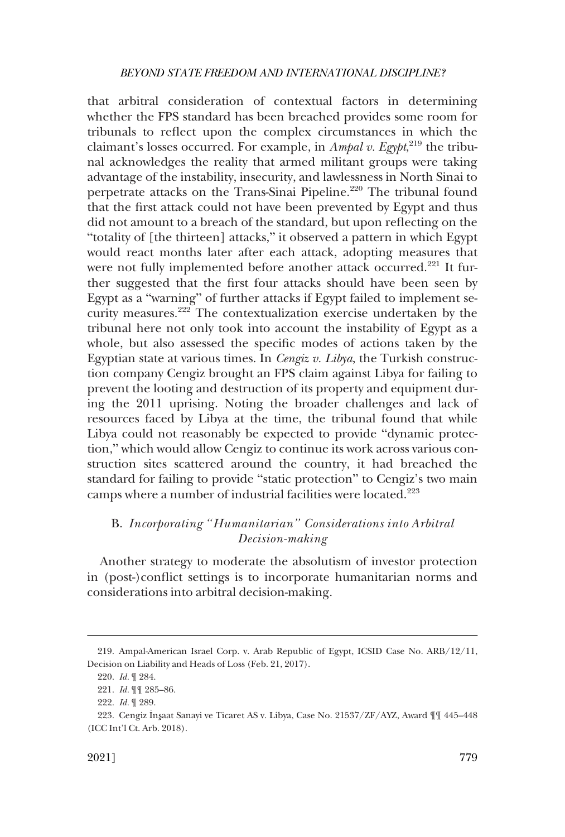<span id="page-44-0"></span>that arbitral consideration of contextual factors in determining whether the FPS standard has been breached provides some room for tribunals to reflect upon the complex circumstances in which the claimant's losses occurred. For example, in *Ampal v. Egypt*, 219 the tribunal acknowledges the reality that armed militant groups were taking advantage of the instability, insecurity, and lawlessness in North Sinai to perpetrate attacks on the Trans-Sinai Pipeline.<sup>220</sup> The tribunal found that the first attack could not have been prevented by Egypt and thus did not amount to a breach of the standard, but upon reflecting on the "totality of [the thirteen] attacks," it observed a pattern in which Egypt would react months later after each attack, adopting measures that were not fully implemented before another attack occurred.<sup>221</sup> It further suggested that the first four attacks should have been seen by Egypt as a "warning" of further attacks if Egypt failed to implement security measures.<sup>222</sup> The contextualization exercise undertaken by the tribunal here not only took into account the instability of Egypt as a whole, but also assessed the specific modes of actions taken by the Egyptian state at various times. In *Cengiz v. Libya*, the Turkish construction company Cengiz brought an FPS claim against Libya for failing to prevent the looting and destruction of its property and equipment during the 2011 uprising. Noting the broader challenges and lack of resources faced by Libya at the time, the tribunal found that while Libya could not reasonably be expected to provide "dynamic protection," which would allow Cengiz to continue its work across various construction sites scattered around the country, it had breached the standard for failing to provide "static protection" to Cengiz's two main camps where a number of industrial facilities were located.223

## B. *Incorporating "Humanitarian" Considerations into Arbitral Decision-making*

Another strategy to moderate the absolutism of investor protection in (post-)conflict settings is to incorporate humanitarian norms and considerations into arbitral decision-making.

<sup>219.</sup> Ampal-American Israel Corp. v. Arab Republic of Egypt, ICSID Case No. ARB/12/11, Decision on Liability and Heads of Loss (Feb. 21, 2017).

<sup>220.</sup> *Id.* ¶ 284.

<sup>221.</sup> *Id.* ¶¶ 285–86.

<sup>222.</sup> *Id.* ¶ 289.

<sup>223.</sup> Cengiz Insaat Sanayi ve Ticaret AS v. Libya, Case No. 21537/ZF/AYZ, Award ¶¶ 445–448 (ICC Int'l Ct. Arb. 2018).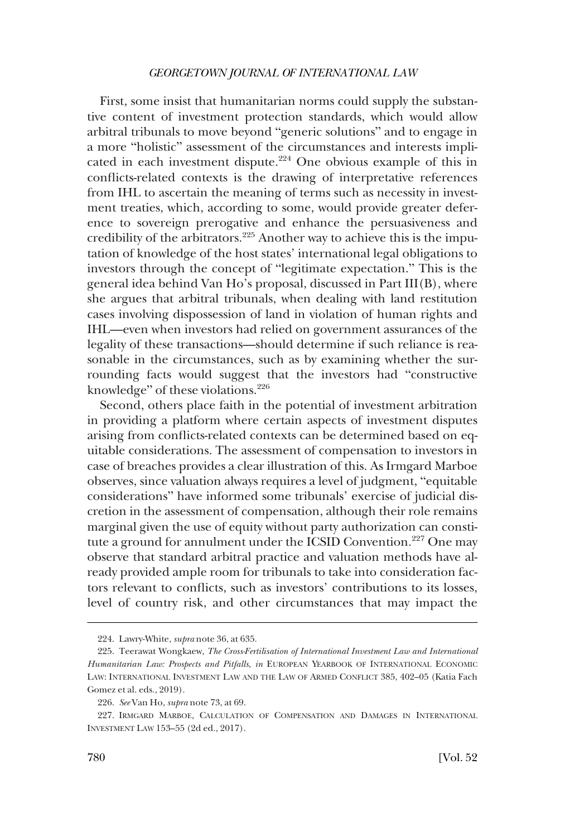First, some insist that humanitarian norms could supply the substantive content of investment protection standards, which would allow arbitral tribunals to move beyond "generic solutions" and to engage in a more "holistic" assessment of the circumstances and interests implicated in each investment dispute.<sup>224</sup> One obvious example of this in conflicts-related contexts is the drawing of interpretative references from IHL to ascertain the meaning of terms such as necessity in investment treaties, which, according to some, would provide greater deference to sovereign prerogative and enhance the persuasiveness and credibility of the arbitrators.<sup>225</sup> Another way to achieve this is the imputation of knowledge of the host states' international legal obligations to investors through the concept of "legitimate expectation." This is the general idea behind Van Ho's proposal, discussed in Part III(B), where she argues that arbitral tribunals, when dealing with land restitution cases involving dispossession of land in violation of human rights and IHL—even when investors had relied on government assurances of the legality of these transactions—should determine if such reliance is reasonable in the circumstances, such as by examining whether the surrounding facts would suggest that the investors had "constructive knowledge" of these violations.226

Second, others place faith in the potential of investment arbitration in providing a platform where certain aspects of investment disputes arising from conflicts-related contexts can be determined based on equitable considerations. The assessment of compensation to investors in case of breaches provides a clear illustration of this. As Irmgard Marboe observes, since valuation always requires a level of judgment, "equitable considerations" have informed some tribunals' exercise of judicial discretion in the assessment of compensation, although their role remains marginal given the use of equity without party authorization can constitute a ground for annulment under the ICSID Convention.<sup>227</sup> One may observe that standard arbitral practice and valuation methods have already provided ample room for tribunals to take into consideration factors relevant to conflicts, such as investors' contributions to its losses, level of country risk, and other circumstances that may impact the

<sup>224.</sup> Lawry-White, *supra* note 36, at 635.

<sup>225.</sup> Teerawat Wongkaew, *The Cross-Fertilisation of International Investment Law and International Humanitarian Law: Prospects and Pitfalls*, *in* EUROPEAN YEARBOOK OF INTERNATIONAL ECONOMIC LAW: INTERNATIONAL INVESTMENT LAW AND THE LAW OF ARMED CONFLICT 385, 402–05 (Katia Fach Gomez et al. eds., 2019).

<sup>226.</sup> *See* Van Ho, *supra* note 73, at 69.

<sup>227.</sup> IRMGARD MARBOE, CALCULATION OF COMPENSATION AND DAMAGES IN INTERNATIONAL INVESTMENT LAW 153–55 (2d ed., 2017).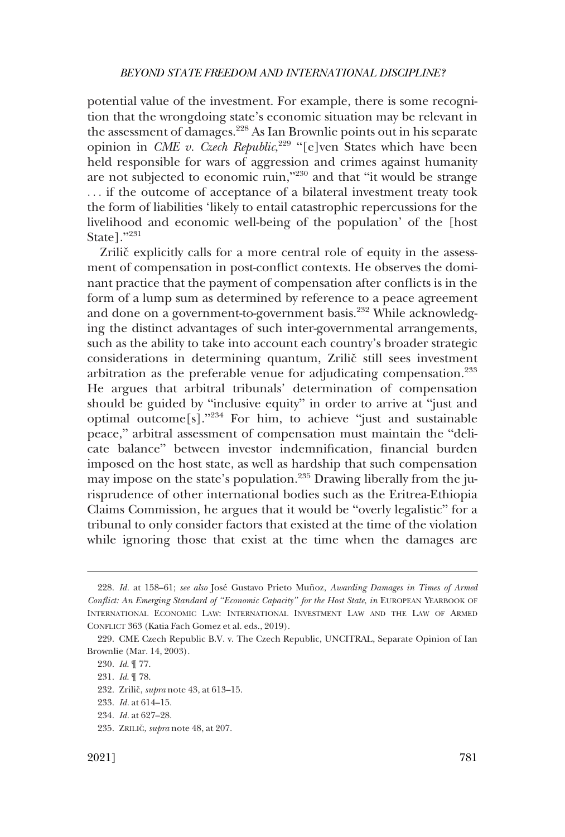potential value of the investment. For example, there is some recognition that the wrongdoing state's economic situation may be relevant in the assessment of damages.<sup>228</sup> As Ian Brownlie points out in his separate opinion in *CME v. Czech Republic*,<sup>229</sup> "[e]ven States which have been held responsible for wars of aggression and crimes against humanity are not subjected to economic ruin,"230 and that "it would be strange . . . if the outcome of acceptance of a bilateral investment treaty took the form of liabilities 'likely to entail catastrophic repercussions for the livelihood and economic well-being of the population' of the [host State]."<sup>231</sup>

Zrilic<sup>\*</sup> explicitly calls for a more central role of equity in the assessment of compensation in post-conflict contexts. He observes the dominant practice that the payment of compensation after conflicts is in the form of a lump sum as determined by reference to a peace agreement and done on a government-to-government basis.<sup>232</sup> While acknowledging the distinct advantages of such inter-governmental arrangements, such as the ability to take into account each country's broader strategic considerations in determining quantum, Zrilič still sees investment arbitration as the preferable venue for adjudicating compensation.<sup>233</sup> He argues that arbitral tribunals' determination of compensation should be guided by "inclusive equity" in order to arrive at "just and optimal outcome<sup>[s]</sup>."<sup>234</sup> For him, to achieve "just and sustainable peace," arbitral assessment of compensation must maintain the "delicate balance" between investor indemnification, financial burden imposed on the host state, as well as hardship that such compensation may impose on the state's population.235 Drawing liberally from the jurisprudence of other international bodies such as the Eritrea-Ethiopia Claims Commission, he argues that it would be "overly legalistic" for a tribunal to only consider factors that existed at the time of the violation while ignoring those that exist at the time when the damages are

<sup>228.</sup> *Id.* at 158–61; see also José Gustavo Prieto Muñoz, Awarding Damages in Times of Armed *Conflict: An Emerging Standard of "Economic Capacity" for the Host State*, *in* EUROPEAN YEARBOOK OF INTERNATIONAL ECONOMIC LAW: INTERNATIONAL INVESTMENT LAW AND THE LAW OF ARMED CONFLICT 363 (Katia Fach Gomez et al. eds., 2019).

<sup>229.</sup> CME Czech Republic B.V. v. The Czech Republic, UNCITRAL, Separate Opinion of Ian Brownlie (Mar. 14, 2003).

<sup>230.</sup> *Id*. ¶ 77.

<sup>231.</sup> *Id*. ¶ 78.

<sup>232.</sup> Zrilič, *supra* note 43, at 613-15.

<sup>233.</sup> *Id.* at 614–15.

<sup>234.</sup> *Id.* at 627–28.

<sup>235.</sup> ZRILIČ, *supra* note 48, at 207.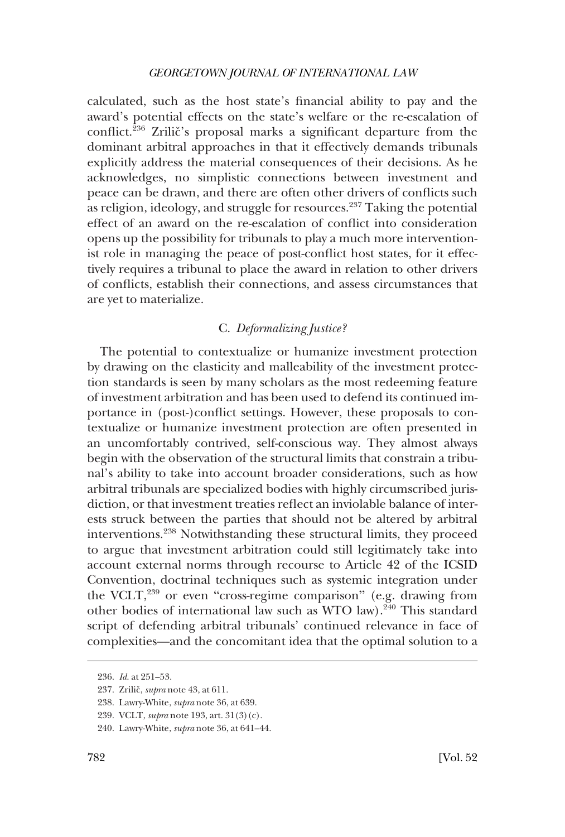<span id="page-47-0"></span>calculated, such as the host state's financial ability to pay and the award's potential effects on the state's welfare or the re-escalation of conflict.<sup>236</sup> Zrilic<sup>'</sup>'s proposal marks a significant departure from the dominant arbitral approaches in that it effectively demands tribunals explicitly address the material consequences of their decisions. As he acknowledges, no simplistic connections between investment and peace can be drawn, and there are often other drivers of conflicts such as religion, ideology, and struggle for resources. $237$  Taking the potential effect of an award on the re-escalation of conflict into consideration opens up the possibility for tribunals to play a much more interventionist role in managing the peace of post-conflict host states, for it effectively requires a tribunal to place the award in relation to other drivers of conflicts, establish their connections, and assess circumstances that are yet to materialize.

### C. *Deformalizing Justice?*

The potential to contextualize or humanize investment protection by drawing on the elasticity and malleability of the investment protection standards is seen by many scholars as the most redeeming feature of investment arbitration and has been used to defend its continued importance in (post-)conflict settings. However, these proposals to contextualize or humanize investment protection are often presented in an uncomfortably contrived, self-conscious way. They almost always begin with the observation of the structural limits that constrain a tribunal's ability to take into account broader considerations, such as how arbitral tribunals are specialized bodies with highly circumscribed jurisdiction, or that investment treaties reflect an inviolable balance of interests struck between the parties that should not be altered by arbitral interventions.238 Notwithstanding these structural limits, they proceed to argue that investment arbitration could still legitimately take into account external norms through recourse to Article 42 of the ICSID Convention, doctrinal techniques such as systemic integration under the VCLT,<sup>239</sup> or even "cross-regime comparison" (e.g. drawing from other bodies of international law such as WTO law).<sup>240</sup> This standard script of defending arbitral tribunals' continued relevance in face of complexities—and the concomitant idea that the optimal solution to a

<sup>236.</sup> *Id*. at 251–53.

<sup>237.</sup> Zrilič, *supra* note 43, at 611.

<sup>238.</sup> Lawry-White, *supra* note 36, at 639.

<sup>239.</sup> VCLT, *supra* note 193, art. 31(3)(c).

<sup>240.</sup> Lawry-White, *supra* note 36, at 641–44.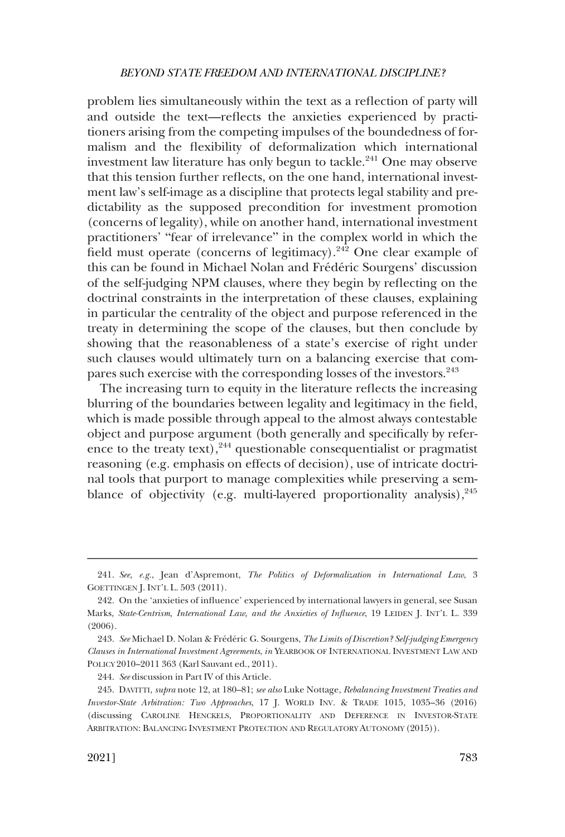problem lies simultaneously within the text as a reflection of party will and outside the text—reflects the anxieties experienced by practitioners arising from the competing impulses of the boundedness of formalism and the flexibility of deformalization which international investment law literature has only begun to tackle.<sup>241</sup> One may observe that this tension further reflects, on the one hand, international investment law's self-image as a discipline that protects legal stability and predictability as the supposed precondition for investment promotion (concerns of legality), while on another hand, international investment practitioners' "fear of irrelevance" in the complex world in which the field must operate (concerns of legitimacy).<sup>242</sup> One clear example of this can be found in Michael Nolan and Frédéric Sourgens' discussion of the self-judging NPM clauses, where they begin by reflecting on the doctrinal constraints in the interpretation of these clauses, explaining in particular the centrality of the object and purpose referenced in the treaty in determining the scope of the clauses, but then conclude by showing that the reasonableness of a state's exercise of right under such clauses would ultimately turn on a balancing exercise that compares such exercise with the corresponding losses of the investors.<sup>243</sup>

The increasing turn to equity in the literature reflects the increasing blurring of the boundaries between legality and legitimacy in the field, which is made possible through appeal to the almost always contestable object and purpose argument (both generally and specifically by reference to the treaty text), $244$  questionable consequentialist or pragmatist reasoning (e.g. emphasis on effects of decision), use of intricate doctrinal tools that purport to manage complexities while preserving a semblance of objectivity (e.g. multi-layered proportionality analysis),  $245$ 

<sup>241.</sup> *See, e.g.*, Jean d'Aspremont, *The Politics of Deformalization in International Law*, 3 GOETTINGEN J. INT'L L. 503 (2011).

<sup>242.</sup> On the 'anxieties of influence' experienced by international lawyers in general, see Susan Marks, *State-Centrism, International Law, and the Anxieties of Influence*, 19 LEIDEN J. INT'L L. 339 (2006).

<sup>243.</sup> See Michael D. Nolan & Frédéric G. Sourgens, *The Limits of Discretion? Self-judging Emergency Clauses in International Investment Agreements*, *in* YEARBOOK OF INTERNATIONAL INVESTMENT LAW AND POLICY 2010–2011 363 (Karl Sauvant ed., 2011).

<sup>244.</sup> *See* discussion in Part IV of this Article.

<sup>245.</sup> DAVITTI, *supra* note 12, at 180–81; *see also* Luke Nottage, *Rebalancing Investment Treaties and Investor-State Arbitration: Two Approaches*, 17 J. WORLD INV. & TRADE 1015, 1035–36 (2016) (discussing CAROLINE HENCKELS, PROPORTIONALITY AND DEFERENCE IN INVESTOR-STATE ARBITRATION: BALANCING INVESTMENT PROTECTION AND REGULATORY AUTONOMY (2015)).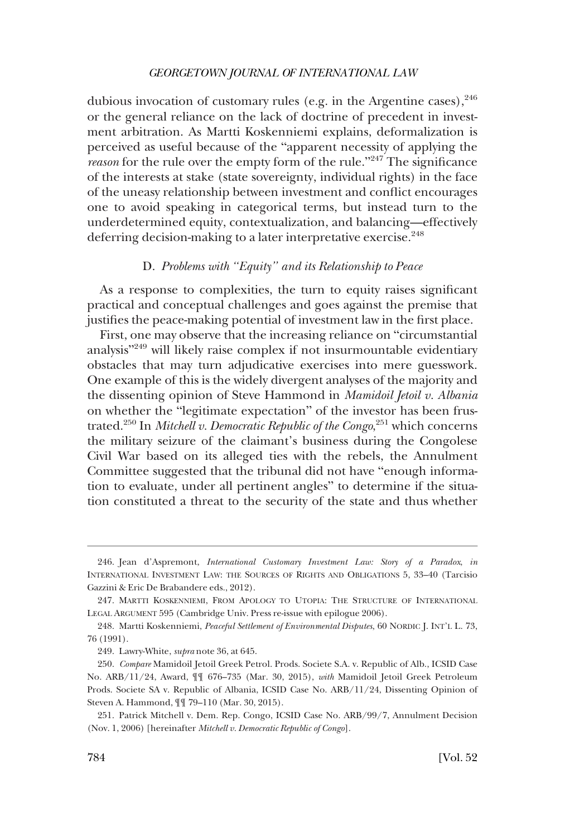<span id="page-49-0"></span>dubious invocation of customary rules (e.g. in the Argentine cases),  $246$ or the general reliance on the lack of doctrine of precedent in investment arbitration. As Martti Koskenniemi explains, deformalization is perceived as useful because of the "apparent necessity of applying the *reason* for the rule over the empty form of the rule."<sup>247</sup> The significance of the interests at stake (state sovereignty, individual rights) in the face of the uneasy relationship between investment and conflict encourages one to avoid speaking in categorical terms, but instead turn to the underdetermined equity, contextualization, and balancing—effectively deferring decision-making to a later interpretative exercise.<sup>248</sup>

## D. *Problems with "Equity" and its Relationship to Peace*

As a response to complexities, the turn to equity raises significant practical and conceptual challenges and goes against the premise that justifies the peace-making potential of investment law in the first place.

First, one may observe that the increasing reliance on "circumstantial analysis"249 will likely raise complex if not insurmountable evidentiary obstacles that may turn adjudicative exercises into mere guesswork. One example of this is the widely divergent analyses of the majority and the dissenting opinion of Steve Hammond in *Mamidoil Jetoil v. Albania*  on whether the "legitimate expectation" of the investor has been frustrated.250 In *Mitchell v. Democratic Republic of the Congo*, 251 which concerns the military seizure of the claimant's business during the Congolese Civil War based on its alleged ties with the rebels, the Annulment Committee suggested that the tribunal did not have "enough information to evaluate, under all pertinent angles" to determine if the situation constituted a threat to the security of the state and thus whether

<sup>246.</sup> Jean d'Aspremont, *International Customary Investment Law: Story of a Paradox*, *in*  INTERNATIONAL INVESTMENT LAW: THE SOURCES OF RIGHTS AND OBLIGATIONS 5, 33–40 (Tarcisio Gazzini & Eric De Brabandere eds., 2012).

<sup>247.</sup> MARTTI KOSKENNIEMI, FROM APOLOGY TO UTOPIA: THE STRUCTURE OF INTERNATIONAL LEGAL ARGUMENT 595 (Cambridge Univ. Press re-issue with epilogue 2006).

<sup>248.</sup> Martti Koskenniemi, *Peaceful Settlement of Environmental Disputes*, 60 NORDIC J. INT'L L. 73, 76 (1991).

<sup>249.</sup> Lawry-White, *supra* note 36, at 645.

<sup>250.</sup> *Compare* Mamidoil Jetoil Greek Petrol. Prods. Societe S.A. v. Republic of Alb., ICSID Case No. ARB/11/24, Award, ¶¶ 676–735 (Mar. 30, 2015), *with* Mamidoil Jetoil Greek Petroleum Prods. Societe SA v. Republic of Albania, ICSID Case No. ARB/11/24, Dissenting Opinion of Steven A. Hammond, ¶¶ 79–110 (Mar. 30, 2015).

<sup>251.</sup> Patrick Mitchell v. Dem. Rep. Congo, ICSID Case No. ARB/99/7, Annulment Decision (Nov. 1, 2006) [hereinafter *Mitchell v. Democratic Republic of Congo*].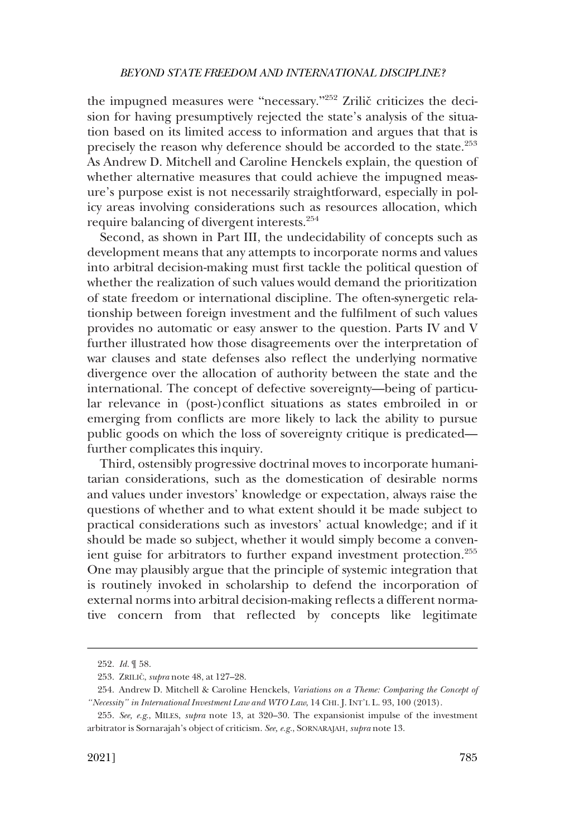the impugned measures were "necessary." $252$  Zrilič criticizes the decision for having presumptively rejected the state's analysis of the situation based on its limited access to information and argues that that is precisely the reason why deference should be accorded to the state.<sup>253</sup> As Andrew D. Mitchell and Caroline Henckels explain, the question of whether alternative measures that could achieve the impugned measure's purpose exist is not necessarily straightforward, especially in policy areas involving considerations such as resources allocation, which require balancing of divergent interests.254

Second, as shown in Part III, the undecidability of concepts such as development means that any attempts to incorporate norms and values into arbitral decision-making must first tackle the political question of whether the realization of such values would demand the prioritization of state freedom or international discipline. The often-synergetic relationship between foreign investment and the fulfilment of such values provides no automatic or easy answer to the question. Parts IV and V further illustrated how those disagreements over the interpretation of war clauses and state defenses also reflect the underlying normative divergence over the allocation of authority between the state and the international. The concept of defective sovereignty—being of particular relevance in (post-)conflict situations as states embroiled in or emerging from conflicts are more likely to lack the ability to pursue public goods on which the loss of sovereignty critique is predicated further complicates this inquiry.

Third, ostensibly progressive doctrinal moves to incorporate humanitarian considerations, such as the domestication of desirable norms and values under investors' knowledge or expectation, always raise the questions of whether and to what extent should it be made subject to practical considerations such as investors' actual knowledge; and if it should be made so subject, whether it would simply become a convenient guise for arbitrators to further expand investment protection.<sup>255</sup> One may plausibly argue that the principle of systemic integration that is routinely invoked in scholarship to defend the incorporation of external norms into arbitral decision-making reflects a different normative concern from that reflected by concepts like legitimate

<sup>252.</sup> *Id.* ¶ 58.

<sup>253.</sup> ZRILICˇ , *supra* note 48, at 127–28.

<sup>254.</sup> Andrew D. Mitchell & Caroline Henckels, *Variations on a Theme: Comparing the Concept of "Necessity" in International Investment Law and WTO Law*, 14 CHI. J. INT'L L. 93, 100 (2013).

<sup>255.</sup> *See, e.g*., MILES, *supra* note 13, at 320–30. The expansionist impulse of the investment arbitrator is Sornarajah's object of criticism. *See, e.g.*, SORNARAJAH, *supra* note 13.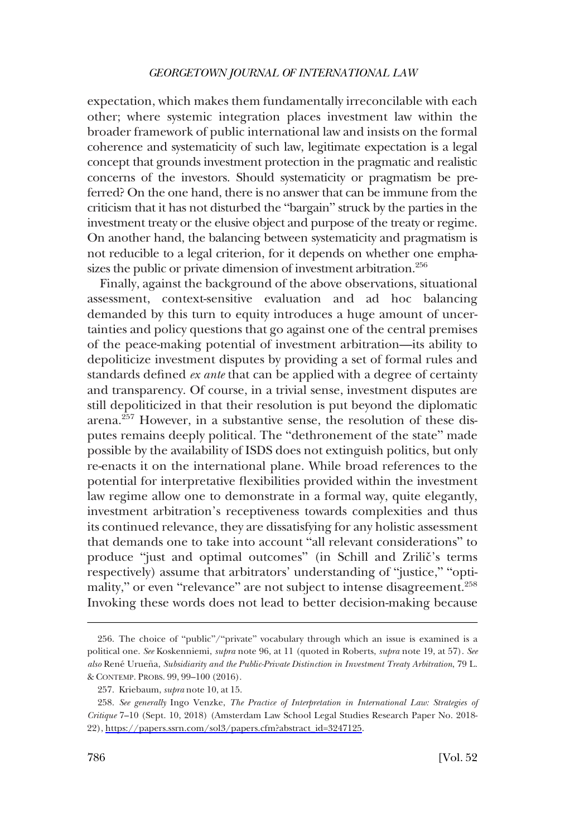expectation, which makes them fundamentally irreconcilable with each other; where systemic integration places investment law within the broader framework of public international law and insists on the formal coherence and systematicity of such law, legitimate expectation is a legal concept that grounds investment protection in the pragmatic and realistic concerns of the investors. Should systematicity or pragmatism be preferred? On the one hand, there is no answer that can be immune from the criticism that it has not disturbed the "bargain" struck by the parties in the investment treaty or the elusive object and purpose of the treaty or regime. On another hand, the balancing between systematicity and pragmatism is not reducible to a legal criterion, for it depends on whether one emphasizes the public or private dimension of investment arbitration.<sup>256</sup>

Finally, against the background of the above observations, situational assessment, context-sensitive evaluation and ad hoc balancing demanded by this turn to equity introduces a huge amount of uncertainties and policy questions that go against one of the central premises of the peace-making potential of investment arbitration—its ability to depoliticize investment disputes by providing a set of formal rules and standards defined *ex ante* that can be applied with a degree of certainty and transparency. Of course, in a trivial sense, investment disputes are still depoliticized in that their resolution is put beyond the diplomatic arena.257 However, in a substantive sense, the resolution of these disputes remains deeply political. The "dethronement of the state" made possible by the availability of ISDS does not extinguish politics, but only re-enacts it on the international plane. While broad references to the potential for interpretative flexibilities provided within the investment law regime allow one to demonstrate in a formal way, quite elegantly, investment arbitration's receptiveness towards complexities and thus its continued relevance, they are dissatisfying for any holistic assessment that demands one to take into account "all relevant considerations" to produce "just and optimal outcomes" (in Schill and Zrilič's terms respectively) assume that arbitrators' understanding of "justice," "optimality," or even "relevance" are not subject to intense disagreement.<sup>258</sup> Invoking these words does not lead to better decision-making because

<sup>256.</sup> The choice of "public"/"private" vocabulary through which an issue is examined is a political one. *See* Koskenniemi, *supra* note 96, at 11 (quoted in Roberts, *supra* note 19, at 57). *See also* René Urueña, Subsidiarity and the Public-Private Distinction in Investment Treaty Arbitration, 79 L. & CONTEMP. PROBS. 99, 99–100 (2016).

<sup>257.</sup> Kriebaum, *supra* note 10, at 15.

<sup>258.</sup> See generally Ingo Venzke, *The Practice of Interpretation in International Law: Strategies of Critique* 7–10 (Sept. 10, 2018) (Amsterdam Law School Legal Studies Research Paper No. 2018- 22), [https://papers.ssrn.com/sol3/papers.cfm?abstract\\_id=3247125](https://papers.ssrn.com/sol3/papers.cfm?abstract_id=3247125).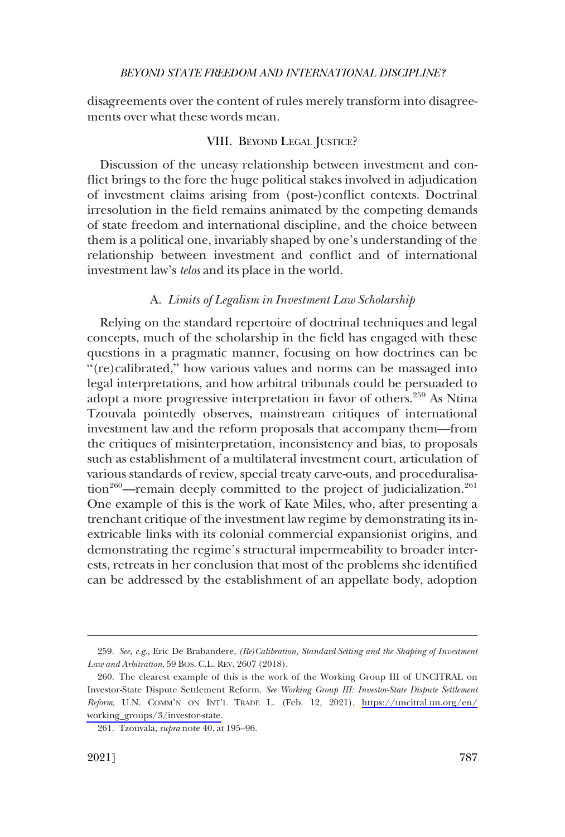<span id="page-52-0"></span>disagreements over the content of rules merely transform into disagreements over what these words mean.

## VIII. BEYOND LEGAL JUSTICE?

Discussion of the uneasy relationship between investment and conflict brings to the fore the huge political stakes involved in adjudication of investment claims arising from (post-)conflict contexts. Doctrinal irresolution in the field remains animated by the competing demands of state freedom and international discipline, and the choice between them is a political one, invariably shaped by one's understanding of the relationship between investment and conflict and of international investment law's *telos* and its place in the world.

### A. *Limits of Legalism in Investment Law Scholarship*

Relying on the standard repertoire of doctrinal techniques and legal concepts, much of the scholarship in the field has engaged with these questions in a pragmatic manner, focusing on how doctrines can be "(re)calibrated," how various values and norms can be massaged into legal interpretations, and how arbitral tribunals could be persuaded to adopt a more progressive interpretation in favor of others.<sup>259</sup> As Ntina Tzouvala pointedly observes, mainstream critiques of international investment law and the reform proposals that accompany them—from the critiques of misinterpretation, inconsistency and bias, to proposals such as establishment of a multilateral investment court, articulation of various standards of review, special treaty carve-outs, and proceduralisation<sup>260</sup>—remain deeply committed to the project of judicialization.<sup>261</sup> One example of this is the work of Kate Miles, who, after presenting a trenchant critique of the investment law regime by demonstrating its inextricable links with its colonial commercial expansionist origins, and demonstrating the regime's structural impermeability to broader interests, retreats in her conclusion that most of the problems she identified can be addressed by the establishment of an appellate body, adoption

<sup>259.</sup> *See, e.g*., Eric De Brabandere, *(Re)Calibration, Standard-Setting and the Shaping of Investment Law and Arbitration*, 59 BOS. C.L. REV. 2607 (2018).

<sup>260.</sup> The clearest example of this is the work of the Working Group III of UNCITRAL on Investor-State Dispute Settlement Reform. *See Working Group III: Investor-State Dispute Settlement Reform*, U.N. COMM'N ON INT'L TRADE L. (Feb. 12, 2021), [https://uncitral.un.org/en/](https://uncitral.un.org/en/working_groups/3/investor-state) [working\\_groups/3/investor-state.](https://uncitral.un.org/en/working_groups/3/investor-state)

<sup>261.</sup> Tzouvala, *supra* note 40, at 195–96.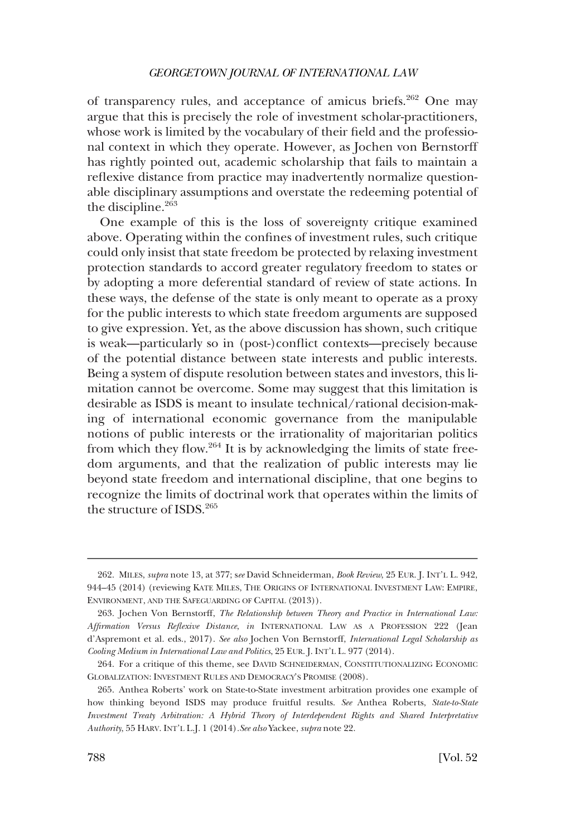of transparency rules, and acceptance of amicus briefs.<sup>262</sup> One may argue that this is precisely the role of investment scholar-practitioners, whose work is limited by the vocabulary of their field and the professional context in which they operate. However, as Jochen von Bernstorff has rightly pointed out, academic scholarship that fails to maintain a reflexive distance from practice may inadvertently normalize questionable disciplinary assumptions and overstate the redeeming potential of the discipline.<sup>263</sup>

One example of this is the loss of sovereignty critique examined above. Operating within the confines of investment rules, such critique could only insist that state freedom be protected by relaxing investment protection standards to accord greater regulatory freedom to states or by adopting a more deferential standard of review of state actions. In these ways, the defense of the state is only meant to operate as a proxy for the public interests to which state freedom arguments are supposed to give expression. Yet, as the above discussion has shown, such critique is weak—particularly so in (post-)conflict contexts—precisely because of the potential distance between state interests and public interests. Being a system of dispute resolution between states and investors, this limitation cannot be overcome. Some may suggest that this limitation is desirable as ISDS is meant to insulate technical/rational decision-making of international economic governance from the manipulable notions of public interests or the irrationality of majoritarian politics from which they flow.264 It is by acknowledging the limits of state freedom arguments, and that the realization of public interests may lie beyond state freedom and international discipline, that one begins to recognize the limits of doctrinal work that operates within the limits of the structure of ISDS.<sup>265</sup>

<sup>262.</sup> MILES, *supra* note 13, at 377; s*ee* David Schneiderman, *Book Review*, 25 EUR. J. INT'L L. 942, 944–45 (2014) (reviewing KATE MILES, THE ORIGINS OF INTERNATIONAL INVESTMENT LAW: EMPIRE, ENVIRONMENT, AND THE SAFEGUARDING OF CAPITAL (2013)).

<sup>263.</sup> Jochen Von Bernstorff, *The Relationship between Theory and Practice in International Law: Affirmation Versus Reflexive Distance*, *in* INTERNATIONAL LAW AS A PROFESSION 222 (Jean d'Aspremont et al. eds., 2017). *See also* Jochen Von Bernstorff, *International Legal Scholarship as Cooling Medium in International Law and Politics*, 25 EUR. J. INT'L L. 977 (2014).

<sup>264.</sup> For a critique of this theme, see DAVID SCHNEIDERMAN, CONSTITUTIONALIZING ECONOMIC GLOBALIZATION: INVESTMENT RULES AND DEMOCRACY'S PROMISE (2008).

<sup>265.</sup> Anthea Roberts' work on State-to-State investment arbitration provides one example of how thinking beyond ISDS may produce fruitful results. *See* Anthea Roberts, *State-to-State Investment Treaty Arbitration: A Hybrid Theory of Interdependent Rights and Shared Interpretative Authority*, 55 HARV. INT'L L.J. 1 (2014)*.See also* Yackee, *supra* note 22.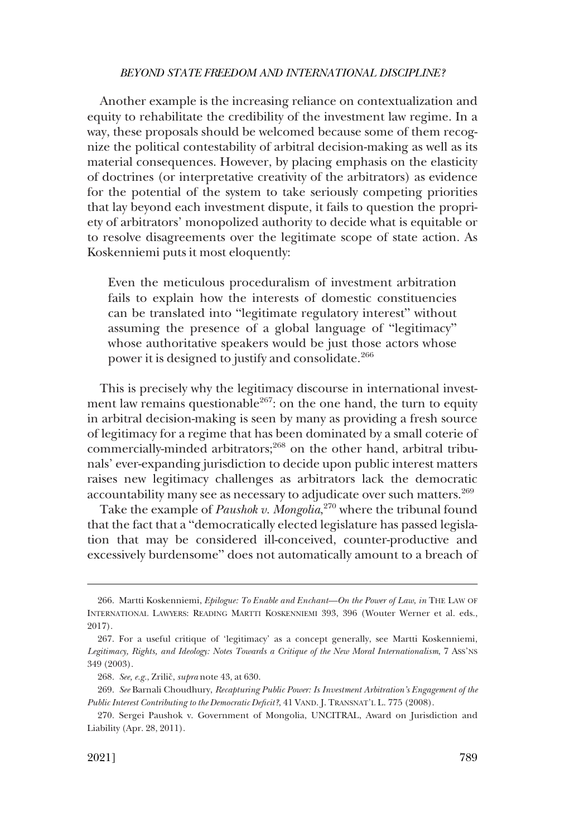Another example is the increasing reliance on contextualization and equity to rehabilitate the credibility of the investment law regime. In a way, these proposals should be welcomed because some of them recognize the political contestability of arbitral decision-making as well as its material consequences. However, by placing emphasis on the elasticity of doctrines (or interpretative creativity of the arbitrators) as evidence for the potential of the system to take seriously competing priorities that lay beyond each investment dispute, it fails to question the propriety of arbitrators' monopolized authority to decide what is equitable or to resolve disagreements over the legitimate scope of state action. As Koskenniemi puts it most eloquently:

Even the meticulous proceduralism of investment arbitration fails to explain how the interests of domestic constituencies can be translated into "legitimate regulatory interest" without assuming the presence of a global language of "legitimacy" whose authoritative speakers would be just those actors whose power it is designed to justify and consolidate.<sup>266</sup>

This is precisely why the legitimacy discourse in international investment law remains questionable<sup>267</sup>: on the one hand, the turn to equity in arbitral decision-making is seen by many as providing a fresh source of legitimacy for a regime that has been dominated by a small coterie of commercially-minded arbitrators;<sup>268</sup> on the other hand, arbitral tribunals' ever-expanding jurisdiction to decide upon public interest matters raises new legitimacy challenges as arbitrators lack the democratic accountability many see as necessary to adjudicate over such matters.<sup>269</sup>

Take the example of *Paushok v. Mongolia*, 270 where the tribunal found that the fact that a "democratically elected legislature has passed legislation that may be considered ill-conceived, counter-productive and excessively burdensome" does not automatically amount to a breach of

<sup>266.</sup> Martti Koskenniemi, *Epilogue: To Enable and Enchant—On the Power of Law*, *in* THE LAW OF INTERNATIONAL LAWYERS: READING MARTTI KOSKENNIEMI 393, 396 (Wouter Werner et al. eds., 2017).

<sup>267.</sup> For a useful critique of 'legitimacy' as a concept generally, see Martti Koskenniemi, *Legitimacy, Rights, and Ideology: Notes Towards a Critique of the New Moral Internationalism*, 7 ASS'NS 349 (2003).

<sup>268.</sup> *See, e.g.*, Zrilicˇ, *supra* note 43, at 630.

<sup>269.</sup> *See* Barnali Choudhury, *Recapturing Public Power: Is Investment Arbitration's Engagement of the Public Interest Contributing to the Democratic Deficit?*, 41 VAND. J. TRANSNAT'L L. 775 (2008).

<sup>270.</sup> Sergei Paushok v. Government of Mongolia, UNCITRAL, Award on Jurisdiction and Liability (Apr. 28, 2011).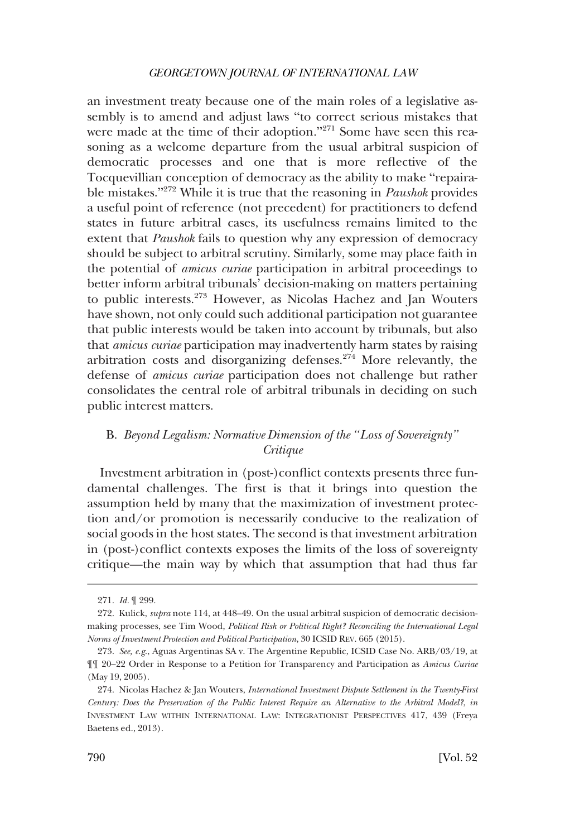<span id="page-55-0"></span>an investment treaty because one of the main roles of a legislative assembly is to amend and adjust laws "to correct serious mistakes that were made at the time of their adoption."<sup>271</sup> Some have seen this reasoning as a welcome departure from the usual arbitral suspicion of democratic processes and one that is more reflective of the Tocquevillian conception of democracy as the ability to make "repairable mistakes."272 While it is true that the reasoning in *Paushok* provides a useful point of reference (not precedent) for practitioners to defend states in future arbitral cases, its usefulness remains limited to the extent that *Paushok* fails to question why any expression of democracy should be subject to arbitral scrutiny. Similarly, some may place faith in the potential of *amicus curiae* participation in arbitral proceedings to better inform arbitral tribunals' decision-making on matters pertaining to public interests.273 However, as Nicolas Hachez and Jan Wouters have shown, not only could such additional participation not guarantee that public interests would be taken into account by tribunals, but also that *amicus curiae* participation may inadvertently harm states by raising arbitration costs and disorganizing defenses. $274$  More relevantly, the defense of *amicus curiae* participation does not challenge but rather consolidates the central role of arbitral tribunals in deciding on such public interest matters.

## B. *Beyond Legalism: Normative Dimension of the "Loss of Sovereignty" Critique*

Investment arbitration in (post-)conflict contexts presents three fundamental challenges. The first is that it brings into question the assumption held by many that the maximization of investment protection and/or promotion is necessarily conducive to the realization of social goods in the host states. The second is that investment arbitration in (post-)conflict contexts exposes the limits of the loss of sovereignty critique—the main way by which that assumption that had thus far

<sup>271.</sup> *Id.* ¶ 299.

<sup>272.</sup> Kulick, *supra* note 114, at 448–49. On the usual arbitral suspicion of democratic decisionmaking processes, see Tim Wood, *Political Risk or Political Right? Reconciling the International Legal Norms of Investment Protection and Political Participation*, 30 ICSID REV. 665 (2015).

<sup>273.</sup> *See, e.g*., Aguas Argentinas SA v. The Argentine Republic, ICSID Case No. ARB/03/19, at ¶¶ 20–22 Order in Response to a Petition for Transparency and Participation as *Amicus Curiae*  (May 19, 2005).

<sup>274.</sup> Nicolas Hachez & Jan Wouters, *International Investment Dispute Settlement in the Twenty-First Century: Does the Preservation of the Public Interest Require an Alternative to the Arbitral Model?*, *in*  INVESTMENT LAW WITHIN INTERNATIONAL LAW: INTEGRATIONIST PERSPECTIVES 417, 439 (Freya Baetens ed., 2013).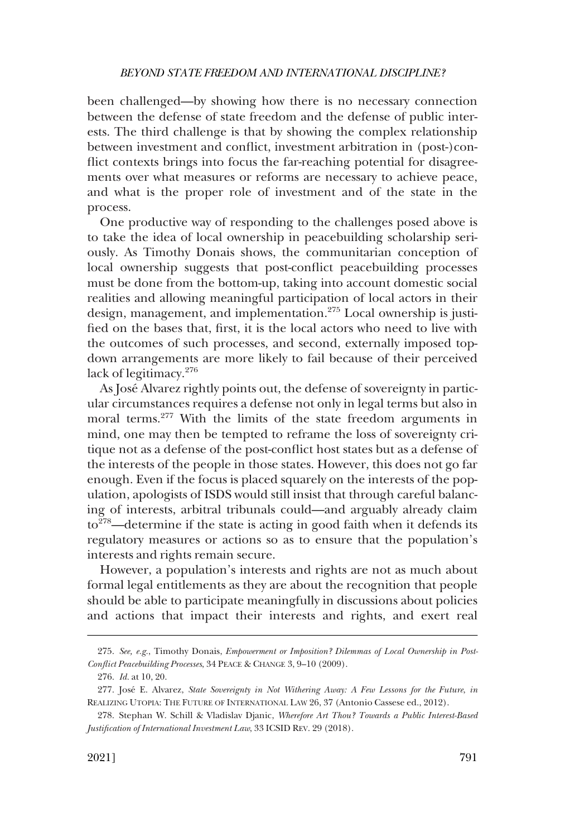been challenged—by showing how there is no necessary connection between the defense of state freedom and the defense of public interests. The third challenge is that by showing the complex relationship between investment and conflict, investment arbitration in (post-)conflict contexts brings into focus the far-reaching potential for disagreements over what measures or reforms are necessary to achieve peace, and what is the proper role of investment and of the state in the process.

One productive way of responding to the challenges posed above is to take the idea of local ownership in peacebuilding scholarship seriously. As Timothy Donais shows, the communitarian conception of local ownership suggests that post-conflict peacebuilding processes must be done from the bottom-up, taking into account domestic social realities and allowing meaningful participation of local actors in their design, management, and implementation.<sup>275</sup> Local ownership is justified on the bases that, first, it is the local actors who need to live with the outcomes of such processes, and second, externally imposed topdown arrangements are more likely to fail because of their perceived lack of legitimacy.<sup>276</sup>

As José Alvarez rightly points out, the defense of sovereignty in particular circumstances requires a defense not only in legal terms but also in moral terms.<sup>277</sup> With the limits of the state freedom arguments in mind, one may then be tempted to reframe the loss of sovereignty critique not as a defense of the post-conflict host states but as a defense of the interests of the people in those states. However, this does not go far enough. Even if the focus is placed squarely on the interests of the population, apologists of ISDS would still insist that through careful balancing of interests, arbitral tribunals could—and arguably already claim  $\rm{to}^{278}$ —determine if the state is acting in good faith when it defends its regulatory measures or actions so as to ensure that the population's interests and rights remain secure.

However, a population's interests and rights are not as much about formal legal entitlements as they are about the recognition that people should be able to participate meaningfully in discussions about policies and actions that impact their interests and rights, and exert real

<sup>275.</sup> *See, e.g.*, Timothy Donais, *Empowerment or Imposition? Dilemmas of Local Ownership in Post-Conflict Peacebuilding Processes*, 34 PEACE & CHANGE 3, 9–10 (2009).

<sup>276.</sup> *Id.* at 10, 20.

<sup>277.</sup> Jose´ E. Alvarez, *State Sovereignty in Not Withering Away: A Few Lessons for the Future*, *in*  REALIZING UTOPIA: THE FUTURE OF INTERNATIONAL LAW 26, 37 (Antonio Cassese ed., 2012).

<sup>278.</sup> Stephan W. Schill & Vladislav Djanic, *Wherefore Art Thou? Towards a Public Interest-Based Justification of International Investment Law*, 33 ICSID REV. 29 (2018).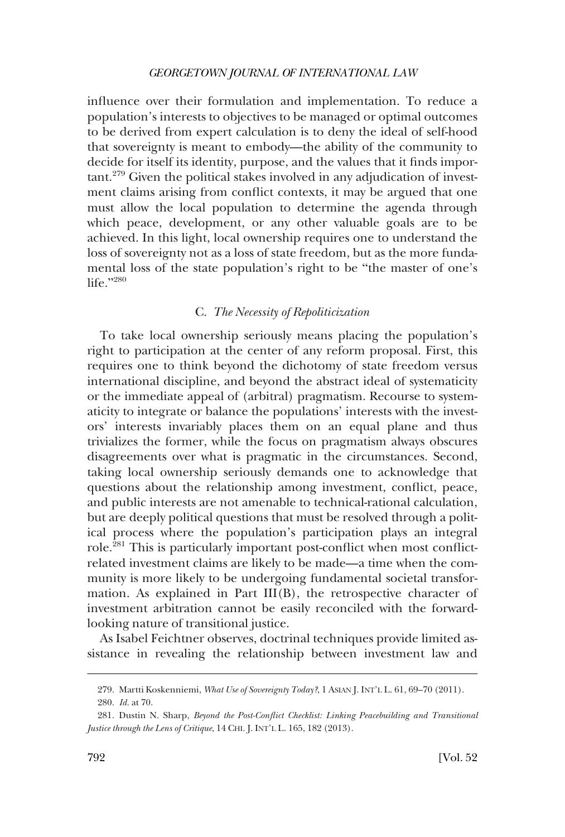<span id="page-57-0"></span>influence over their formulation and implementation. To reduce a population's interests to objectives to be managed or optimal outcomes to be derived from expert calculation is to deny the ideal of self-hood that sovereignty is meant to embody—the ability of the community to decide for itself its identity, purpose, and the values that it finds important.279 Given the political stakes involved in any adjudication of investment claims arising from conflict contexts, it may be argued that one must allow the local population to determine the agenda through which peace, development, or any other valuable goals are to be achieved. In this light, local ownership requires one to understand the loss of sovereignty not as a loss of state freedom, but as the more fundamental loss of the state population's right to be "the master of one's life $"$ ?280

## C. *The Necessity of Repoliticization*

To take local ownership seriously means placing the population's right to participation at the center of any reform proposal. First, this requires one to think beyond the dichotomy of state freedom versus international discipline, and beyond the abstract ideal of systematicity or the immediate appeal of (arbitral) pragmatism. Recourse to systematicity to integrate or balance the populations' interests with the investors' interests invariably places them on an equal plane and thus trivializes the former, while the focus on pragmatism always obscures disagreements over what is pragmatic in the circumstances. Second, taking local ownership seriously demands one to acknowledge that questions about the relationship among investment, conflict, peace, and public interests are not amenable to technical-rational calculation, but are deeply political questions that must be resolved through a political process where the population's participation plays an integral role.281 This is particularly important post-conflict when most conflictrelated investment claims are likely to be made—a time when the community is more likely to be undergoing fundamental societal transformation. As explained in Part III(B), the retrospective character of investment arbitration cannot be easily reconciled with the forwardlooking nature of transitional justice.

As Isabel Feichtner observes, doctrinal techniques provide limited assistance in revealing the relationship between investment law and

<sup>279.</sup> Martti Koskenniemi, *What Use of Sovereignty Today?*, 1 ASIAN J. INT'L L. 61, 69–70 (2011). 280. *Id.* at 70.

<sup>281.</sup> Dustin N. Sharp, *Beyond the Post-Conflict Checklist: Linking Peacebuilding and Transitional Justice through the Lens of Critique*, 14 CHI. J. INT'L L. 165, 182 (2013).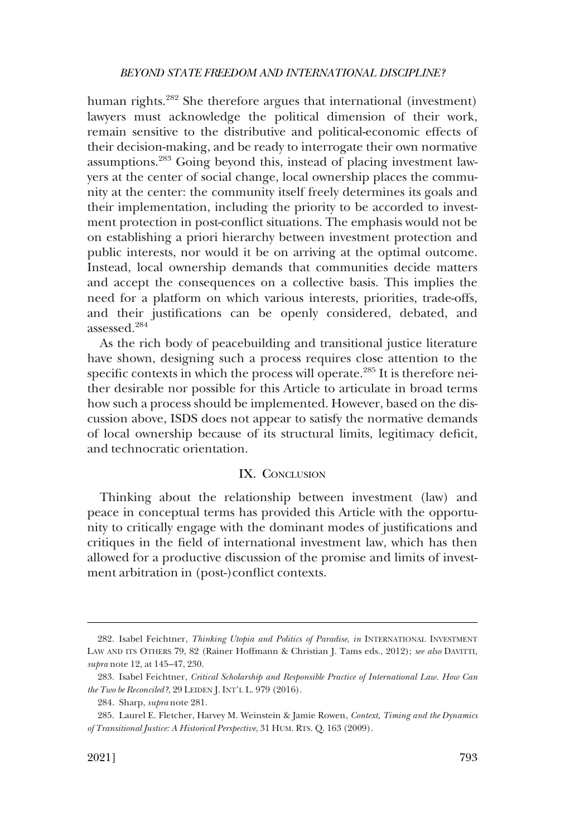<span id="page-58-0"></span>human rights.<sup>282</sup> She therefore argues that international (investment) lawyers must acknowledge the political dimension of their work, remain sensitive to the distributive and political-economic effects of their decision-making, and be ready to interrogate their own normative assumptions.283 Going beyond this, instead of placing investment lawyers at the center of social change, local ownership places the community at the center: the community itself freely determines its goals and their implementation, including the priority to be accorded to investment protection in post-conflict situations. The emphasis would not be on establishing a priori hierarchy between investment protection and public interests, nor would it be on arriving at the optimal outcome. Instead, local ownership demands that communities decide matters and accept the consequences on a collective basis. This implies the need for a platform on which various interests, priorities, trade-offs, and their justifications can be openly considered, debated, and assessed.284

As the rich body of peacebuilding and transitional justice literature have shown, designing such a process requires close attention to the specific contexts in which the process will operate.<sup>285</sup> It is therefore neither desirable nor possible for this Article to articulate in broad terms how such a process should be implemented. However, based on the discussion above, ISDS does not appear to satisfy the normative demands of local ownership because of its structural limits, legitimacy deficit, and technocratic orientation.

## IX. CONCLUSION

Thinking about the relationship between investment (law) and peace in conceptual terms has provided this Article with the opportunity to critically engage with the dominant modes of justifications and critiques in the field of international investment law, which has then allowed for a productive discussion of the promise and limits of investment arbitration in (post-)conflict contexts.

<sup>282.</sup> Isabel Feichtner, *Thinking Utopia and Politics of Paradise*, *in* INTERNATIONAL INVESTMENT LAW AND ITS OTHERS 79, 82 (Rainer Hoffmann & Christian J. Tams eds., 2012); *see also* DAVITTI, *supra* note 12, at 145–47, 230.

<sup>283.</sup> Isabel Feichtner, *Critical Scholarship and Responsible Practice of International Law. How Can the Two be Reconciled?*, 29 LEIDEN J. INT'L L. 979 (2016).

<sup>284.</sup> Sharp, *supra* note 281.

<sup>285.</sup> Laurel E. Fletcher, Harvey M. Weinstein & Jamie Rowen, *Context, Timing and the Dynamics of Transitional Justice: A Historical Perspective*, 31 HUM. RTS. Q. 163 (2009).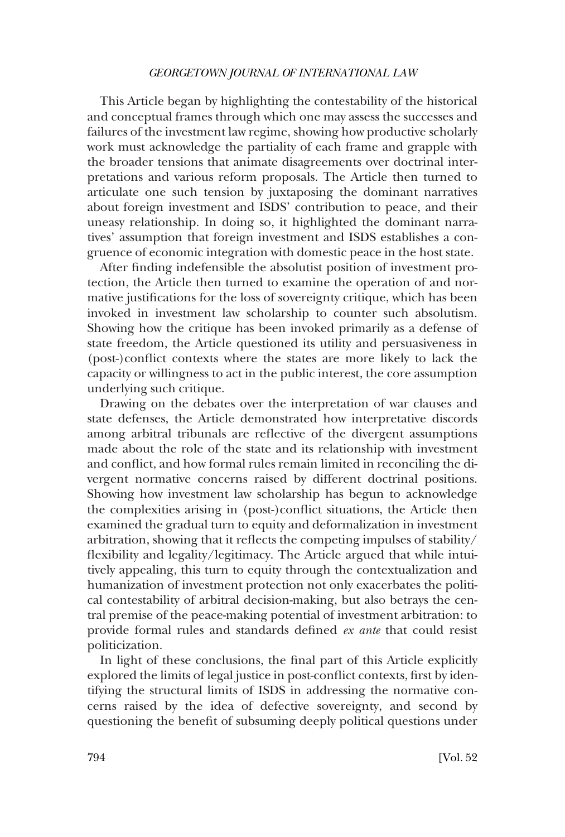This Article began by highlighting the contestability of the historical and conceptual frames through which one may assess the successes and failures of the investment law regime, showing how productive scholarly work must acknowledge the partiality of each frame and grapple with the broader tensions that animate disagreements over doctrinal interpretations and various reform proposals. The Article then turned to articulate one such tension by juxtaposing the dominant narratives about foreign investment and ISDS' contribution to peace, and their uneasy relationship. In doing so, it highlighted the dominant narratives' assumption that foreign investment and ISDS establishes a congruence of economic integration with domestic peace in the host state.

After finding indefensible the absolutist position of investment protection, the Article then turned to examine the operation of and normative justifications for the loss of sovereignty critique, which has been invoked in investment law scholarship to counter such absolutism. Showing how the critique has been invoked primarily as a defense of state freedom, the Article questioned its utility and persuasiveness in (post-)conflict contexts where the states are more likely to lack the capacity or willingness to act in the public interest, the core assumption underlying such critique.

Drawing on the debates over the interpretation of war clauses and state defenses, the Article demonstrated how interpretative discords among arbitral tribunals are reflective of the divergent assumptions made about the role of the state and its relationship with investment and conflict, and how formal rules remain limited in reconciling the divergent normative concerns raised by different doctrinal positions. Showing how investment law scholarship has begun to acknowledge the complexities arising in (post-)conflict situations, the Article then examined the gradual turn to equity and deformalization in investment arbitration, showing that it reflects the competing impulses of stability/ flexibility and legality/legitimacy. The Article argued that while intuitively appealing, this turn to equity through the contextualization and humanization of investment protection not only exacerbates the political contestability of arbitral decision-making, but also betrays the central premise of the peace-making potential of investment arbitration: to provide formal rules and standards defined *ex ante* that could resist politicization.

In light of these conclusions, the final part of this Article explicitly explored the limits of legal justice in post-conflict contexts, first by identifying the structural limits of ISDS in addressing the normative concerns raised by the idea of defective sovereignty, and second by questioning the benefit of subsuming deeply political questions under